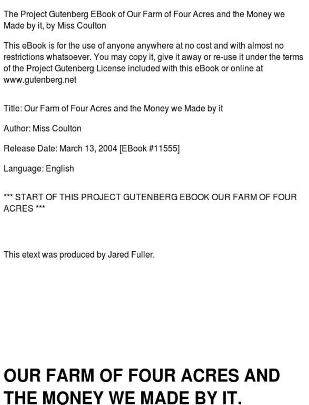The Project Gutenberg EBook of Our Farm of Four Acres and the Monev we Made by it, by Miss Coulton

This eBook is for the use of anyone anywhere at no cost and with almost no restrictions whatsoever. You may copy it, give it away or re-use it under the terms of the Project Gutenberg License included with this eBook or online at www.gutenberg.net

Title: Our Farm of Four Acres and the Money we Made by it

Author: Miss Coulton

Release Date: March 13, 2004 IEBook #115551

Language: English

\*\*\* START OF THIS PROJECT GUTENRERG FROOK OUR FARM OF FOUR ACRES\*\*\*

This etext was produced by Jared Fuller.

#### **OUR FARM OF FOUR ACRES AND** THE MONEY WE MADE BY IT.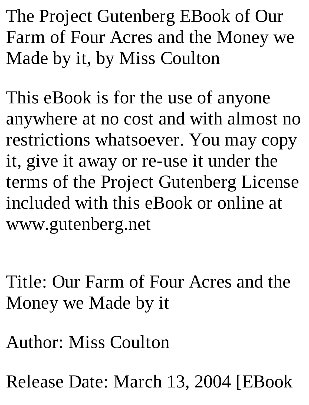The Project Gutenberg EBook of Our Farm of Four Acres and the Money we Made by it, by Miss Coulton

This eBook is for the use of anyone anywhere at no cost and with almost no restrictions whatsoever. You may copy it, give it away or re-use it under the terms of the Project Gutenberg License included with this eBook or online at www.gutenberg.net

Title: Our Farm of Four Acres and the Money we Made by it

Author: Miss Coulton

Release Date: March 13, 2004 [EBook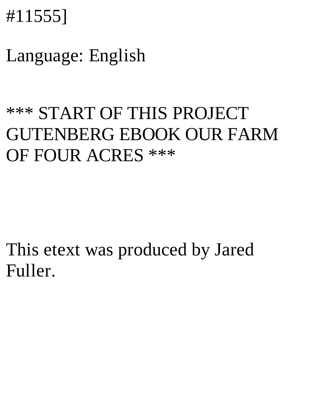### #11555]

#### Language: English

#### \*\*\* START OF THIS PROJECT GUTENBERG EBOOK OUR FARM OF FOUR ACRES \*\*\*

This etext was produced by Jared Fuller.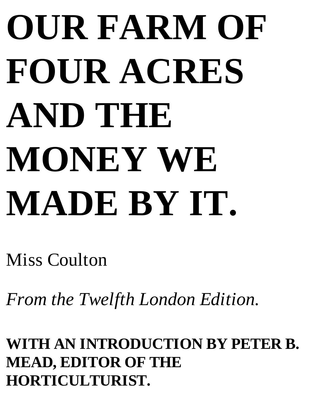# **OUR FARM OF FOUR ACRES AND THE MONEY WE MADE BY IT.**

Miss Coulton

*From the Twelfth London Edition.*

**WITH AN INTRODUCTION BY PETER B. MEAD, EDITOR OF THE HORTICULTURIST.**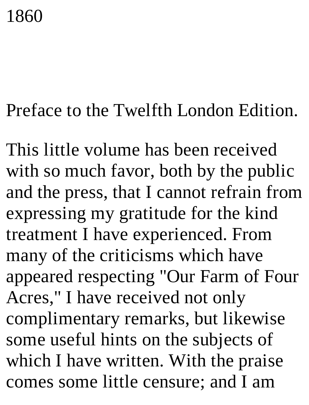## 1860

#### Preface to the Twelfth London Edition.

This little volume has been received with so much favor, both by the public and the press, that I cannot refrain from expressing my gratitude for the kind treatment I have experienced. From many of the criticisms which have appeared respecting "Our Farm of Four Acres," I have received not only complimentary remarks, but likewise some useful hints on the subjects of which I have written. With the praise comes some little censure; and I am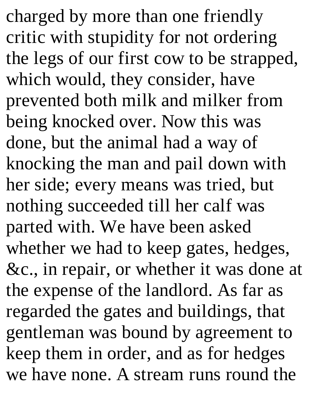charged by more than one friendly critic with stupidity for not ordering the legs of our first cow to be strapped, which would, they consider, have prevented both milk and milker from being knocked over. Now this was done, but the animal had a way of knocking the man and pail down with her side; every means was tried, but nothing succeeded till her calf was parted with. We have been asked whether we had to keep gates, hedges, &c., in repair, or whether it was done at the expense of the landlord. As far as regarded the gates and buildings, that gentleman was bound by agreement to keep them in order, and as for hedges we have none. A stream runs round the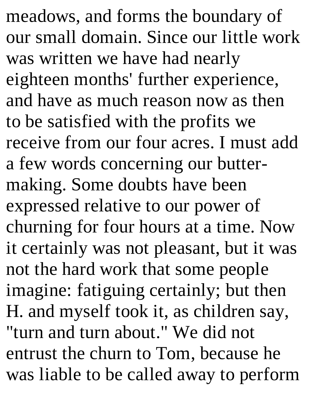meadows, and forms the boundary of our small domain. Since our little work was written we have had nearly eighteen months' further experience, and have as much reason now as then to be satisfied with the profits we receive from our four acres. I must add a few words concerning our buttermaking. Some doubts have been expressed relative to our power of churning for four hours at a time. Now it certainly was not pleasant, but it was not the hard work that some people imagine: fatiguing certainly; but then H. and myself took it, as children say, "turn and turn about." We did not entrust the churn to Tom, because he was liable to be called away to perform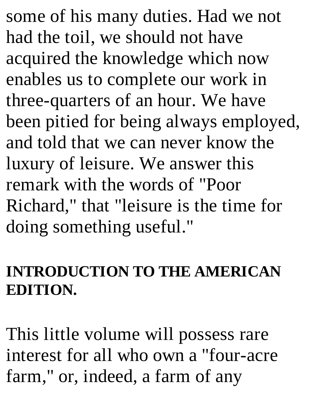some of his many duties. Had we not had the toil, we should not have acquired the knowledge which now enables us to complete our work in three-quarters of an hour. We have been pitied for being always employed, and told that we can never know the luxury of leisure. We answer this remark with the words of "Poor Richard," that "leisure is the time for doing something useful."

#### **INTRODUCTION TO THE AMERICAN EDITION.**

This little volume will possess rare interest for all who own a "four-acre farm," or, indeed, a farm of any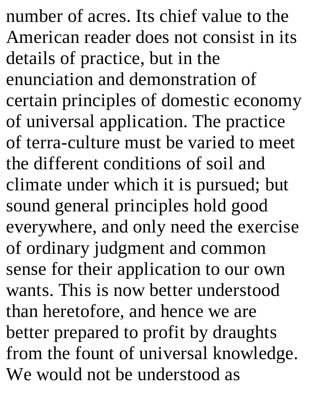number of acres. Its chief value to the American reader does not consist in its details of practice, but in the enunciation and demonstration of certain principles of domestic economy of universal application. The practice of terra-culture must be varied to meet the different conditions of soil and climate under which it is pursued; but sound general principles hold good everywhere, and only need the exercise of ordinary judgment and common sense for their application to our own wants. This is now better understood than heretofore, and hence we are better prepared to profit by draughts from the fount of universal knowledge. We would not be understood as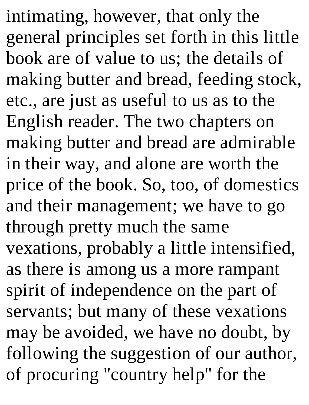intimating, however, that only the general principles set forth in this little book are of value to us; the details of making butter and bread, feeding stock, etc., are just as useful to us as to the English reader. The two chapters on making butter and bread are admirable in their way, and alone are worth the price of the book. So, too, of domestics and their management; we have to go through pretty much the same vexations, probably a little intensified, as there is among us a more rampant spirit of independence on the part of servants; but many of these vexations may be avoided, we have no doubt, by following the suggestion of our author, of procuring "country help" for the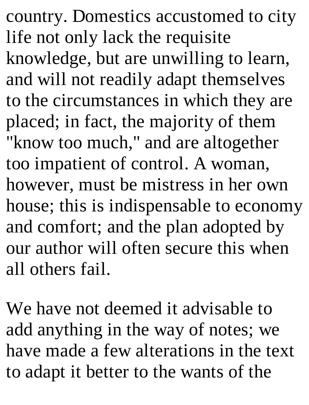country. Domestics accustomed to city life not only lack the requisite knowledge, but are unwilling to learn, and will not readily adapt themselves to the circumstances in which they are placed; in fact, the majority of them "know too much," and are altogether too impatient of control. A woman, however, must be mistress in her own house; this is indispensable to economy and comfort; and the plan adopted by our author will often secure this when all others fail.

We have not deemed it advisable to add anything in the way of notes; we have made a few alterations in the text to adapt it better to the wants of the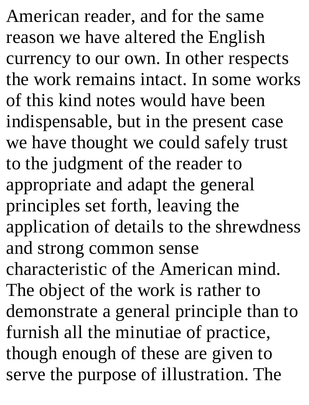American reader, and for the same reason we have altered the English currency to our own. In other respects the work remains intact. In some works of this kind notes would have been indispensable, but in the present case we have thought we could safely trust to the judgment of the reader to appropriate and adapt the general principles set forth, leaving the application of details to the shrewdness and strong common sense characteristic of the American mind. The object of the work is rather to demonstrate a general principle than to furnish all the minutiae of practice, though enough of these are given to serve the purpose of illustration. The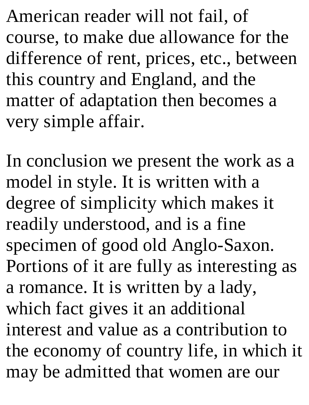American reader will not fail, of course, to make due allowance for the difference of rent, prices, etc., between this country and England, and the matter of adaptation then becomes a very simple affair.

In conclusion we present the work as a model in style. It is written with a degree of simplicity which makes it readily understood, and is a fine specimen of good old Anglo-Saxon. Portions of it are fully as interesting as a romance. It is written by a lady, which fact gives it an additional interest and value as a contribution to the economy of country life, in which it may be admitted that women are our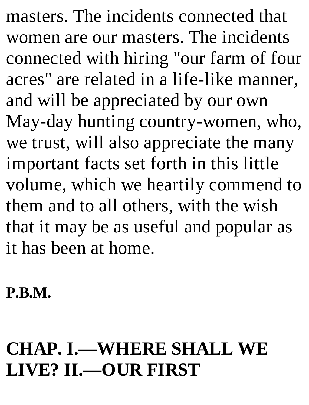masters. The incidents connected that women are our masters. The incidents connected with hiring "our farm of four acres" are related in a life-like manner, and will be appreciated by our own May-day hunting country-women, who, we trust, will also appreciate the many important facts set forth in this little volume, which we heartily commend to them and to all others, with the wish that it may be as useful and popular as it has been at home.

**P.B.M.**

#### **CHAP. I.—WHERE SHALL WE LIVE? II.—OUR FIRST**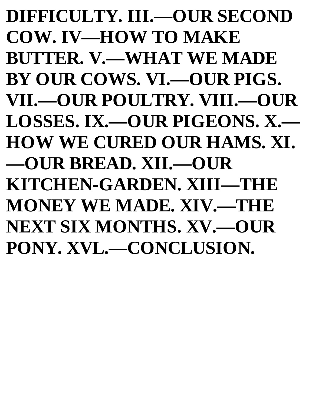**DIFFICULTY. III.—OUR SECOND COW. IV—HOW TO MAKE BUTTER. V.—WHAT WE MADE BY OUR COWS. VI.—OUR PIGS. VII.—OUR POULTRY. VIII.—OUR LOSSES. IX.—OUR PIGEONS. X.— HOW WE CURED OUR HAMS. XI. —OUR BREAD. XII.—OUR KITCHEN-GARDEN. XIII—THE MONEY WE MADE. XIV.—THE NEXT SIX MONTHS. XV.—OUR PONY. XVL.—CONCLUSION.**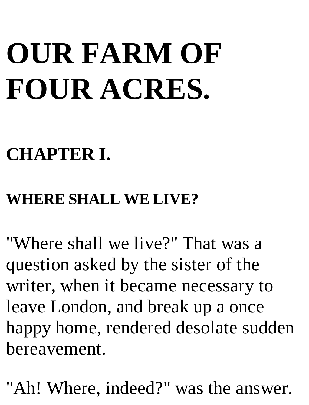# **OUR FARM OF FOUR ACRES.**

#### **CHAPTER I.**

#### **WHERE SHALL WE LIVE?**

"Where shall we live?" That was a question asked by the sister of the writer, when it became necessary to leave London, and break up a once happy home, rendered desolate sudden bereavement.

"Ah! Where, indeed?" was the answer.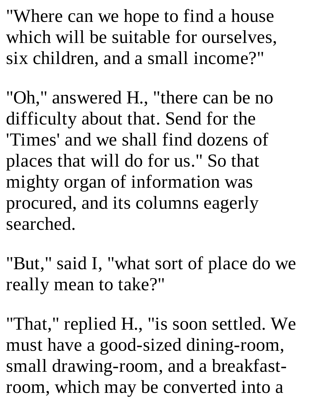"Where can we hope to find a house which will be suitable for ourselves, six children, and a small income?"

"Oh," answered H., "there can be no difficulty about that. Send for the 'Times' and we shall find dozens of places that will do for us." So that mighty organ of information was procured, and its columns eagerly searched.

"But," said I, "what sort of place do we really mean to take?"

"That," replied H., "is soon settled. We must have a good-sized dining-room, small drawing-room, and a breakfastroom, which may be converted into a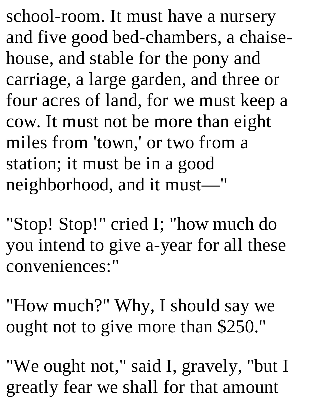school-room. It must have a nursery and five good bed-chambers, a chaisehouse, and stable for the pony and carriage, a large garden, and three or four acres of land, for we must keep a cow. It must not be more than eight miles from 'town,' or two from a station; it must be in a good neighborhood, and it must—"

"Stop! Stop!" cried I; "how much do you intend to give a-year for all these conveniences:"

"How much?" Why, I should say we ought not to give more than \$250."

"We ought not," said I, gravely, "but I greatly fear we shall for that amount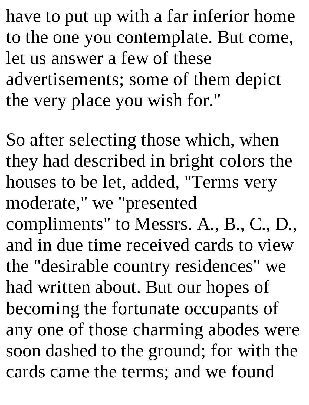have to put up with a far inferior home to the one you contemplate. But come, let us answer a few of these advertisements; some of them depict the very place you wish for."

So after selecting those which, when they had described in bright colors the houses to be let, added, "Terms very moderate," we "presented compliments" to Messrs. A., B., C., D., and in due time received cards to view the "desirable country residences" we had written about. But our hopes of becoming the fortunate occupants of any one of those charming abodes were soon dashed to the ground; for with the cards came the terms; and we found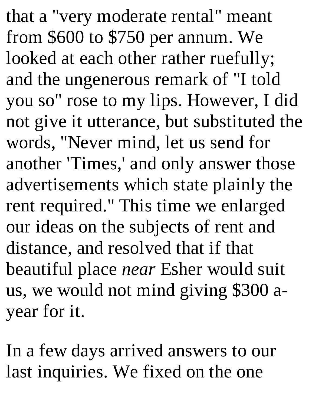that a "very moderate rental" meant from \$600 to \$750 per annum. We looked at each other rather ruefully; and the ungenerous remark of "I told you so" rose to my lips. However, I did not give it utterance, but substituted the words, "Never mind, let us send for another 'Times,' and only answer those advertisements which state plainly the rent required." This time we enlarged our ideas on the subjects of rent and distance, and resolved that if that beautiful place *near* Esher would suit us, we would not mind giving \$300 ayear for it.

In a few days arrived answers to our last inquiries. We fixed on the one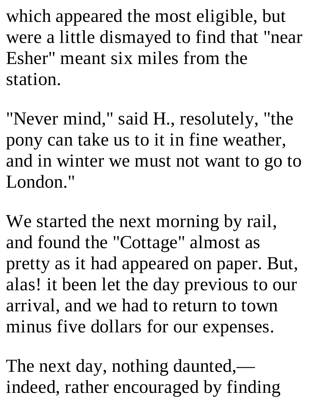which appeared the most eligible, but were a little dismayed to find that "near Esher" meant six miles from the station.

"Never mind," said H., resolutely, "the pony can take us to it in fine weather, and in winter we must not want to go to London."

We started the next morning by rail, and found the "Cottage" almost as pretty as it had appeared on paper. But, alas! it been let the day previous to our arrival, and we had to return to town minus five dollars for our expenses.

The next day, nothing daunted, indeed, rather encouraged by finding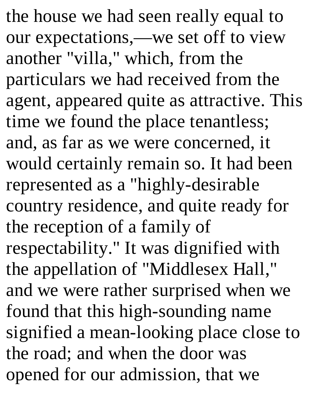the house we had seen really equal to our expectations,—we set off to view another "villa," which, from the particulars we had received from the agent, appeared quite as attractive. This time we found the place tenantless; and, as far as we were concerned, it would certainly remain so. It had been represented as a "highly-desirable country residence, and quite ready for the reception of a family of respectability." It was dignified with the appellation of "Middlesex Hall," and we were rather surprised when we found that this high-sounding name signified a mean-looking place close to the road; and when the door was opened for our admission, that we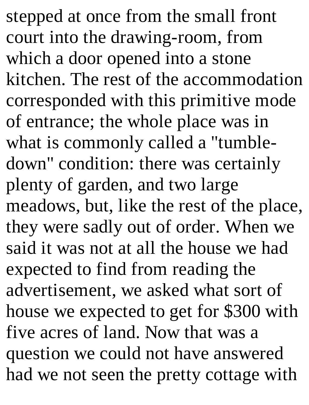stepped at once from the small front court into the drawing-room, from which a door opened into a stone kitchen. The rest of the accommodation corresponded with this primitive mode of entrance; the whole place was in what is commonly called a "tumbledown" condition: there was certainly plenty of garden, and two large meadows, but, like the rest of the place, they were sadly out of order. When we said it was not at all the house we had expected to find from reading the advertisement, we asked what sort of house we expected to get for \$300 with five acres of land. Now that was a question we could not have answered had we not seen the pretty cottage with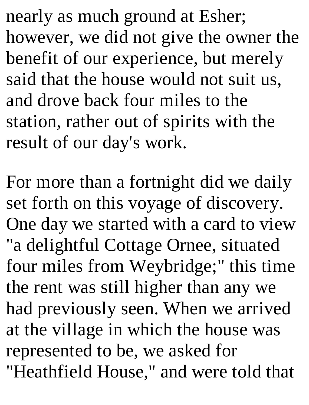nearly as much ground at Esher; however, we did not give the owner the benefit of our experience, but merely said that the house would not suit us, and drove back four miles to the station, rather out of spirits with the result of our day's work.

For more than a fortnight did we daily set forth on this voyage of discovery. One day we started with a card to view "a delightful Cottage Ornee, situated four miles from Weybridge;" this time the rent was still higher than any we had previously seen. When we arrived at the village in which the house was represented to be, we asked for "Heathfield House," and were told that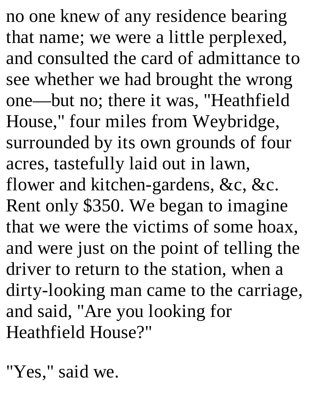no one knew of any residence bearing that name; we were a little perplexed, and consulted the card of admittance to see whether we had brought the wrong one—but no; there it was, "Heathfield House," four miles from Weybridge, surrounded by its own grounds of four acres, tastefully laid out in lawn, flower and kitchen-gardens, &c, &c. Rent only \$350. We began to imagine that we were the victims of some hoax, and were just on the point of telling the driver to return to the station, when a dirty-looking man came to the carriage, and said, "Are you looking for Heathfield House?"

"Yes," said we.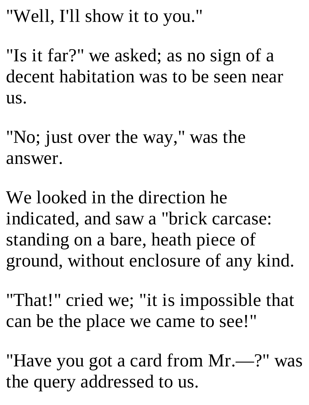"Well, I'll show it to you."

"Is it far?" we asked; as no sign of a decent habitation was to be seen near us.

"No; just over the way," was the answer.

We looked in the direction he indicated, and saw a "brick carcase: standing on a bare, heath piece of ground, without enclosure of any kind.

"That!" cried we; "it is impossible that can be the place we came to see!"

"Have you got a card from Mr.—?" was the query addressed to us.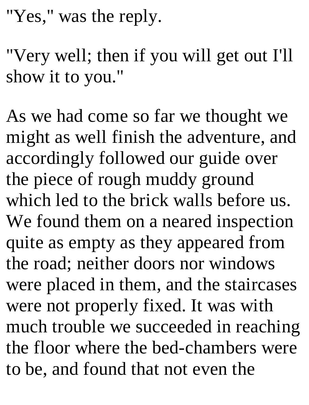"Yes," was the reply.

"Very well; then if you will get out I'll show it to you."

As we had come so far we thought we might as well finish the adventure, and accordingly followed our guide over the piece of rough muddy ground which led to the brick walls before us. We found them on a neared inspection quite as empty as they appeared from the road; neither doors nor windows were placed in them, and the staircases were not properly fixed. It was with much trouble we succeeded in reaching the floor where the bed-chambers were to be, and found that not even the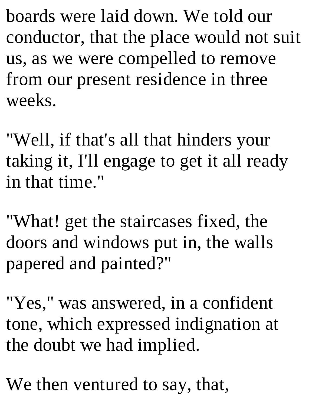boards were laid down. We told our conductor, that the place would not suit us, as we were compelled to remove from our present residence in three weeks.

"Well, if that's all that hinders your taking it, I'll engage to get it all ready in that time."

"What! get the staircases fixed, the doors and windows put in, the walls papered and painted?"

"Yes," was answered, in a confident tone, which expressed indignation at the doubt we had implied.

We then ventured to say, that,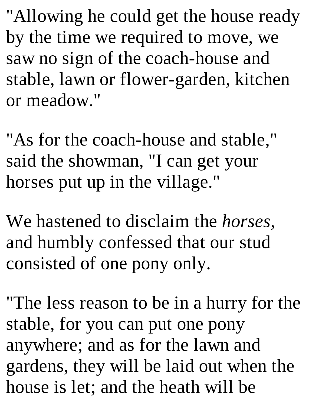"Allowing he could get the house ready by the time we required to move, we saw no sign of the coach-house and stable, lawn or flower-garden, kitchen or meadow."

"As for the coach-house and stable," said the showman, "I can get your horses put up in the village."

We hastened to disclaim the *horses*, and humbly confessed that our stud consisted of one pony only.

"The less reason to be in a hurry for the stable, for you can put one pony anywhere; and as for the lawn and gardens, they will be laid out when the house is let; and the heath will be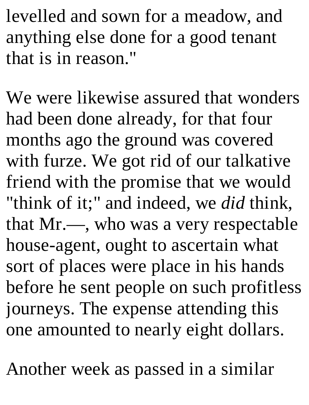levelled and sown for a meadow, and anything else done for a good tenant that is in reason."

We were likewise assured that wonders had been done already, for that four months ago the ground was covered with furze. We got rid of our talkative friend with the promise that we would "think of it;" and indeed, we *did* think, that Mr.—, who was a very respectable house-agent, ought to ascertain what sort of places were place in his hands before he sent people on such profitless journeys. The expense attending this one amounted to nearly eight dollars.

Another week as passed in a similar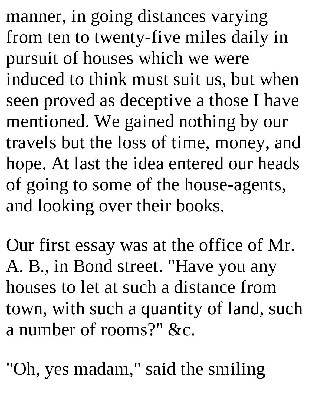manner, in going distances varying from ten to twenty-five miles daily in pursuit of houses which we were induced to think must suit us, but when seen proved as deceptive a those I have mentioned. We gained nothing by our travels but the loss of time, money, and hope. At last the idea entered our heads of going to some of the house-agents, and looking over their books.

Our first essay was at the office of Mr. A. B., in Bond street. "Have you any houses to let at such a distance from town, with such a quantity of land, such a number of rooms?" &c.

"Oh, yes madam," said the smiling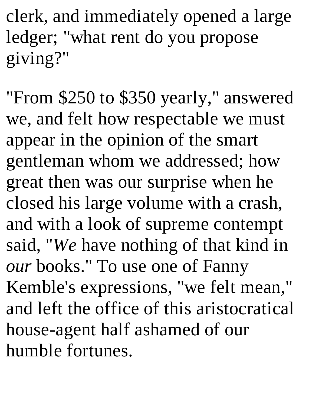clerk, and immediately opened a large ledger; "what rent do you propose giving?"

"From \$250 to \$350 yearly," answered we, and felt how respectable we must appear in the opinion of the smart gentleman whom we addressed; how great then was our surprise when he closed his large volume with a crash, and with a look of supreme contempt said, "*We* have nothing of that kind in *our* books." To use one of Fanny Kemble's expressions, "we felt mean," and left the office of this aristocratical house-agent half ashamed of our humble fortunes.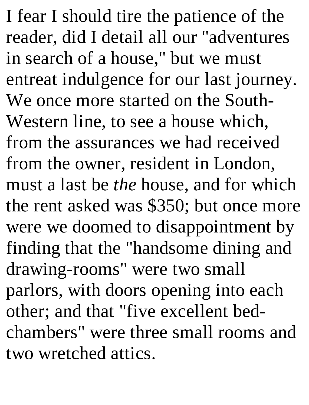I fear I should tire the patience of the reader, did I detail all our "adventures in search of a house," but we must entreat indulgence for our last journey. We once more started on the South-Western line, to see a house which, from the assurances we had received from the owner, resident in London, must a last be *the* house, and for which the rent asked was \$350; but once more were we doomed to disappointment by finding that the "handsome dining and drawing-rooms" were two small parlors, with doors opening into each other; and that "five excellent bedchambers" were three small rooms and two wretched attics.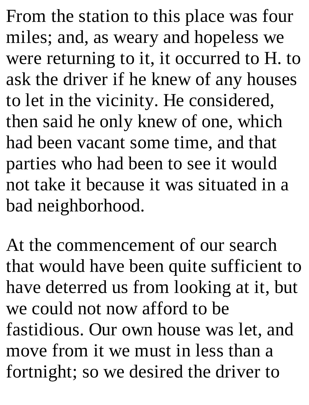From the station to this place was four miles; and, as weary and hopeless we were returning to it, it occurred to H. to ask the driver if he knew of any houses to let in the vicinity. He considered, then said he only knew of one, which had been vacant some time, and that parties who had been to see it would not take it because it was situated in a bad neighborhood.

At the commencement of our search that would have been quite sufficient to have deterred us from looking at it, but we could not now afford to be fastidious. Our own house was let, and move from it we must in less than a fortnight; so we desired the driver to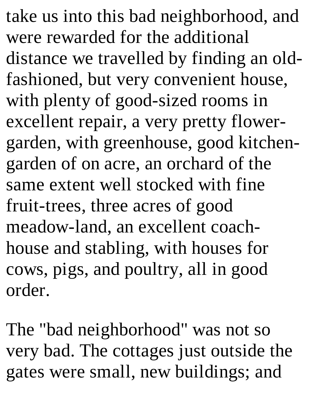take us into this bad neighborhood, and were rewarded for the additional distance we travelled by finding an oldfashioned, but very convenient house, with plenty of good-sized rooms in excellent repair, a very pretty flowergarden, with greenhouse, good kitchengarden of on acre, an orchard of the same extent well stocked with fine fruit-trees, three acres of good meadow-land, an excellent coachhouse and stabling, with houses for cows, pigs, and poultry, all in good order.

The "bad neighborhood" was not so very bad. The cottages just outside the gates were small, new buildings; and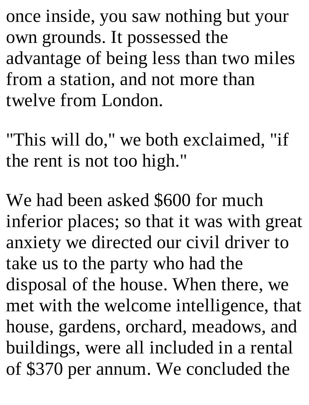once inside, you saw nothing but your own grounds. It possessed the advantage of being less than two miles from a station, and not more than twelve from London.

"This will do," we both exclaimed, "if the rent is not too high."

We had been asked \$600 for much inferior places; so that it was with great anxiety we directed our civil driver to take us to the party who had the disposal of the house. When there, we met with the welcome intelligence, that house, gardens, orchard, meadows, and buildings, were all included in a rental of \$370 per annum. We concluded the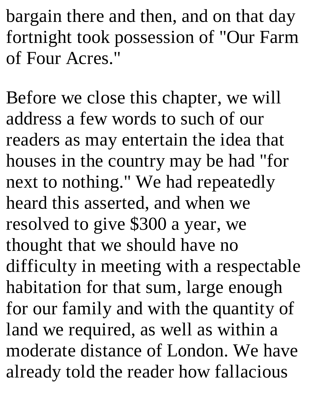bargain there and then, and on that day fortnight took possession of "Our Farm of Four Acres."

Before we close this chapter, we will address a few words to such of our readers as may entertain the idea that houses in the country may be had "for next to nothing." We had repeatedly heard this asserted, and when we resolved to give \$300 a year, we thought that we should have no difficulty in meeting with a respectable habitation for that sum, large enough for our family and with the quantity of land we required, as well as within a moderate distance of London. We have already told the reader how fallacious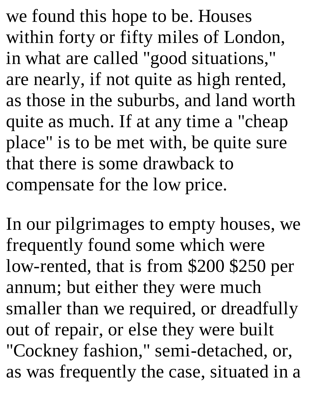we found this hope to be. Houses within forty or fifty miles of London, in what are called "good situations," are nearly, if not quite as high rented, as those in the suburbs, and land worth quite as much. If at any time a "cheap place" is to be met with, be quite sure that there is some drawback to compensate for the low price.

In our pilgrimages to empty houses, we frequently found some which were low-rented, that is from \$200 \$250 per annum; but either they were much smaller than we required, or dreadfully out of repair, or else they were built "Cockney fashion," semi-detached, or, as was frequently the case, situated in a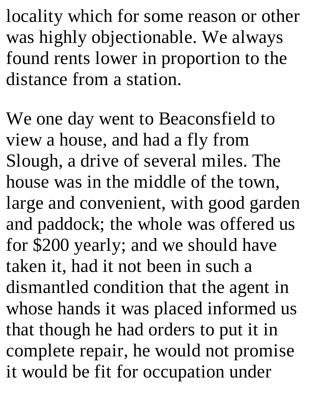locality which for some reason or other was highly objectionable. We always found rents lower in proportion to the distance from a station.

We one day went to Beaconsfield to view a house, and had a fly from Slough, a drive of several miles. The house was in the middle of the town, large and convenient, with good garden and paddock; the whole was offered us for \$200 yearly; and we should have taken it, had it not been in such a dismantled condition that the agent in whose hands it was placed informed us that though he had orders to put it in complete repair, he would not promise it would be fit for occupation under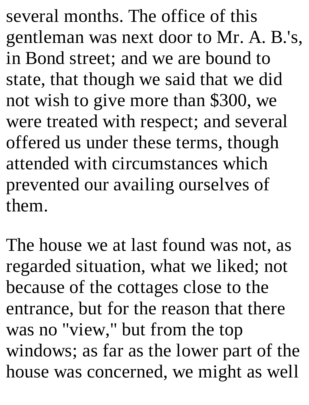several months. The office of this gentleman was next door to Mr. A. B.'s, in Bond street; and we are bound to state, that though we said that we did not wish to give more than \$300, we were treated with respect; and several offered us under these terms, though attended with circumstances which prevented our availing ourselves of them.

The house we at last found was not, as regarded situation, what we liked; not because of the cottages close to the entrance, but for the reason that there was no "view," but from the top windows; as far as the lower part of the house was concerned, we might as well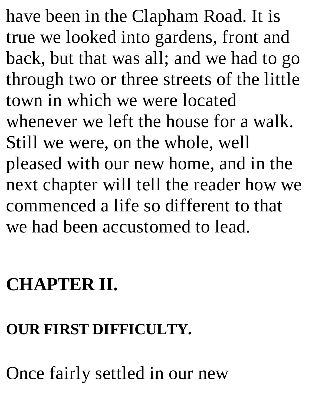have been in the Clapham Road. It is true we looked into gardens, front and back, but that was all; and we had to go through two or three streets of the little town in which we were located whenever we left the house for a walk. Still we were, on the whole, well pleased with our new home, and in the next chapter will tell the reader how we commenced a life so different to that we had been accustomed to lead.

### **CHAPTER II.**

#### **OUR FIRST DIFFICULTY.**

Once fairly settled in our new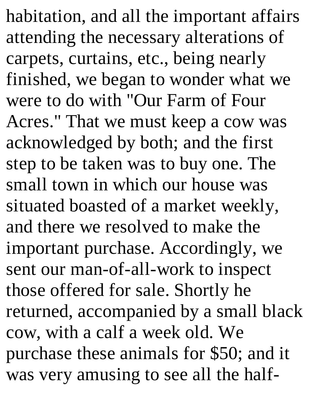habitation, and all the important affairs attending the necessary alterations of carpets, curtains, etc., being nearly finished, we began to wonder what we were to do with "Our Farm of Four Acres." That we must keep a cow was acknowledged by both; and the first step to be taken was to buy one. The small town in which our house was situated boasted of a market weekly, and there we resolved to make the important purchase. Accordingly, we sent our man-of-all-work to inspect those offered for sale. Shortly he returned, accompanied by a small black cow, with a calf a week old. We purchase these animals for \$50; and it was very amusing to see all the half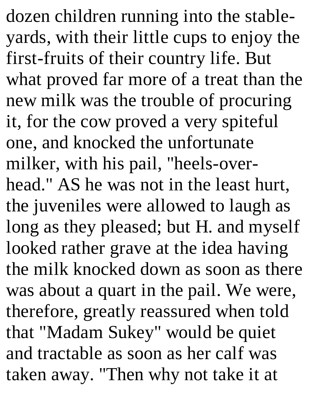dozen children running into the stableyards, with their little cups to enjoy the first-fruits of their country life. But what proved far more of a treat than the new milk was the trouble of procuring it, for the cow proved a very spiteful one, and knocked the unfortunate milker, with his pail, "heels-overhead." AS he was not in the least hurt, the juveniles were allowed to laugh as long as they pleased; but H. and myself looked rather grave at the idea having the milk knocked down as soon as there was about a quart in the pail. We were, therefore, greatly reassured when told that "Madam Sukey" would be quiet and tractable as soon as her calf was taken away. "Then why not take it at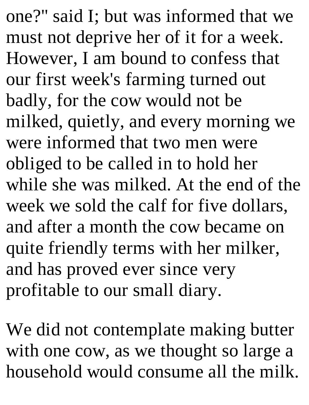one?" said I; but was informed that we must not deprive her of it for a week. However, I am bound to confess that our first week's farming turned out badly, for the cow would not be milked, quietly, and every morning we were informed that two men were obliged to be called in to hold her while she was milked. At the end of the week we sold the calf for five dollars, and after a month the cow became on quite friendly terms with her milker, and has proved ever since very profitable to our small diary.

We did not contemplate making butter with one cow, as we thought so large a household would consume all the milk.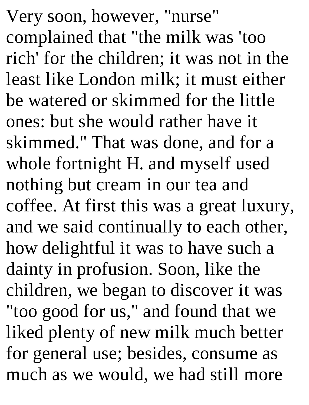Very soon, however, "nurse" complained that "the milk was 'too rich' for the children; it was not in the least like London milk; it must either be watered or skimmed for the little ones: but she would rather have it skimmed." That was done, and for a whole fortnight H. and myself used nothing but cream in our tea and coffee. At first this was a great luxury, and we said continually to each other, how delightful it was to have such a dainty in profusion. Soon, like the children, we began to discover it was "too good for us," and found that we liked plenty of new milk much better for general use; besides, consume as much as we would, we had still more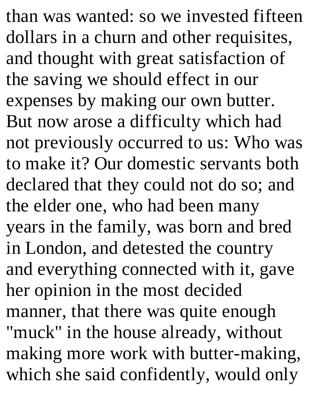than was wanted: so we invested fifteen dollars in a churn and other requisites, and thought with great satisfaction of the saving we should effect in our expenses by making our own butter. But now arose a difficulty which had not previously occurred to us: Who was to make it? Our domestic servants both declared that they could not do so; and the elder one, who had been many years in the family, was born and bred in London, and detested the country and everything connected with it, gave her opinion in the most decided manner, that there was quite enough "muck" in the house already, without making more work with butter-making, which she said confidently, would only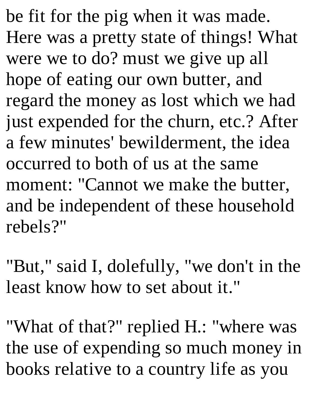be fit for the pig when it was made. Here was a pretty state of things! What were we to do? must we give up all hope of eating our own butter, and regard the money as lost which we had just expended for the churn, etc.? After a few minutes' bewilderment, the idea occurred to both of us at the same moment: "Cannot we make the butter, and be independent of these household rebels?"

"But," said I, dolefully, "we don't in the least know how to set about it."

"What of that?" replied H.: "where was the use of expending so much money in books relative to a country life as you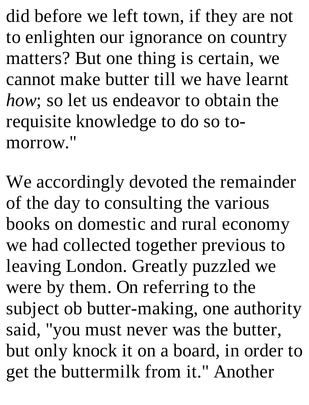did before we left town, if they are not to enlighten our ignorance on country matters? But one thing is certain, we cannot make butter till we have learnt *how*; so let us endeavor to obtain the requisite knowledge to do so tomorrow."

We accordingly devoted the remainder of the day to consulting the various books on domestic and rural economy we had collected together previous to leaving London. Greatly puzzled we were by them. On referring to the subject ob butter-making, one authority said, "you must never was the butter, but only knock it on a board, in order to get the buttermilk from it." Another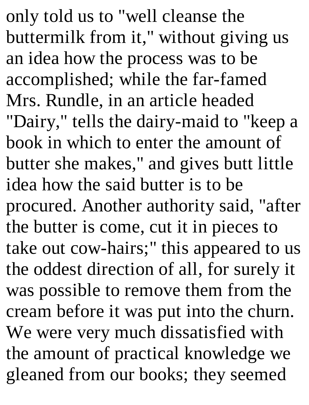only told us to "well cleanse the buttermilk from it," without giving us an idea how the process was to be accomplished; while the far-famed Mrs. Rundle, in an article headed "Dairy," tells the dairy-maid to "keep a book in which to enter the amount of butter she makes," and gives butt little idea how the said butter is to be procured. Another authority said, "after the butter is come, cut it in pieces to take out cow-hairs;" this appeared to us the oddest direction of all, for surely it was possible to remove them from the cream before it was put into the churn. We were very much dissatisfied with the amount of practical knowledge we gleaned from our books; they seemed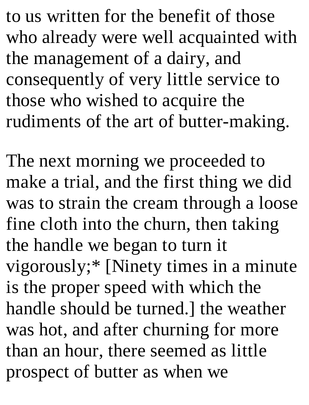to us written for the benefit of those who already were well acquainted with the management of a dairy, and consequently of very little service to those who wished to acquire the rudiments of the art of butter-making.

The next morning we proceeded to make a trial, and the first thing we did was to strain the cream through a loose fine cloth into the churn, then taking the handle we began to turn it vigorously;\* [Ninety times in a minute is the proper speed with which the handle should be turned.] the weather was hot, and after churning for more than an hour, there seemed as little prospect of butter as when we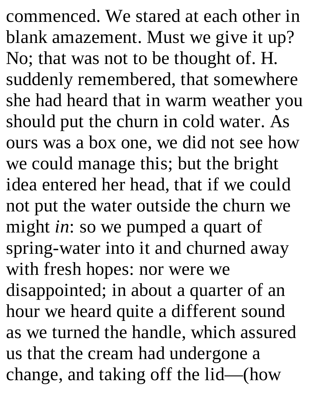commenced. We stared at each other in blank amazement. Must we give it up? No; that was not to be thought of. H. suddenly remembered, that somewhere she had heard that in warm weather you should put the churn in cold water. As ours was a box one, we did not see how we could manage this; but the bright idea entered her head, that if we could not put the water outside the churn we might *in*: so we pumped a quart of spring-water into it and churned away with fresh hopes: nor were we disappointed; in about a quarter of an hour we heard quite a different sound as we turned the handle, which assured us that the cream had undergone a change, and taking off the lid—(how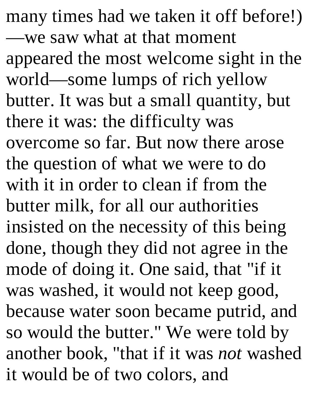many times had we taken it off before!) —we saw what at that moment appeared the most welcome sight in the world—some lumps of rich yellow butter. It was but a small quantity, but there it was: the difficulty was overcome so far. But now there arose the question of what we were to do with it in order to clean if from the butter milk, for all our authorities insisted on the necessity of this being done, though they did not agree in the mode of doing it. One said, that "if it was washed, it would not keep good, because water soon became putrid, and so would the butter." We were told by another book, "that if it was *not* washed it would be of two colors, and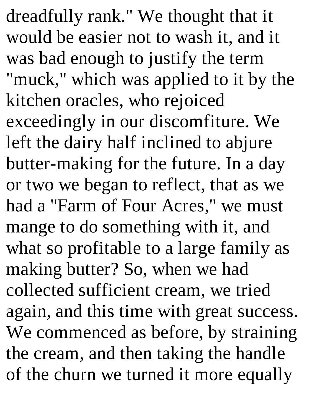dreadfully rank." We thought that it would be easier not to wash it, and it was bad enough to justify the term "muck," which was applied to it by the kitchen oracles, who rejoiced exceedingly in our discomfiture. We left the dairy half inclined to abjure butter-making for the future. In a day or two we began to reflect, that as we had a "Farm of Four Acres," we must mange to do something with it, and what so profitable to a large family as making butter? So, when we had collected sufficient cream, we tried again, and this time with great success. We commenced as before, by straining the cream, and then taking the handle of the churn we turned it more equally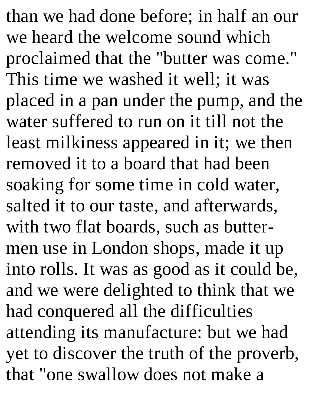than we had done before; in half an our we heard the welcome sound which proclaimed that the "butter was come." This time we washed it well; it was placed in a pan under the pump, and the water suffered to run on it till not the least milkiness appeared in it; we then removed it to a board that had been soaking for some time in cold water, salted it to our taste, and afterwards, with two flat boards, such as buttermen use in London shops, made it up into rolls. It was as good as it could be, and we were delighted to think that we had conquered all the difficulties attending its manufacture: but we had yet to discover the truth of the proverb, that "one swallow does not make a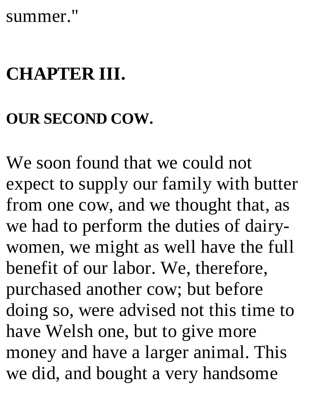#### summer."

# **CHAPTER III.**

### **OUR SECOND COW.**

We soon found that we could not expect to supply our family with butter from one cow, and we thought that, as we had to perform the duties of dairywomen, we might as well have the full benefit of our labor. We, therefore, purchased another cow; but before doing so, were advised not this time to have Welsh one, but to give more money and have a larger animal. This we did, and bought a very handsome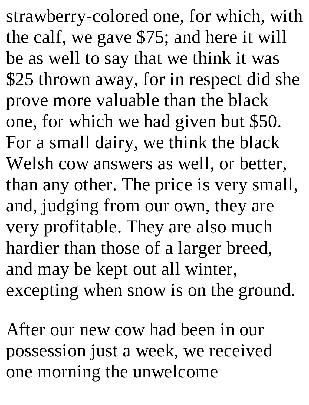strawberry-colored one, for which, with the calf, we gave \$75; and here it will be as well to say that we think it was \$25 thrown away, for in respect did she prove more valuable than the black one, for which we had given but \$50. For a small dairy, we think the black Welsh cow answers as well, or better, than any other. The price is very small, and, judging from our own, they are very profitable. They are also much hardier than those of a larger breed, and may be kept out all winter, excepting when snow is on the ground.

After our new cow had been in our possession just a week, we received one morning the unwelcome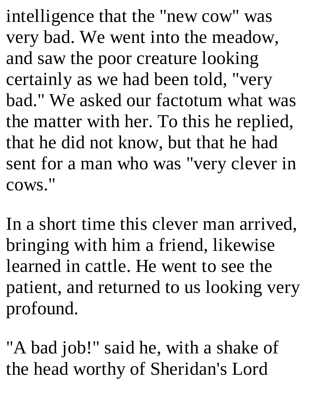intelligence that the "new cow" was very bad. We went into the meadow, and saw the poor creature looking certainly as we had been told, "very bad." We asked our factotum what was the matter with her. To this he replied, that he did not know, but that he had sent for a man who was "very clever in cows."

In a short time this clever man arrived, bringing with him a friend, likewise learned in cattle. He went to see the patient, and returned to us looking very profound.

"A bad job!" said he, with a shake of the head worthy of Sheridan's Lord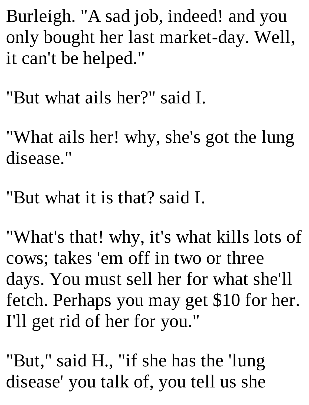Burleigh. "A sad job, indeed! and you only bought her last market-day. Well, it can't be helped."

"But what ails her?" said I.

"What ails her! why, she's got the lung disease."

"But what it is that? said I.

"What's that! why, it's what kills lots of cows; takes 'em off in two or three days. You must sell her for what she'll fetch. Perhaps you may get \$10 for her. I'll get rid of her for you."

"But," said H., "if she has the 'lung disease' you talk of, you tell us she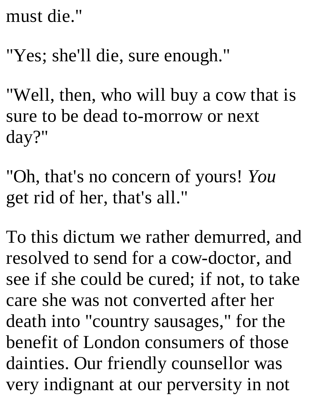must die."

"Yes; she'll die, sure enough."

"Well, then, who will buy a cow that is sure to be dead to-morrow or next day?"

"Oh, that's no concern of yours! *You* get rid of her, that's all."

To this dictum we rather demurred, and resolved to send for a cow-doctor, and see if she could be cured; if not, to take care she was not converted after her death into "country sausages," for the benefit of London consumers of those dainties. Our friendly counsellor was very indignant at our perversity in not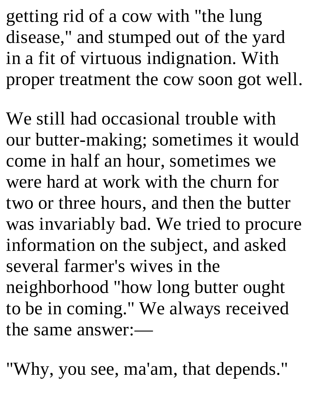getting rid of a cow with "the lung disease," and stumped out of the yard in a fit of virtuous indignation. With proper treatment the cow soon got well.

We still had occasional trouble with our butter-making; sometimes it would come in half an hour, sometimes we were hard at work with the churn for two or three hours, and then the butter was invariably bad. We tried to procure information on the subject, and asked several farmer's wives in the neighborhood "how long butter ought to be in coming." We always received the same answer:—

"Why, you see, ma'am, that depends."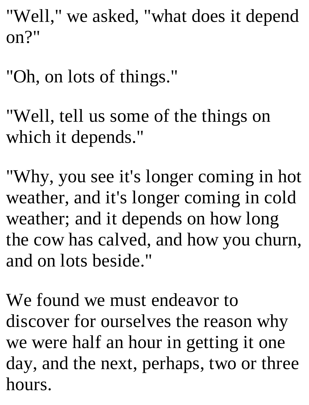"Well," we asked, "what does it depend on?"

- "Oh, on lots of things."
- "Well, tell us some of the things on which it depends."

"Why, you see it's longer coming in hot weather, and it's longer coming in cold weather; and it depends on how long the cow has calved, and how you churn, and on lots beside."

We found we must endeavor to discover for ourselves the reason why we were half an hour in getting it one day, and the next, perhaps, two or three hours.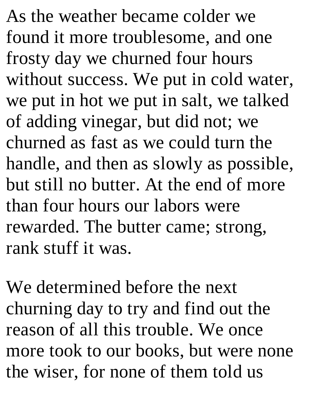As the weather became colder we found it more troublesome, and one frosty day we churned four hours without success. We put in cold water, we put in hot we put in salt, we talked of adding vinegar, but did not; we churned as fast as we could turn the handle, and then as slowly as possible, but still no butter. At the end of more than four hours our labors were rewarded. The butter came; strong, rank stuff it was.

We determined before the next churning day to try and find out the reason of all this trouble. We once more took to our books, but were none the wiser, for none of them told us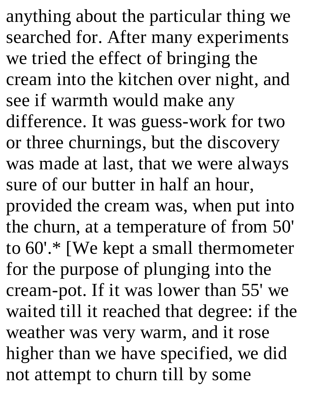anything about the particular thing we searched for. After many experiments we tried the effect of bringing the cream into the kitchen over night, and see if warmth would make any difference. It was guess-work for two or three churnings, but the discovery was made at last, that we were always sure of our butter in half an hour, provided the cream was, when put into the churn, at a temperature of from 50' to 60'.\* [We kept a small thermometer for the purpose of plunging into the cream-pot. If it was lower than 55' we waited till it reached that degree: if the weather was very warm, and it rose higher than we have specified, we did not attempt to churn till by some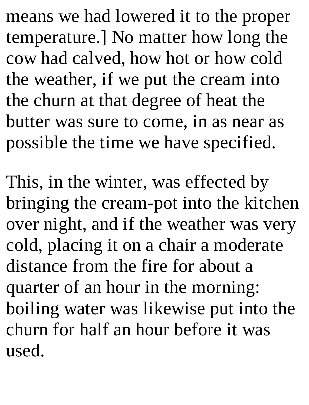means we had lowered it to the proper temperature.] No matter how long the cow had calved, how hot or how cold the weather, if we put the cream into the churn at that degree of heat the butter was sure to come, in as near as possible the time we have specified.

This, in the winter, was effected by bringing the cream-pot into the kitchen over night, and if the weather was very cold, placing it on a chair a moderate distance from the fire for about a quarter of an hour in the morning: boiling water was likewise put into the churn for half an hour before it was used.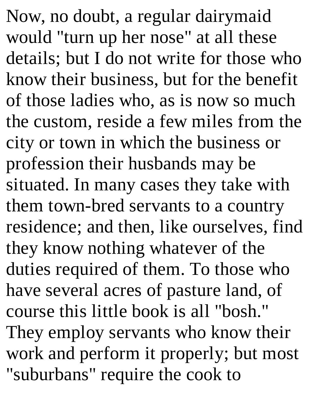Now, no doubt, a regular dairymaid would "turn up her nose" at all these details; but I do not write for those who know their business, but for the benefit of those ladies who, as is now so much the custom, reside a few miles from the city or town in which the business or profession their husbands may be situated. In many cases they take with them town-bred servants to a country residence; and then, like ourselves, find they know nothing whatever of the duties required of them. To those who have several acres of pasture land, of course this little book is all "bosh." They employ servants who know their work and perform it properly; but most "suburbans" require the cook to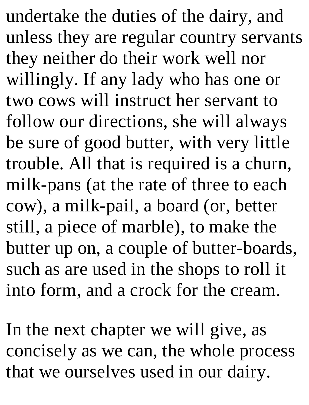undertake the duties of the dairy, and unless they are regular country servants they neither do their work well nor willingly. If any lady who has one or two cows will instruct her servant to follow our directions, she will always be sure of good butter, with very little trouble. All that is required is a churn, milk-pans (at the rate of three to each cow), a milk-pail, a board (or, better still, a piece of marble), to make the butter up on, a couple of butter-boards, such as are used in the shops to roll it into form, and a crock for the cream.

In the next chapter we will give, as concisely as we can, the whole process that we ourselves used in our dairy.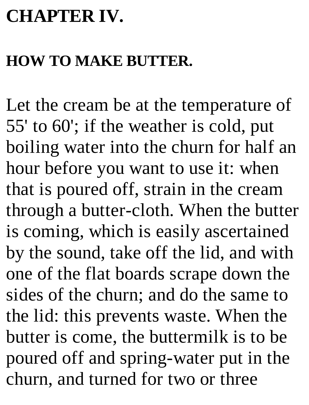## **CHAPTER IV.**

### **HOW TO MAKE BUTTER.**

Let the cream be at the temperature of 55' to 60'; if the weather is cold, put boiling water into the churn for half an hour before you want to use it: when that is poured off, strain in the cream through a butter-cloth. When the butter is coming, which is easily ascertained by the sound, take off the lid, and with one of the flat boards scrape down the sides of the churn; and do the same to the lid: this prevents waste. When the butter is come, the buttermilk is to be poured off and spring-water put in the churn, and turned for two or three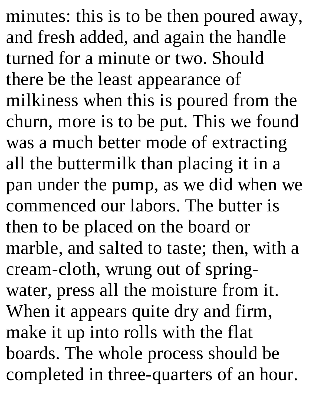minutes: this is to be then poured away, and fresh added, and again the handle turned for a minute or two. Should there be the least appearance of milkiness when this is poured from the churn, more is to be put. This we found was a much better mode of extracting all the buttermilk than placing it in a pan under the pump, as we did when we commenced our labors. The butter is then to be placed on the board or marble, and salted to taste; then, with a cream-cloth, wrung out of springwater, press all the moisture from it. When it appears quite dry and firm, make it up into rolls with the flat boards. The whole process should be completed in three-quarters of an hour.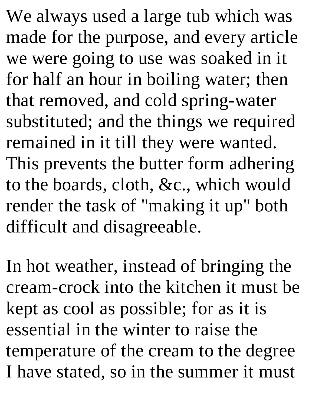We always used a large tub which was made for the purpose, and every article we were going to use was soaked in it for half an hour in boiling water; then that removed, and cold spring-water substituted; and the things we required remained in it till they were wanted. This prevents the butter form adhering to the boards, cloth, &c., which would render the task of "making it up" both difficult and disagreeable.

In hot weather, instead of bringing the cream-crock into the kitchen it must be kept as cool as possible; for as it is essential in the winter to raise the temperature of the cream to the degree I have stated, so in the summer it must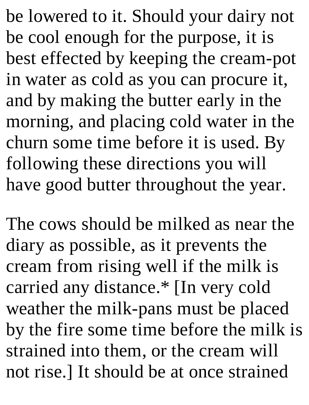be lowered to it. Should your dairy not be cool enough for the purpose, it is best effected by keeping the cream-pot in water as cold as you can procure it, and by making the butter early in the morning, and placing cold water in the churn some time before it is used. By following these directions you will have good butter throughout the year.

The cows should be milked as near the diary as possible, as it prevents the cream from rising well if the milk is carried any distance.\* [In very cold weather the milk-pans must be placed by the fire some time before the milk is strained into them, or the cream will not rise.] It should be at once strained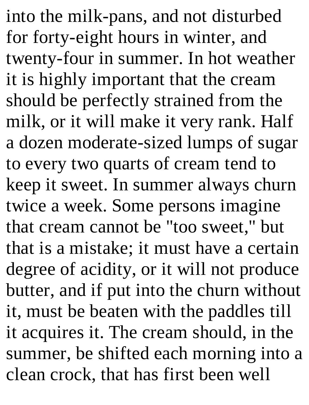into the milk-pans, and not disturbed for forty-eight hours in winter, and twenty-four in summer. In hot weather it is highly important that the cream should be perfectly strained from the milk, or it will make it very rank. Half a dozen moderate-sized lumps of sugar to every two quarts of cream tend to keep it sweet. In summer always churn twice a week. Some persons imagine that cream cannot be "too sweet," but that is a mistake; it must have a certain degree of acidity, or it will not produce butter, and if put into the churn without it, must be beaten with the paddles till it acquires it. The cream should, in the summer, be shifted each morning into a clean crock, that has first been well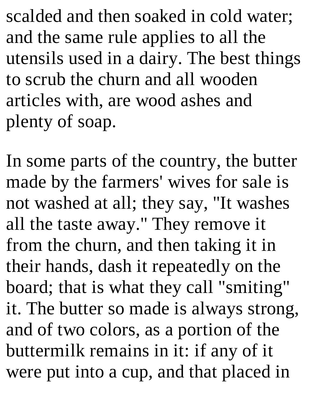scalded and then soaked in cold water; and the same rule applies to all the utensils used in a dairy. The best things to scrub the churn and all wooden articles with, are wood ashes and plenty of soap.

In some parts of the country, the butter made by the farmers' wives for sale is not washed at all; they say, "It washes all the taste away." They remove it from the churn, and then taking it in their hands, dash it repeatedly on the board; that is what they call "smiting" it. The butter so made is always strong, and of two colors, as a portion of the buttermilk remains in it: if any of it were put into a cup, and that placed in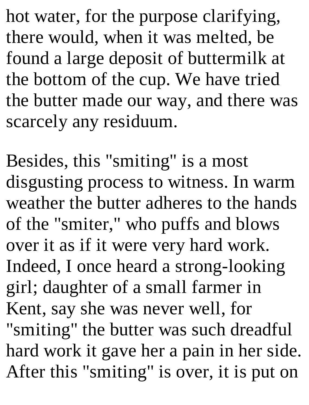hot water, for the purpose clarifying, there would, when it was melted, be found a large deposit of buttermilk at the bottom of the cup. We have tried the butter made our way, and there was scarcely any residuum.

Besides, this "smiting" is a most disgusting process to witness. In warm weather the butter adheres to the hands of the "smiter," who puffs and blows over it as if it were very hard work. Indeed, I once heard a strong-looking girl; daughter of a small farmer in Kent, say she was never well, for "smiting" the butter was such dreadful hard work it gave her a pain in her side. After this "smiting" is over, it is put on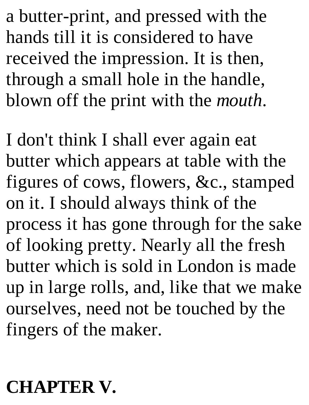a butter-print, and pressed with the hands till it is considered to have received the impression. It is then, through a small hole in the handle, blown off the print with the *mouth*.

I don't think I shall ever again eat butter which appears at table with the figures of cows, flowers, &c., stamped on it. I should always think of the process it has gone through for the sake of looking pretty. Nearly all the fresh butter which is sold in London is made up in large rolls, and, like that we make ourselves, need not be touched by the fingers of the maker.

### **CHAPTER V.**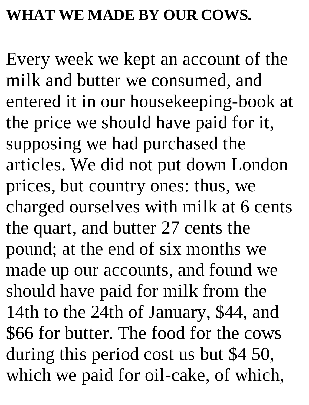#### **WHAT WE MADE BY OUR COWS.**

Every week we kept an account of the milk and butter we consumed, and entered it in our housekeeping-book at the price we should have paid for it, supposing we had purchased the articles. We did not put down London prices, but country ones: thus, we charged ourselves with milk at 6 cents the quart, and butter 27 cents the pound; at the end of six months we made up our accounts, and found we should have paid for milk from the 14th to the 24th of January, \$44, and \$66 for butter. The food for the cows during this period cost us but \$4 50, which we paid for oil-cake, of which,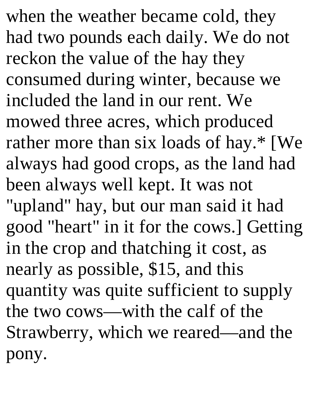when the weather became cold, they had two pounds each daily. We do not reckon the value of the hay they consumed during winter, because we included the land in our rent. We mowed three acres, which produced rather more than six loads of hay.\* [We always had good crops, as the land had been always well kept. It was not "upland" hay, but our man said it had good "heart" in it for the cows.] Getting in the crop and thatching it cost, as nearly as possible, \$15, and this quantity was quite sufficient to supply the two cows—with the calf of the Strawberry, which we reared—and the pony.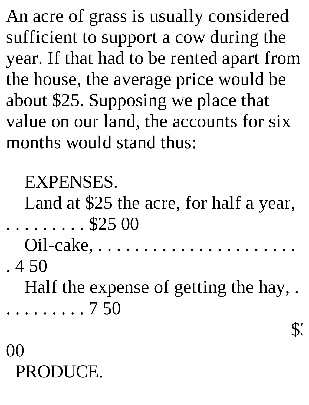An acre of grass is usually considered sufficient to support a cow during the year. If that had to be rented apart from the house, the average price would be about \$25. Supposing we place that value on our land, the accounts for six months would stand thus:

### EXPENSES.

Land at \$25 the acre, for half a year, . . . . . . . . . \$25 00

Oil-cake, . . . . . . . . . . . . . . . . . . . . . .

. 4 50

Half the expense of getting the hay, .

. . . . . . . . . 7 50

\$.

# 00 PRODUCE.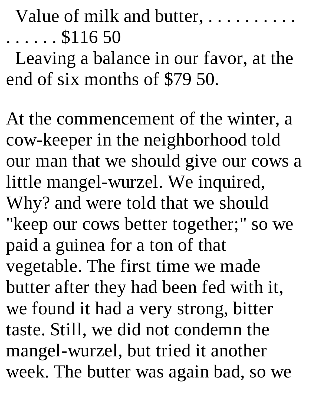Value of milk and butter, .........  $\ldots$ .  $$116\,50$ 

Leaving a balance in our favor, at the end of six months of \$79 50.

At the commencement of the winter, a cow-keeper in the neighborhood told our man that we should give our cows a little mangel-wurzel. We inquired, Why? and were told that we should "keep our cows better together;" so we paid a guinea for a ton of that vegetable. The first time we made butter after they had been fed with it, we found it had a very strong, bitter taste. Still, we did not condemn the mangel-wurzel, but tried it another week. The butter was again bad, so we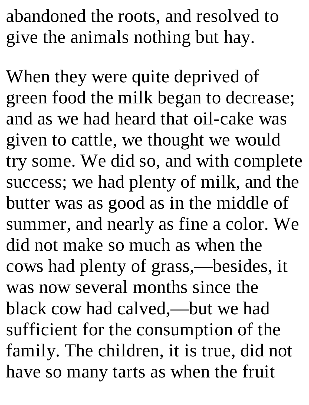abandoned the roots, and resolved to give the animals nothing but hay.

When they were quite deprived of green food the milk began to decrease; and as we had heard that oil-cake was given to cattle, we thought we would try some. We did so, and with complete success; we had plenty of milk, and the butter was as good as in the middle of summer, and nearly as fine a color. We did not make so much as when the cows had plenty of grass,—besides, it was now several months since the black cow had calved,—but we had sufficient for the consumption of the family. The children, it is true, did not have so many tarts as when the fruit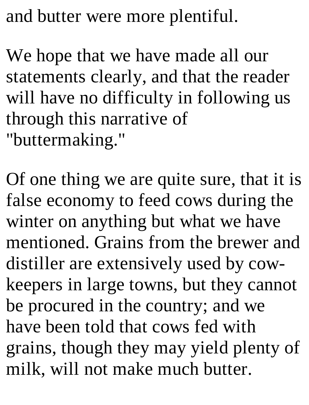and butter were more plentiful.

We hope that we have made all our statements clearly, and that the reader will have no difficulty in following us through this narrative of "buttermaking."

Of one thing we are quite sure, that it is false economy to feed cows during the winter on anything but what we have mentioned. Grains from the brewer and distiller are extensively used by cowkeepers in large towns, but they cannot be procured in the country; and we have been told that cows fed with grains, though they may yield plenty of milk, will not make much butter.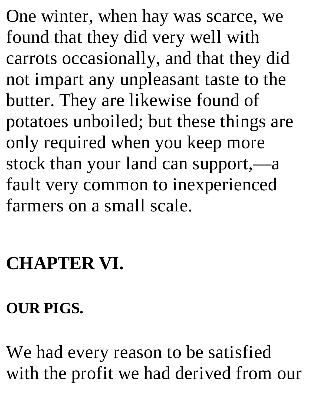One winter, when hay was scarce, we found that they did very well with carrots occasionally, and that they did not impart any unpleasant taste to the butter. They are likewise found of potatoes unboiled; but these things are only required when you keep more stock than your land can support,—a fault very common to inexperienced farmers on a small scale.

## **CHAPTER VI.**

#### **OUR PIGS.**

We had every reason to be satisfied with the profit we had derived from our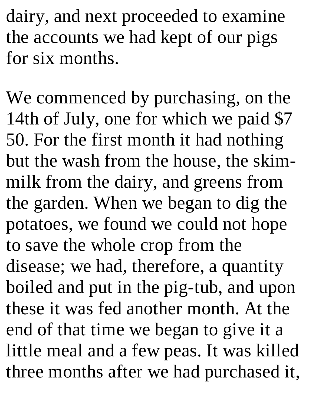dairy, and next proceeded to examine the accounts we had kept of our pigs for six months.

We commenced by purchasing, on the 14th of July, one for which we paid \$7 50. For the first month it had nothing but the wash from the house, the skimmilk from the dairy, and greens from the garden. When we began to dig the potatoes, we found we could not hope to save the whole crop from the disease; we had, therefore, a quantity boiled and put in the pig-tub, and upon these it was fed another month. At the end of that time we began to give it a little meal and a few peas. It was killed three months after we had purchased it,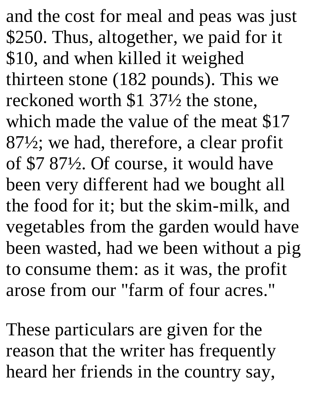and the cost for meal and peas was just \$250. Thus, altogether, we paid for it \$10, and when killed it weighed thirteen stone (182 pounds). This we reckoned worth \$1 37½ the stone, which made the value of the meat \$17 87½; we had, therefore, a clear profit of \$7 87½. Of course, it would have been very different had we bought all the food for it; but the skim-milk, and vegetables from the garden would have been wasted, had we been without a pig to consume them: as it was, the profit arose from our "farm of four acres."

These particulars are given for the reason that the writer has frequently heard her friends in the country say,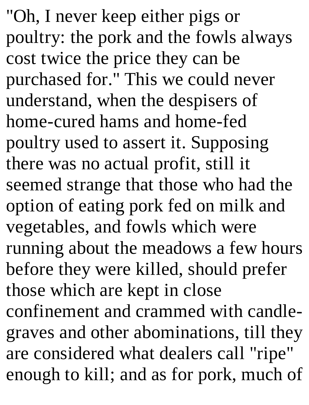"Oh, I never keep either pigs or poultry: the pork and the fowls always cost twice the price they can be purchased for." This we could never understand, when the despisers of home-cured hams and home-fed poultry used to assert it. Supposing there was no actual profit, still it seemed strange that those who had the option of eating pork fed on milk and vegetables, and fowls which were running about the meadows a few hours before they were killed, should prefer those which are kept in close confinement and crammed with candlegraves and other abominations, till they are considered what dealers call "ripe" enough to kill; and as for pork, much of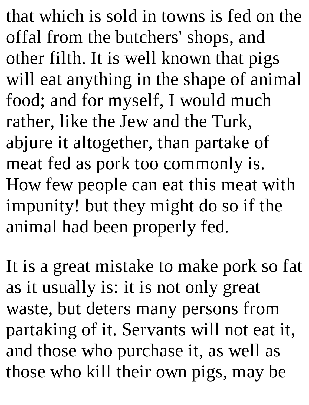that which is sold in towns is fed on the offal from the butchers' shops, and other filth. It is well known that pigs will eat anything in the shape of animal food; and for myself, I would much rather, like the Jew and the Turk, abjure it altogether, than partake of meat fed as pork too commonly is. How few people can eat this meat with impunity! but they might do so if the animal had been properly fed.

It is a great mistake to make pork so fat as it usually is: it is not only great waste, but deters many persons from partaking of it. Servants will not eat it, and those who purchase it, as well as those who kill their own pigs, may be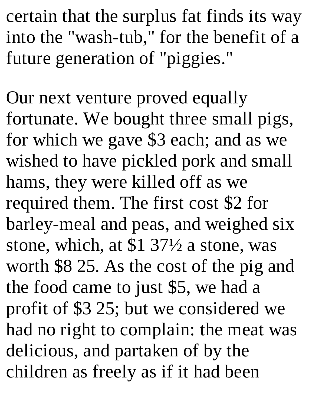certain that the surplus fat finds its way into the "wash-tub," for the benefit of a future generation of "piggies."

Our next venture proved equally fortunate. We bought three small pigs, for which we gave \$3 each; and as we wished to have pickled pork and small hams, they were killed off as we required them. The first cost \$2 for barley-meal and peas, and weighed six stone, which, at \$1 37½ a stone, was worth \$8 25. As the cost of the pig and the food came to just \$5, we had a profit of \$3 25; but we considered we had no right to complain: the meat was delicious, and partaken of by the children as freely as if it had been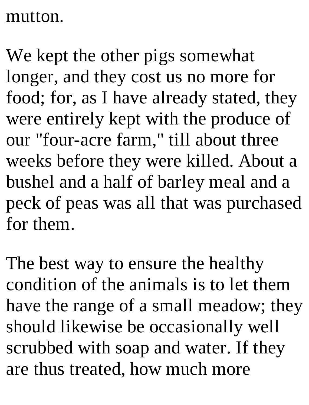#### mutton.

We kept the other pigs somewhat longer, and they cost us no more for food; for, as I have already stated, they were entirely kept with the produce of our "four-acre farm," till about three weeks before they were killed. About a bushel and a half of barley meal and a peck of peas was all that was purchased for them.

The best way to ensure the healthy condition of the animals is to let them have the range of a small meadow; they should likewise be occasionally well scrubbed with soap and water. If they are thus treated, how much more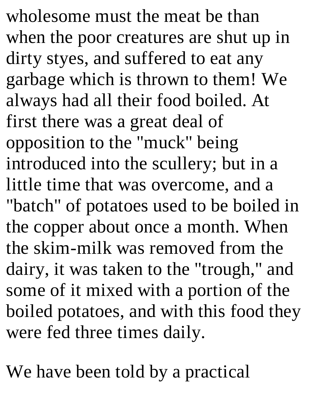wholesome must the meat be than when the poor creatures are shut up in dirty styes, and suffered to eat any garbage which is thrown to them! We always had all their food boiled. At first there was a great deal of opposition to the "muck" being introduced into the scullery; but in a little time that was overcome, and a "batch" of potatoes used to be boiled in the copper about once a month. When the skim-milk was removed from the dairy, it was taken to the "trough," and some of it mixed with a portion of the boiled potatoes, and with this food they were fed three times daily.

We have been told by a practical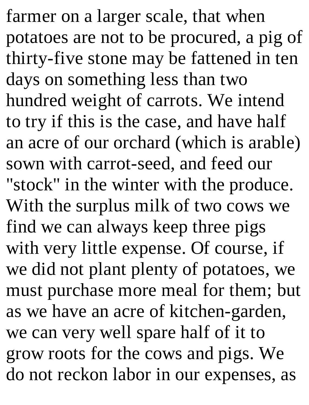farmer on a larger scale, that when potatoes are not to be procured, a pig of thirty-five stone may be fattened in ten days on something less than two hundred weight of carrots. We intend to try if this is the case, and have half an acre of our orchard (which is arable) sown with carrot-seed, and feed our "stock" in the winter with the produce. With the surplus milk of two cows we find we can always keep three pigs with very little expense. Of course, if we did not plant plenty of potatoes, we must purchase more meal for them; but as we have an acre of kitchen-garden, we can very well spare half of it to grow roots for the cows and pigs. We do not reckon labor in our expenses, as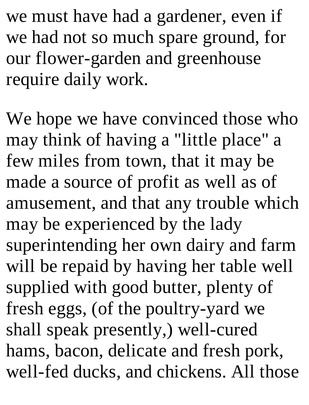we must have had a gardener, even if we had not so much spare ground, for our flower-garden and greenhouse require daily work.

We hope we have convinced those who may think of having a "little place" a few miles from town, that it may be made a source of profit as well as of amusement, and that any trouble which may be experienced by the lady superintending her own dairy and farm will be repaid by having her table well supplied with good butter, plenty of fresh eggs, (of the poultry-yard we shall speak presently,) well-cured hams, bacon, delicate and fresh pork, well-fed ducks, and chickens. All those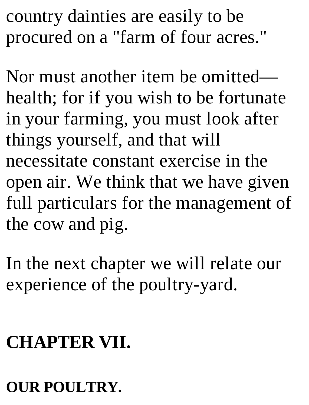country dainties are easily to be procured on a "farm of four acres."

Nor must another item be omitted health; for if you wish to be fortunate in your farming, you must look after things yourself, and that will necessitate constant exercise in the open air. We think that we have given full particulars for the management of the cow and pig.

In the next chapter we will relate our experience of the poultry-yard.

# **CHAPTER VII.**

#### **OUR POULTRY.**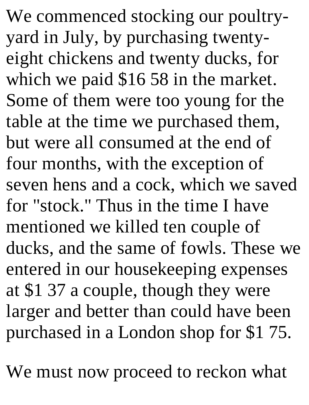We commenced stocking our poultryyard in July, by purchasing twentyeight chickens and twenty ducks, for which we paid \$16 58 in the market. Some of them were too young for the table at the time we purchased them, but were all consumed at the end of four months, with the exception of seven hens and a cock, which we saved for "stock." Thus in the time I have mentioned we killed ten couple of ducks, and the same of fowls. These we entered in our housekeeping expenses at \$1 37 a couple, though they were larger and better than could have been purchased in a London shop for \$1 75.

We must now proceed to reckon what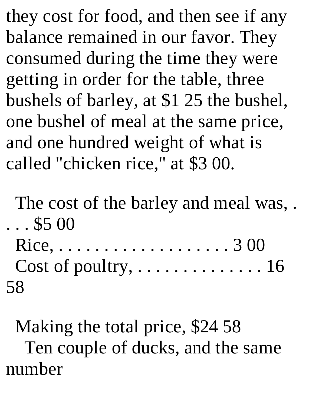they cost for food, and then see if any balance remained in our favor. They consumed during the time they were getting in order for the table, three bushels of barley, at \$1 25 the bushel, one bushel of meal at the same price, and one hundred weight of what is called "chicken rice," at \$3 00.

The cost of the barley and meal was, .  $\ldots$  \$5 00

Rice, . . . . . . . . . . . . . . . . . . . 3 00 Cost of poultry, . . . . . . . . . . . . . . 16 58

Making the total price, \$24 58 Ten couple of ducks, and the same number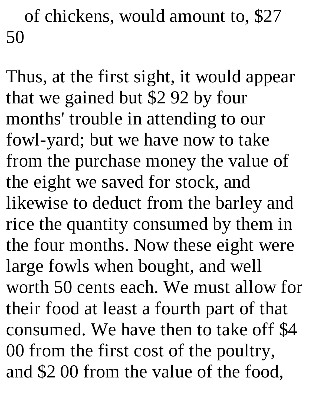of chickens, would amount to, \$27 50

Thus, at the first sight, it would appear that we gained but \$2 92 by four months' trouble in attending to our fowl-yard; but we have now to take from the purchase money the value of the eight we saved for stock, and likewise to deduct from the barley and rice the quantity consumed by them in the four months. Now these eight were large fowls when bought, and well worth 50 cents each. We must allow for their food at least a fourth part of that consumed. We have then to take off \$4 00 from the first cost of the poultry, and \$2 00 from the value of the food,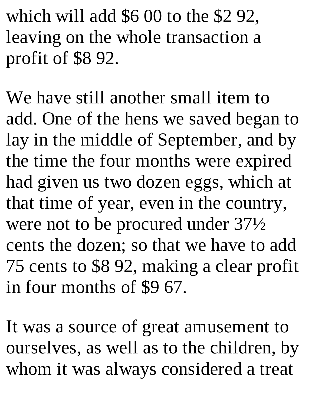which will add \$6 00 to the \$2 92, leaving on the whole transaction a profit of \$8 92.

We have still another small item to add. One of the hens we saved began to lay in the middle of September, and by the time the four months were expired had given us two dozen eggs, which at that time of year, even in the country, were not to be procured under 37½ cents the dozen; so that we have to add 75 cents to \$8 92, making a clear profit in four months of \$9 67.

It was a source of great amusement to ourselves, as well as to the children, by whom it was always considered a treat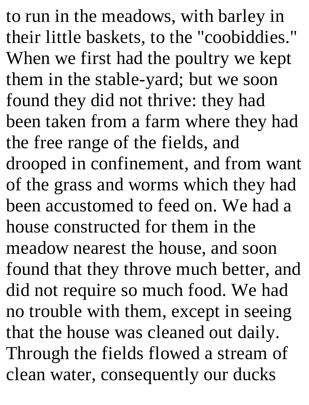to run in the meadows, with barley in their little baskets, to the "coobiddies." When we first had the poultry we kept them in the stable-yard; but we soon found they did not thrive: they had been taken from a farm where they had the free range of the fields, and drooped in confinement, and from want of the grass and worms which they had been accustomed to feed on. We had a house constructed for them in the meadow nearest the house, and soon found that they throve much better, and did not require so much food. We had no trouble with them, except in seeing that the house was cleaned out daily. Through the fields flowed a stream of clean water, consequently our ducks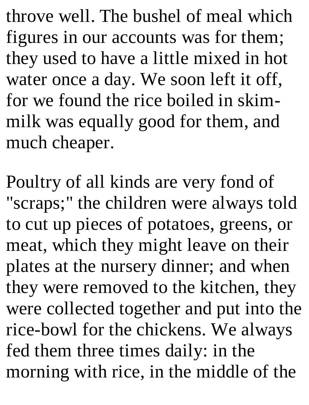throve well. The bushel of meal which figures in our accounts was for them; they used to have a little mixed in hot water once a day. We soon left it off, for we found the rice boiled in skimmilk was equally good for them, and much cheaper.

Poultry of all kinds are very fond of "scraps;" the children were always told to cut up pieces of potatoes, greens, or meat, which they might leave on their plates at the nursery dinner; and when they were removed to the kitchen, they were collected together and put into the rice-bowl for the chickens. We always fed them three times daily: in the morning with rice, in the middle of the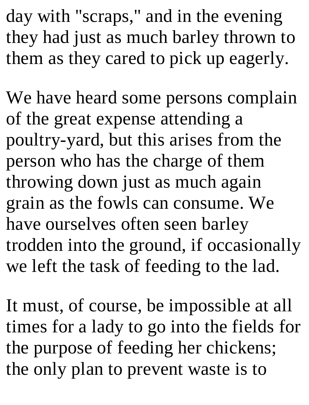day with "scraps," and in the evening they had just as much barley thrown to them as they cared to pick up eagerly.

We have heard some persons complain of the great expense attending a poultry-yard, but this arises from the person who has the charge of them throwing down just as much again grain as the fowls can consume. We have ourselves often seen barley trodden into the ground, if occasionally we left the task of feeding to the lad.

It must, of course, be impossible at all times for a lady to go into the fields for the purpose of feeding her chickens; the only plan to prevent waste is to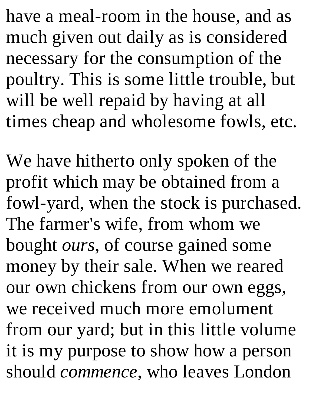have a meal-room in the house, and as much given out daily as is considered necessary for the consumption of the poultry. This is some little trouble, but will be well repaid by having at all times cheap and wholesome fowls, etc.

We have hitherto only spoken of the profit which may be obtained from a fowl-yard, when the stock is purchased. The farmer's wife, from whom we bought *ours*, of course gained some money by their sale. When we reared our own chickens from our own eggs, we received much more emolument from our yard; but in this little volume it is my purpose to show how a person should *commence*, who leaves London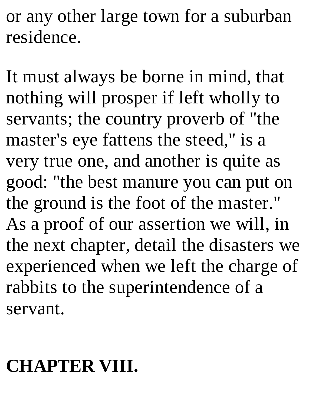or any other large town for a suburban residence.

It must always be borne in mind, that nothing will prosper if left wholly to servants; the country proverb of "the master's eye fattens the steed," is a very true one, and another is quite as good: "the best manure you can put on the ground is the foot of the master." As a proof of our assertion we will, in the next chapter, detail the disasters we experienced when we left the charge of rabbits to the superintendence of a servant.

# **CHAPTER VIII.**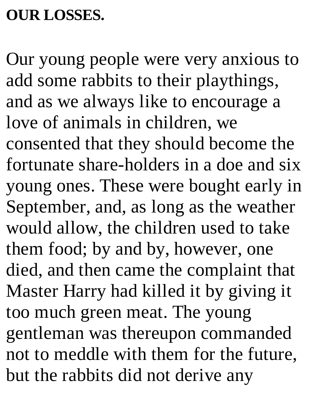#### **OUR LOSSES.**

Our young people were very anxious to add some rabbits to their playthings, and as we always like to encourage a love of animals in children, we consented that they should become the fortunate share-holders in a doe and six young ones. These were bought early in September, and, as long as the weather would allow, the children used to take them food; by and by, however, one died, and then came the complaint that Master Harry had killed it by giving it too much green meat. The young gentleman was thereupon commanded not to meddle with them for the future, but the rabbits did not derive any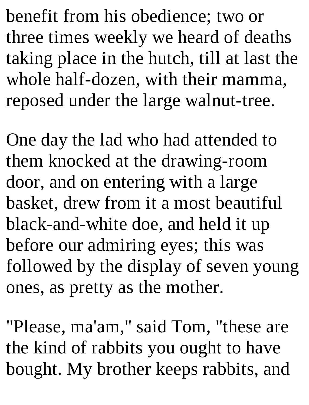benefit from his obedience; two or three times weekly we heard of deaths taking place in the hutch, till at last the whole half-dozen, with their mamma, reposed under the large walnut-tree.

One day the lad who had attended to them knocked at the drawing-room door, and on entering with a large basket, drew from it a most beautiful black-and-white doe, and held it up before our admiring eyes; this was followed by the display of seven young ones, as pretty as the mother.

"Please, ma'am," said Tom, "these are the kind of rabbits you ought to have bought. My brother keeps rabbits, and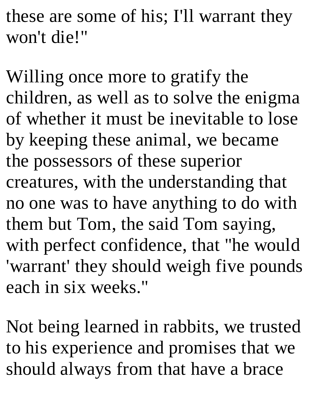these are some of his; I'll warrant they won't die!"

Willing once more to gratify the children, as well as to solve the enigma of whether it must be inevitable to lose by keeping these animal, we became the possessors of these superior creatures, with the understanding that no one was to have anything to do with them but Tom, the said Tom saying, with perfect confidence, that "he would 'warrant' they should weigh five pounds each in six weeks."

Not being learned in rabbits, we trusted to his experience and promises that we should always from that have a brace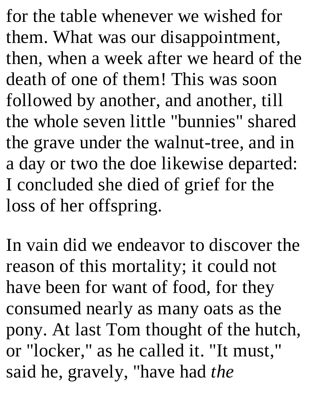for the table whenever we wished for them. What was our disappointment, then, when a week after we heard of the death of one of them! This was soon followed by another, and another, till the whole seven little "bunnies" shared the grave under the walnut-tree, and in a day or two the doe likewise departed: I concluded she died of grief for the loss of her offspring.

In vain did we endeavor to discover the reason of this mortality; it could not have been for want of food, for they consumed nearly as many oats as the pony. At last Tom thought of the hutch, or "locker," as he called it. "It must," said he, gravely, "have had *the*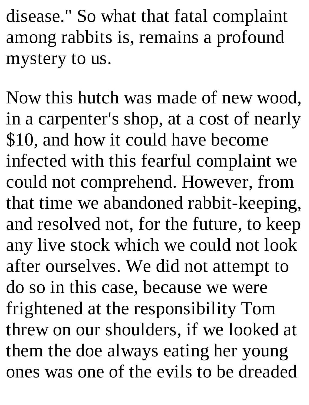disease." So what that fatal complaint among rabbits is, remains a profound mystery to us.

Now this hutch was made of new wood, in a carpenter's shop, at a cost of nearly \$10, and how it could have become infected with this fearful complaint we could not comprehend. However, from that time we abandoned rabbit-keeping, and resolved not, for the future, to keep any live stock which we could not look after ourselves. We did not attempt to do so in this case, because we were frightened at the responsibility Tom threw on our shoulders, if we looked at them the doe always eating her young ones was one of the evils to be dreaded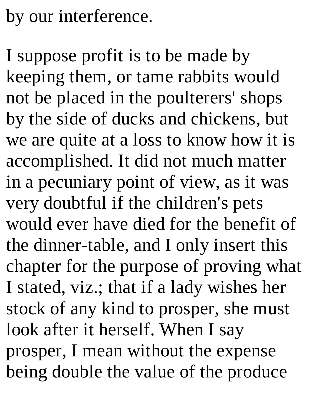# by our interference.

I suppose profit is to be made by keeping them, or tame rabbits would not be placed in the poulterers' shops by the side of ducks and chickens, but we are quite at a loss to know how it is accomplished. It did not much matter in a pecuniary point of view, as it was very doubtful if the children's pets would ever have died for the benefit of the dinner-table, and I only insert this chapter for the purpose of proving what I stated, viz.; that if a lady wishes her stock of any kind to prosper, she must look after it herself. When I say prosper, I mean without the expense being double the value of the produce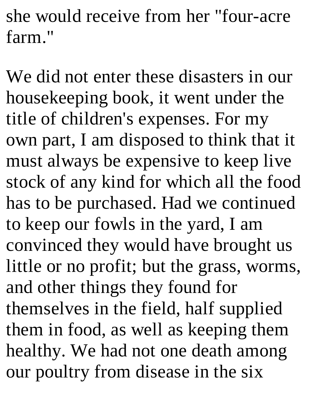she would receive from her "four-acre farm."

We did not enter these disasters in our housekeeping book, it went under the title of children's expenses. For my own part, I am disposed to think that it must always be expensive to keep live stock of any kind for which all the food has to be purchased. Had we continued to keep our fowls in the yard, I am convinced they would have brought us little or no profit; but the grass, worms, and other things they found for themselves in the field, half supplied them in food, as well as keeping them healthy. We had not one death among our poultry from disease in the six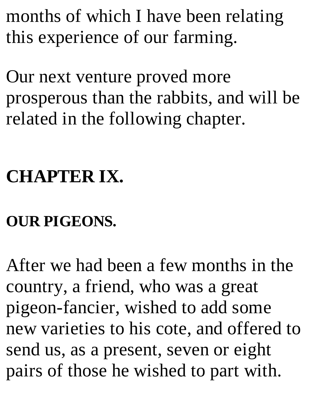months of which I have been relating this experience of our farming.

Our next venture proved more prosperous than the rabbits, and will be related in the following chapter.

# **CHAPTER IX.**

### **OUR PIGEONS.**

After we had been a few months in the country, a friend, who was a great pigeon-fancier, wished to add some new varieties to his cote, and offered to send us, as a present, seven or eight pairs of those he wished to part with.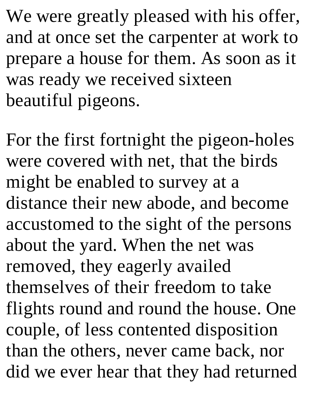We were greatly pleased with his offer, and at once set the carpenter at work to prepare a house for them. As soon as it was ready we received sixteen beautiful pigeons.

For the first fortnight the pigeon-holes were covered with net, that the birds might be enabled to survey at a distance their new abode, and become accustomed to the sight of the persons about the yard. When the net was removed, they eagerly availed themselves of their freedom to take flights round and round the house. One couple, of less contented disposition than the others, never came back, nor did we ever hear that they had returned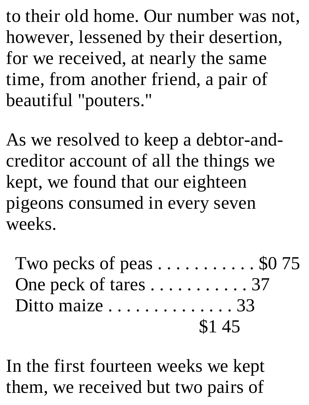to their old home. Our number was not, however, lessened by their desertion, for we received, at nearly the same time, from another friend, a pair of beautiful "pouters."

As we resolved to keep a debtor-andcreditor account of all the things we kept, we found that our eighteen pigeons consumed in every seven weeks.

Two pecks of peas  $\dots \dots \dots \dots$  \$0 75 One peck of tares . . . . . . . . . . . 37 Ditto maize . . . . . . . . . . . . . . 33 \$1 45

In the first fourteen weeks we kept them, we received but two pairs of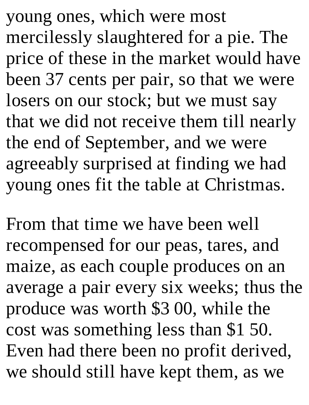young ones, which were most mercilessly slaughtered for a pie. The price of these in the market would have been 37 cents per pair, so that we were losers on our stock; but we must say that we did not receive them till nearly the end of September, and we were agreeably surprised at finding we had young ones fit the table at Christmas.

From that time we have been well recompensed for our peas, tares, and maize, as each couple produces on an average a pair every six weeks; thus the produce was worth \$3 00, while the cost was something less than \$1 50. Even had there been no profit derived, we should still have kept them, as we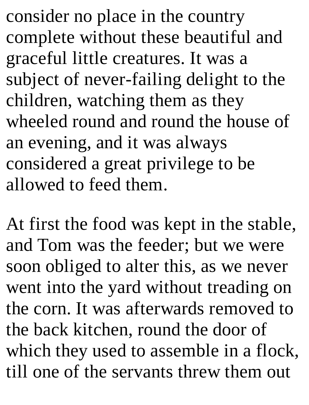consider no place in the country complete without these beautiful and graceful little creatures. It was a subject of never-failing delight to the children, watching them as they wheeled round and round the house of an evening, and it was always considered a great privilege to be allowed to feed them.

At first the food was kept in the stable, and Tom was the feeder; but we were soon obliged to alter this, as we never went into the yard without treading on the corn. It was afterwards removed to the back kitchen, round the door of which they used to assemble in a flock, till one of the servants threw them out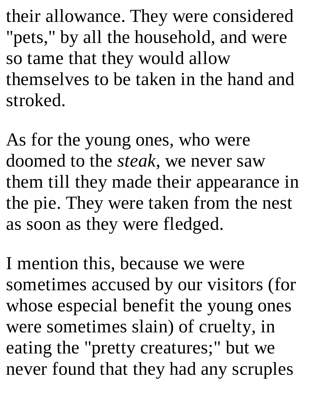their allowance. They were considered "pets," by all the household, and were so tame that they would allow themselves to be taken in the hand and stroked.

As for the young ones, who were doomed to the *steak*, we never saw them till they made their appearance in the pie. They were taken from the nest as soon as they were fledged.

I mention this, because we were sometimes accused by our visitors (for whose especial benefit the young ones were sometimes slain) of cruelty, in eating the "pretty creatures;" but we never found that they had any scruples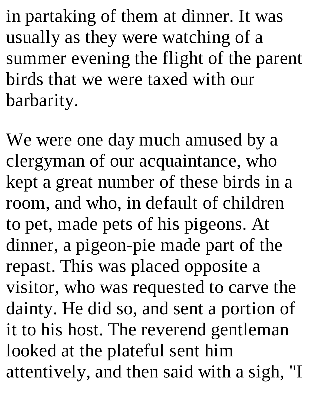in partaking of them at dinner. It was usually as they were watching of a summer evening the flight of the parent birds that we were taxed with our barbarity.

We were one day much amused by a clergyman of our acquaintance, who kept a great number of these birds in a room, and who, in default of children to pet, made pets of his pigeons. At dinner, a pigeon-pie made part of the repast. This was placed opposite a visitor, who was requested to carve the dainty. He did so, and sent a portion of it to his host. The reverend gentleman looked at the plateful sent him attentively, and then said with a sigh, "I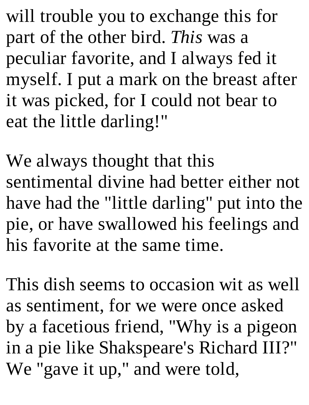will trouble you to exchange this for part of the other bird. *This* was a peculiar favorite, and I always fed it myself. I put a mark on the breast after it was picked, for I could not bear to eat the little darling!"

We always thought that this sentimental divine had better either not have had the "little darling" put into the pie, or have swallowed his feelings and his favorite at the same time.

This dish seems to occasion wit as well as sentiment, for we were once asked by a facetious friend, "Why is a pigeon in a pie like Shakspeare's Richard III?" We "gave it up," and were told,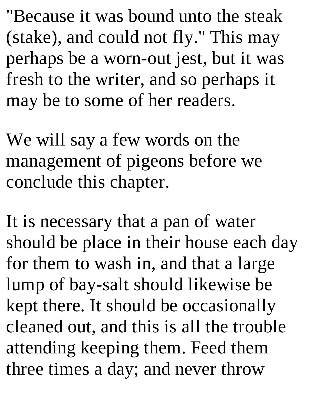"Because it was bound unto the steak (stake), and could not fly." This may perhaps be a worn-out jest, but it was fresh to the writer, and so perhaps it may be to some of her readers.

We will say a few words on the management of pigeons before we conclude this chapter.

It is necessary that a pan of water should be place in their house each day for them to wash in, and that a large lump of bay-salt should likewise be kept there. It should be occasionally cleaned out, and this is all the trouble attending keeping them. Feed them three times a day; and never throw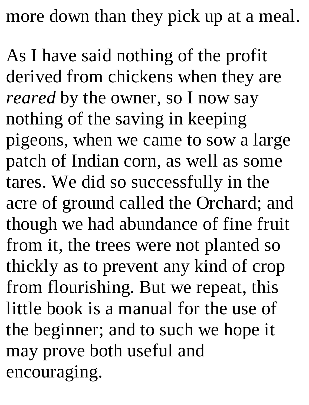more down than they pick up at a meal.

As I have said nothing of the profit derived from chickens when they are *reared* by the owner, so I now say nothing of the saving in keeping pigeons, when we came to sow a large patch of Indian corn, as well as some tares. We did so successfully in the acre of ground called the Orchard; and though we had abundance of fine fruit from it, the trees were not planted so thickly as to prevent any kind of crop from flourishing. But we repeat, this little book is a manual for the use of the beginner; and to such we hope it may prove both useful and encouraging.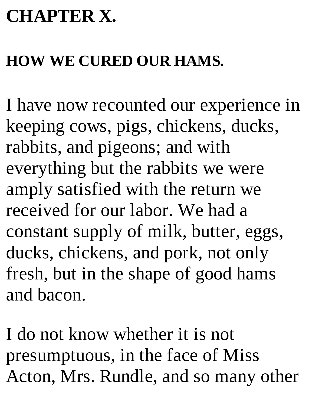## **CHAPTER X.**

#### **HOW WE CURED OUR HAMS.**

I have now recounted our experience in keeping cows, pigs, chickens, ducks, rabbits, and pigeons; and with everything but the rabbits we were amply satisfied with the return we received for our labor. We had a constant supply of milk, butter, eggs, ducks, chickens, and pork, not only fresh, but in the shape of good hams and bacon.

I do not know whether it is not presumptuous, in the face of Miss Acton, Mrs. Rundle, and so many other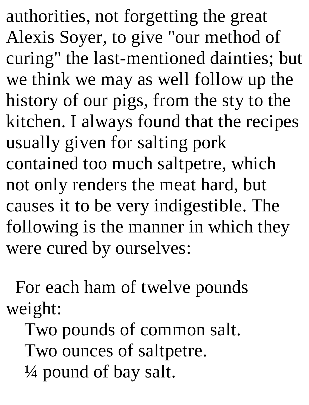authorities, not forgetting the great Alexis Soyer, to give "our method of curing" the last-mentioned dainties; but we think we may as well follow up the history of our pigs, from the sty to the kitchen. I always found that the recipes usually given for salting pork contained too much saltpetre, which not only renders the meat hard, but causes it to be very indigestible. The following is the manner in which they were cured by ourselves:

For each ham of twelve pounds weight:

Two pounds of common salt. Two ounces of saltpetre.  $\frac{1}{4}$  pound of bay salt.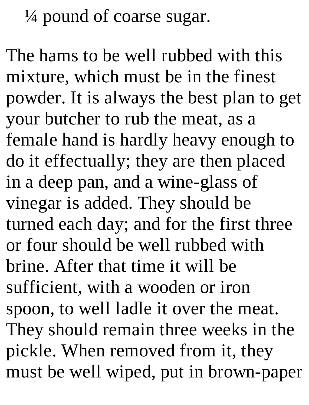$\frac{1}{4}$  pound of coarse sugar.

The hams to be well rubbed with this mixture, which must be in the finest powder. It is always the best plan to get your butcher to rub the meat, as a female hand is hardly heavy enough to do it effectually; they are then placed in a deep pan, and a wine-glass of vinegar is added. They should be turned each day; and for the first three or four should be well rubbed with brine. After that time it will be sufficient, with a wooden or iron spoon, to well ladle it over the meat. They should remain three weeks in the pickle. When removed from it, they must be well wiped, put in brown-paper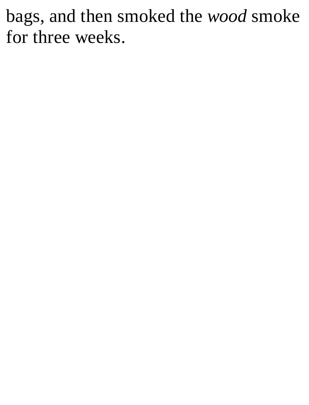### bags, and then smoked the *wood* smoke for three weeks.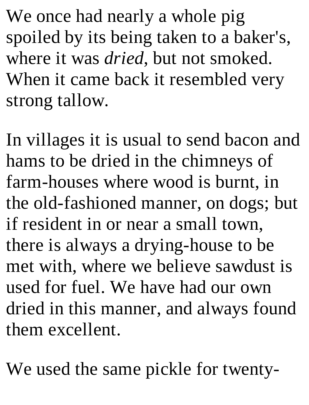We once had nearly a whole pig spoiled by its being taken to a baker's, where it was *dried*, but not smoked. When it came back it resembled very strong tallow.

In villages it is usual to send bacon and hams to be dried in the chimneys of farm-houses where wood is burnt, in the old-fashioned manner, on dogs; but if resident in or near a small town, there is always a drying-house to be met with, where we believe sawdust is used for fuel. We have had our own dried in this manner, and always found them excellent.

We used the same pickle for twenty-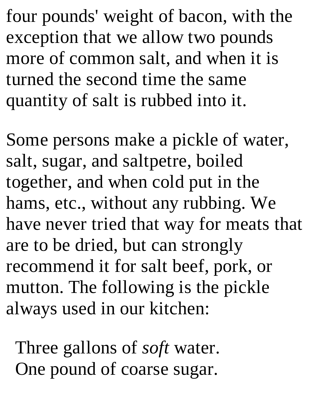four pounds' weight of bacon, with the exception that we allow two pounds more of common salt, and when it is turned the second time the same quantity of salt is rubbed into it.

Some persons make a pickle of water, salt, sugar, and saltpetre, boiled together, and when cold put in the hams, etc., without any rubbing. We have never tried that way for meats that are to be dried, but can strongly recommend it for salt beef, pork, or mutton. The following is the pickle always used in our kitchen:

Three gallons of *soft* water. One pound of coarse sugar.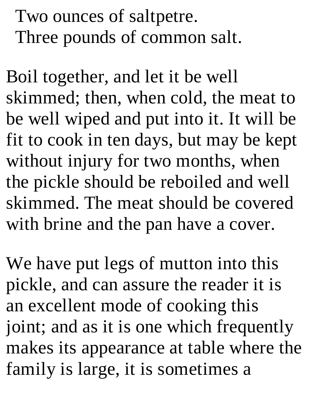Two ounces of saltpetre. Three pounds of common salt.

Boil together, and let it be well skimmed; then, when cold, the meat to be well wiped and put into it. It will be fit to cook in ten days, but may be kept without injury for two months, when the pickle should be reboiled and well skimmed. The meat should be covered with brine and the pan have a cover.

We have put legs of mutton into this pickle, and can assure the reader it is an excellent mode of cooking this joint; and as it is one which frequently makes its appearance at table where the family is large, it is sometimes a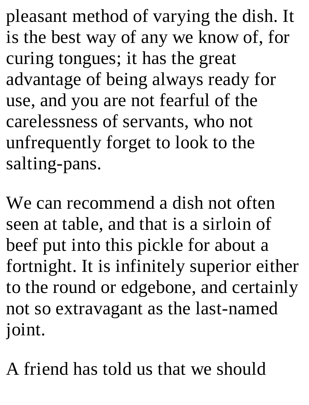pleasant method of varying the dish. It is the best way of any we know of, for curing tongues; it has the great advantage of being always ready for use, and you are not fearful of the carelessness of servants, who not unfrequently forget to look to the salting-pans.

We can recommend a dish not often seen at table, and that is a sirloin of beef put into this pickle for about a fortnight. It is infinitely superior either to the round or edgebone, and certainly not so extravagant as the last-named joint.

A friend has told us that we should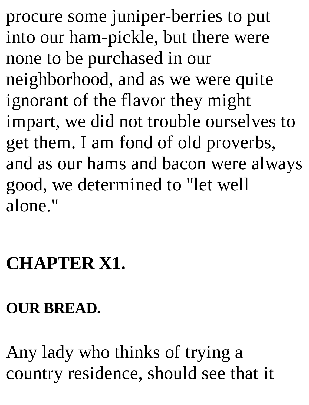procure some juniper-berries to put into our ham-pickle, but there were none to be purchased in our neighborhood, and as we were quite ignorant of the flavor they might impart, we did not trouble ourselves to get them. I am fond of old proverbs, and as our hams and bacon were always good, we determined to "let well alone."

### **CHAPTER X1.**

### **OUR BREAD.**

Any lady who thinks of trying a country residence, should see that it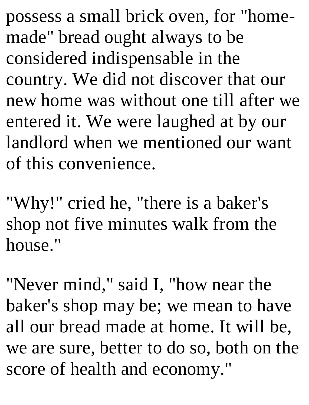possess a small brick oven, for "homemade" bread ought always to be considered indispensable in the country. We did not discover that our new home was without one till after we entered it. We were laughed at by our landlord when we mentioned our want of this convenience.

"Why!" cried he, "there is a baker's shop not five minutes walk from the house."

"Never mind," said I, "how near the baker's shop may be; we mean to have all our bread made at home. It will be, we are sure, better to do so, both on the score of health and economy."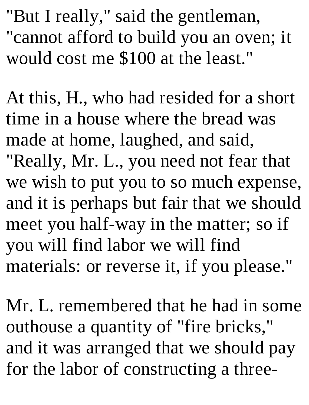"But I really," said the gentleman, "cannot afford to build you an oven; it would cost me \$100 at the least."

At this, H., who had resided for a short time in a house where the bread was made at home, laughed, and said, "Really, Mr. L., you need not fear that we wish to put you to so much expense, and it is perhaps but fair that we should meet you half-way in the matter; so if you will find labor we will find materials: or reverse it, if you please."

Mr. L. remembered that he had in some outhouse a quantity of "fire bricks," and it was arranged that we should pay for the labor of constructing a three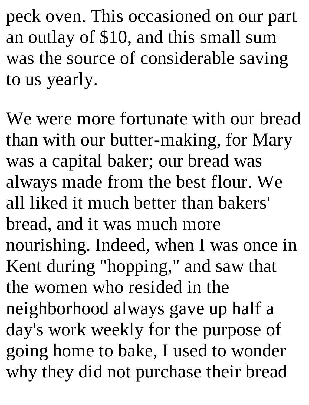peck oven. This occasioned on our part an outlay of \$10, and this small sum was the source of considerable saving to us yearly.

We were more fortunate with our bread than with our butter-making, for Mary was a capital baker; our bread was always made from the best flour. We all liked it much better than bakers' bread, and it was much more nourishing. Indeed, when I was once in Kent during "hopping," and saw that the women who resided in the neighborhood always gave up half a day's work weekly for the purpose of going home to bake, I used to wonder why they did not purchase their bread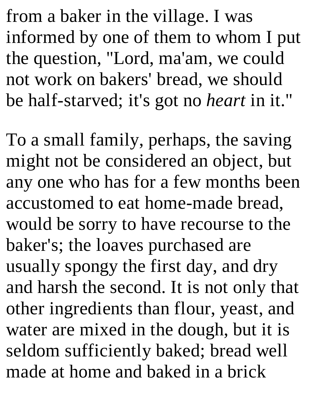from a baker in the village. I was informed by one of them to whom I put the question, "Lord, ma'am, we could not work on bakers' bread, we should be half-starved; it's got no *heart* in it."

To a small family, perhaps, the saving might not be considered an object, but any one who has for a few months been accustomed to eat home-made bread, would be sorry to have recourse to the baker's; the loaves purchased are usually spongy the first day, and dry and harsh the second. It is not only that other ingredients than flour, yeast, and water are mixed in the dough, but it is seldom sufficiently baked; bread well made at home and baked in a brick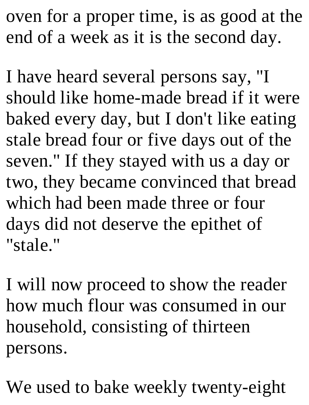oven for a proper time, is as good at the end of a week as it is the second day.

I have heard several persons say, "I should like home-made bread if it were baked every day, but I don't like eating stale bread four or five days out of the seven." If they stayed with us a day or two, they became convinced that bread which had been made three or four days did not deserve the epithet of "stale."

I will now proceed to show the reader how much flour was consumed in our household, consisting of thirteen persons.

We used to bake weekly twenty-eight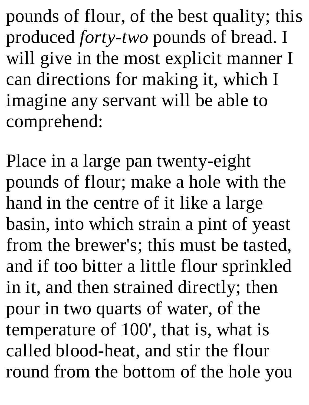pounds of flour, of the best quality; this produced *forty-two* pounds of bread. I will give in the most explicit manner I can directions for making it, which I imagine any servant will be able to comprehend:

Place in a large pan twenty-eight pounds of flour; make a hole with the hand in the centre of it like a large basin, into which strain a pint of yeast from the brewer's; this must be tasted, and if too bitter a little flour sprinkled in it, and then strained directly; then pour in two quarts of water, of the temperature of 100', that is, what is called blood-heat, and stir the flour round from the bottom of the hole you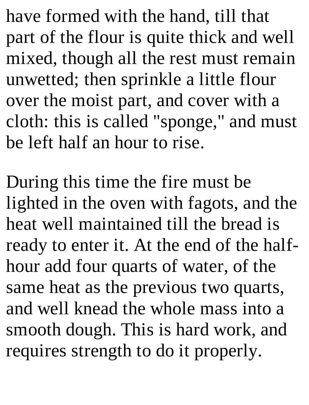have formed with the hand, till that part of the flour is quite thick and well mixed, though all the rest must remain unwetted; then sprinkle a little flour over the moist part, and cover with a cloth: this is called "sponge," and must be left half an hour to rise.

During this time the fire must be lighted in the oven with fagots, and the heat well maintained till the bread is ready to enter it. At the end of the halfhour add four quarts of water, of the same heat as the previous two quarts, and well knead the whole mass into a smooth dough. This is hard work, and requires strength to do it properly.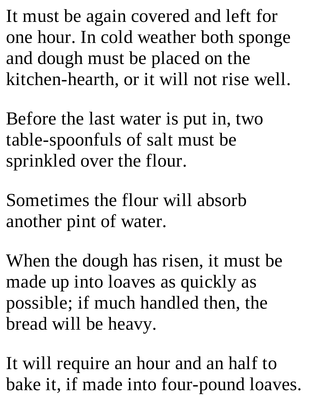It must be again covered and left for one hour. In cold weather both sponge and dough must be placed on the kitchen-hearth, or it will not rise well.

Before the last water is put in, two table-spoonfuls of salt must be sprinkled over the flour.

Sometimes the flour will absorb another pint of water.

When the dough has risen, it must be made up into loaves as quickly as possible; if much handled then, the bread will be heavy.

It will require an hour and an half to bake it, if made into four-pound loaves.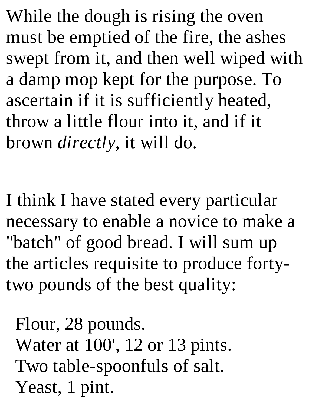While the dough is rising the oven must be emptied of the fire, the ashes swept from it, and then well wiped with a damp mop kept for the purpose. To ascertain if it is sufficiently heated, throw a little flour into it, and if it brown *directly*, it will do.

I think I have stated every particular necessary to enable a novice to make a "batch" of good bread. I will sum up the articles requisite to produce fortytwo pounds of the best quality:

Flour, 28 pounds. Water at 100', 12 or 13 pints. Two table-spoonfuls of salt. Yeast, 1 pint.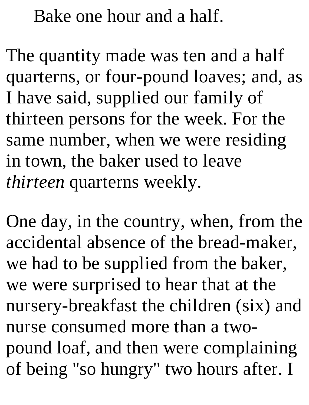Bake one hour and a half.

The quantity made was ten and a half quarterns, or four-pound loaves; and, as I have said, supplied our family of thirteen persons for the week. For the same number, when we were residing in town, the baker used to leave *thirteen* quarterns weekly.

One day, in the country, when, from the accidental absence of the bread-maker, we had to be supplied from the baker, we were surprised to hear that at the nursery-breakfast the children (six) and nurse consumed more than a twopound loaf, and then were complaining of being "so hungry" two hours after. I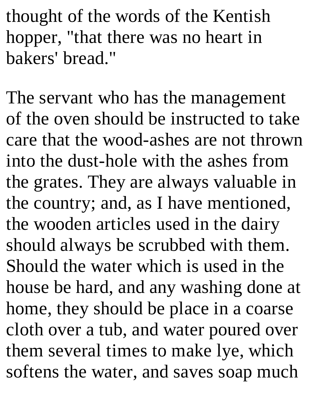thought of the words of the Kentish hopper, "that there was no heart in bakers' bread."

The servant who has the management of the oven should be instructed to take care that the wood-ashes are not thrown into the dust-hole with the ashes from the grates. They are always valuable in the country; and, as I have mentioned, the wooden articles used in the dairy should always be scrubbed with them. Should the water which is used in the house be hard, and any washing done at home, they should be place in a coarse cloth over a tub, and water poured over them several times to make lye, which softens the water, and saves soap much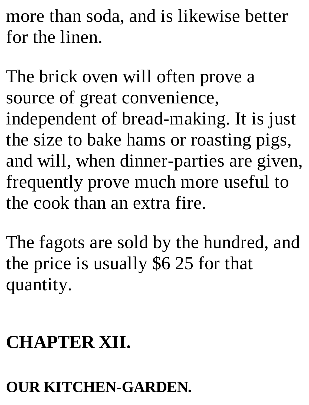more than soda, and is likewise better for the linen.

The brick oven will often prove a source of great convenience, independent of bread-making. It is just the size to bake hams or roasting pigs, and will, when dinner-parties are given, frequently prove much more useful to the cook than an extra fire.

The fagots are sold by the hundred, and the price is usually \$6 25 for that quantity.

# **CHAPTER XII.**

### **OUR KITCHEN-GARDEN.**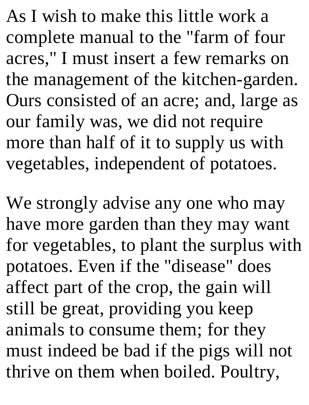As I wish to make this little work a complete manual to the "farm of four acres," I must insert a few remarks on the management of the kitchen-garden. Ours consisted of an acre; and, large as our family was, we did not require more than half of it to supply us with vegetables, independent of potatoes.

We strongly advise any one who may have more garden than they may want for vegetables, to plant the surplus with potatoes. Even if the "disease" does affect part of the crop, the gain will still be great, providing you keep animals to consume them; for they must indeed be bad if the pigs will not thrive on them when boiled. Poultry,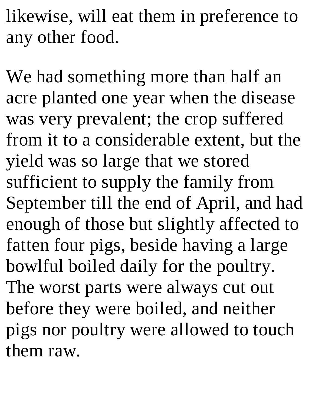likewise, will eat them in preference to any other food.

We had something more than half an acre planted one year when the disease was very prevalent; the crop suffered from it to a considerable extent, but the yield was so large that we stored sufficient to supply the family from September till the end of April, and had enough of those but slightly affected to fatten four pigs, beside having a large bowlful boiled daily for the poultry. The worst parts were always cut out before they were boiled, and neither pigs nor poultry were allowed to touch them raw.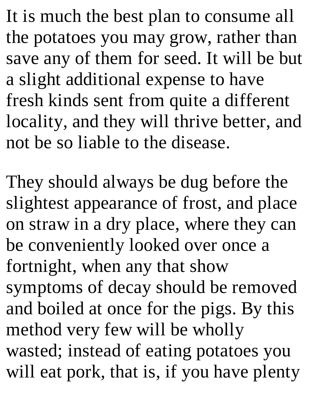It is much the best plan to consume all the potatoes you may grow, rather than save any of them for seed. It will be but a slight additional expense to have fresh kinds sent from quite a different locality, and they will thrive better, and not be so liable to the disease.

They should always be dug before the slightest appearance of frost, and place on straw in a dry place, where they can be conveniently looked over once a fortnight, when any that show symptoms of decay should be removed and boiled at once for the pigs. By this method very few will be wholly wasted; instead of eating potatoes you will eat pork, that is, if you have plenty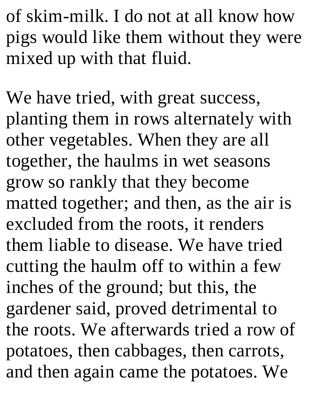of skim-milk. I do not at all know how pigs would like them without they were mixed up with that fluid.

We have tried, with great success, planting them in rows alternately with other vegetables. When they are all together, the haulms in wet seasons grow so rankly that they become matted together; and then, as the air is excluded from the roots, it renders them liable to disease. We have tried cutting the haulm off to within a few inches of the ground; but this, the gardener said, proved detrimental to the roots. We afterwards tried a row of potatoes, then cabbages, then carrots, and then again came the potatoes. We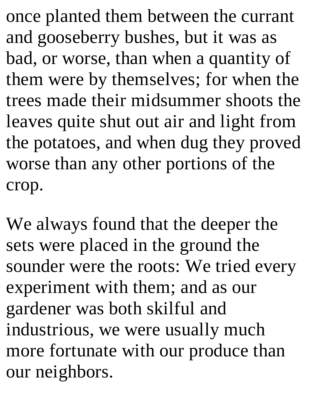once planted them between the currant and gooseberry bushes, but it was as bad, or worse, than when a quantity of them were by themselves; for when the trees made their midsummer shoots the leaves quite shut out air and light from the potatoes, and when dug they proved worse than any other portions of the crop.

We always found that the deeper the sets were placed in the ground the sounder were the roots: We tried every experiment with them; and as our gardener was both skilful and industrious, we were usually much more fortunate with our produce than our neighbors.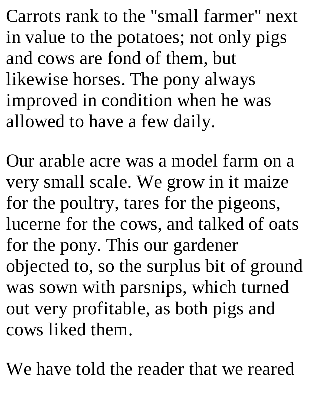Carrots rank to the "small farmer" next in value to the potatoes; not only pigs and cows are fond of them, but likewise horses. The pony always improved in condition when he was allowed to have a few daily.

Our arable acre was a model farm on a very small scale. We grow in it maize for the poultry, tares for the pigeons, lucerne for the cows, and talked of oats for the pony. This our gardener objected to, so the surplus bit of ground was sown with parsnips, which turned out very profitable, as both pigs and cows liked them.

We have told the reader that we reared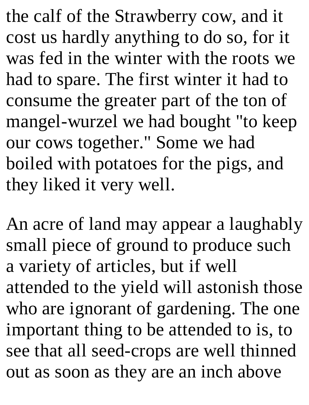the calf of the Strawberry cow, and it cost us hardly anything to do so, for it was fed in the winter with the roots we had to spare. The first winter it had to consume the greater part of the ton of mangel-wurzel we had bought "to keep our cows together." Some we had boiled with potatoes for the pigs, and they liked it very well.

An acre of land may appear a laughably small piece of ground to produce such a variety of articles, but if well attended to the yield will astonish those who are ignorant of gardening. The one important thing to be attended to is, to see that all seed-crops are well thinned out as soon as they are an inch above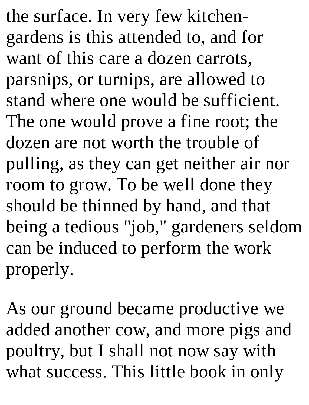the surface. In very few kitchengardens is this attended to, and for want of this care a dozen carrots, parsnips, or turnips, are allowed to stand where one would be sufficient. The one would prove a fine root; the dozen are not worth the trouble of pulling, as they can get neither air nor room to grow. To be well done they should be thinned by hand, and that being a tedious "job," gardeners seldom can be induced to perform the work properly.

As our ground became productive we added another cow, and more pigs and poultry, but I shall not now say with what success. This little book in only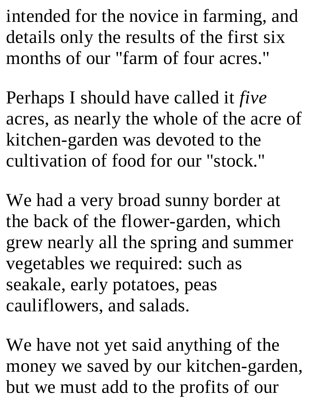intended for the novice in farming, and details only the results of the first six months of our "farm of four acres."

Perhaps I should have called it *five* acres, as nearly the whole of the acre of kitchen-garden was devoted to the cultivation of food for our "stock."

We had a very broad sunny border at the back of the flower-garden, which grew nearly all the spring and summer vegetables we required: such as seakale, early potatoes, peas cauliflowers, and salads.

We have not yet said anything of the money we saved by our kitchen-garden, but we must add to the profits of our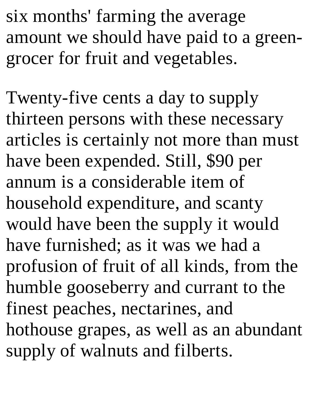six months' farming the average amount we should have paid to a greengrocer for fruit and vegetables.

Twenty-five cents a day to supply thirteen persons with these necessary articles is certainly not more than must have been expended. Still, \$90 per annum is a considerable item of household expenditure, and scanty would have been the supply it would have furnished; as it was we had a profusion of fruit of all kinds, from the humble gooseberry and currant to the finest peaches, nectarines, and hothouse grapes, as well as an abundant supply of walnuts and filberts.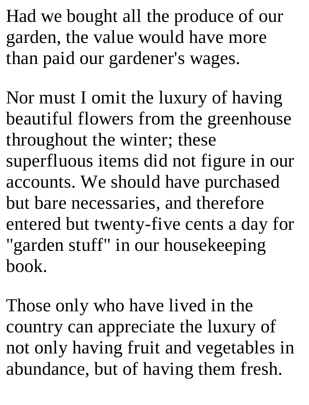Had we bought all the produce of our garden, the value would have more than paid our gardener's wages.

Nor must I omit the luxury of having beautiful flowers from the greenhouse throughout the winter; these superfluous items did not figure in our accounts. We should have purchased but bare necessaries, and therefore entered but twenty-five cents a day for "garden stuff" in our housekeeping book.

Those only who have lived in the country can appreciate the luxury of not only having fruit and vegetables in abundance, but of having them fresh.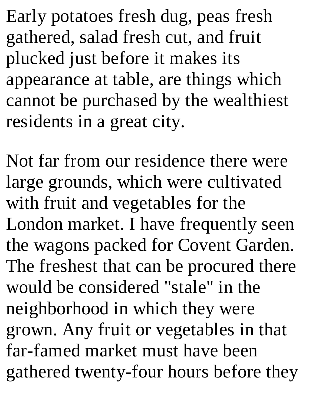Early potatoes fresh dug, peas fresh gathered, salad fresh cut, and fruit plucked just before it makes its appearance at table, are things which cannot be purchased by the wealthiest residents in a great city.

Not far from our residence there were large grounds, which were cultivated with fruit and vegetables for the London market. I have frequently seen the wagons packed for Covent Garden. The freshest that can be procured there would be considered "stale" in the neighborhood in which they were grown. Any fruit or vegetables in that far-famed market must have been gathered twenty-four hours before they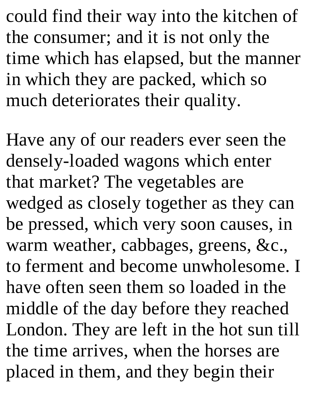could find their way into the kitchen of the consumer; and it is not only the time which has elapsed, but the manner in which they are packed, which so much deteriorates their quality.

Have any of our readers ever seen the densely-loaded wagons which enter that market? The vegetables are wedged as closely together as they can be pressed, which very soon causes, in warm weather, cabbages, greens, &c., to ferment and become unwholesome. I have often seen them so loaded in the middle of the day before they reached London. They are left in the hot sun till the time arrives, when the horses are placed in them, and they begin their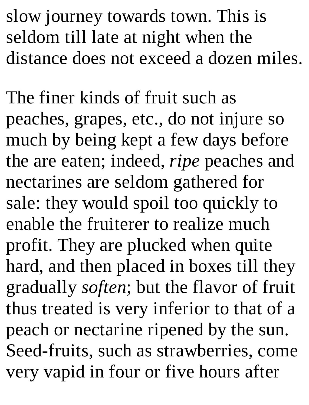slow journey towards town. This is seldom till late at night when the distance does not exceed a dozen miles.

The finer kinds of fruit such as peaches, grapes, etc., do not injure so much by being kept a few days before the are eaten; indeed, *ripe* peaches and nectarines are seldom gathered for sale: they would spoil too quickly to enable the fruiterer to realize much profit. They are plucked when quite hard, and then placed in boxes till they gradually *soften*; but the flavor of fruit thus treated is very inferior to that of a peach or nectarine ripened by the sun. Seed-fruits, such as strawberries, come very vapid in four or five hours after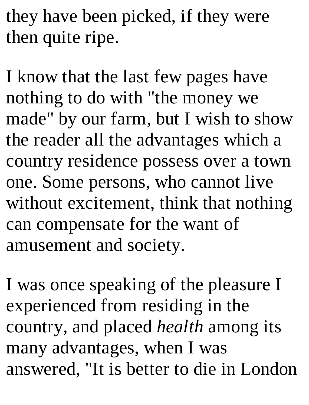they have been picked, if they were then quite ripe.

I know that the last few pages have nothing to do with "the money we made" by our farm, but I wish to show the reader all the advantages which a country residence possess over a town one. Some persons, who cannot live without excitement, think that nothing can compensate for the want of amusement and society.

I was once speaking of the pleasure I experienced from residing in the country, and placed *health* among its many advantages, when I was answered, "It is better to die in London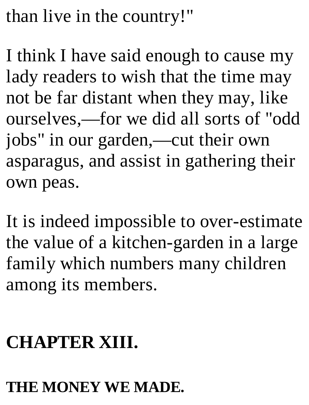than live in the country!"

I think I have said enough to cause my lady readers to wish that the time may not be far distant when they may, like ourselves,—for we did all sorts of "odd jobs" in our garden,—cut their own asparagus, and assist in gathering their own peas.

It is indeed impossible to over-estimate the value of a kitchen-garden in a large family which numbers many children among its members.

## **CHAPTER XIII.**

#### **THE MONEY WE MADE.**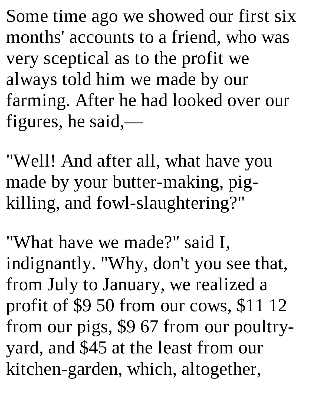Some time ago we showed our first six months' accounts to a friend, who was very sceptical as to the profit we always told him we made by our farming. After he had looked over our figures, he said,—

"Well! And after all, what have you made by your butter-making, pigkilling, and fowl-slaughtering?"

"What have we made?" said I, indignantly. "Why, don't you see that, from July to January, we realized a profit of \$9 50 from our cows, \$11 12 from our pigs, \$9 67 from our poultryyard, and \$45 at the least from our kitchen-garden, which, altogether,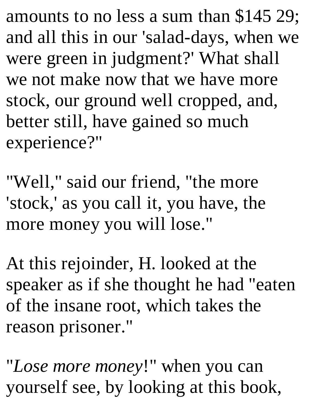amounts to no less a sum than \$145 29; and all this in our 'salad-days, when we were green in judgment?' What shall we not make now that we have more stock, our ground well cropped, and, better still, have gained so much experience?"

"Well," said our friend, "the more 'stock,' as you call it, you have, the more money you will lose."

At this rejoinder, H. looked at the speaker as if she thought he had "eaten of the insane root, which takes the reason prisoner."

"*Lose more money*!" when you can yourself see, by looking at this book,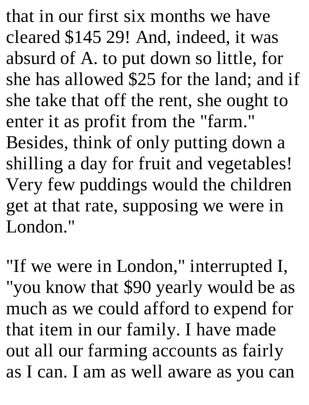that in our first six months we have cleared \$145 29! And, indeed, it was absurd of A. to put down so little, for she has allowed \$25 for the land; and if she take that off the rent, she ought to enter it as profit from the "farm." Besides, think of only putting down a shilling a day for fruit and vegetables! Very few puddings would the children get at that rate, supposing we were in London."

"If we were in London," interrupted I, "you know that \$90 yearly would be as much as we could afford to expend for that item in our family. I have made out all our farming accounts as fairly as I can. I am as well aware as you can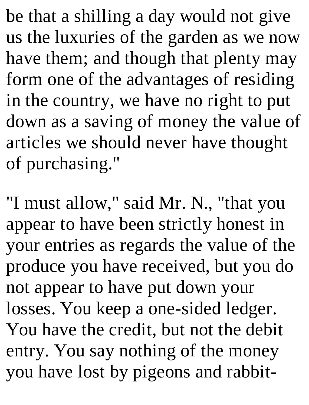be that a shilling a day would not give us the luxuries of the garden as we now have them; and though that plenty may form one of the advantages of residing in the country, we have no right to put down as a saving of money the value of articles we should never have thought of purchasing."

"I must allow," said Mr. N., "that you appear to have been strictly honest in your entries as regards the value of the produce you have received, but you do not appear to have put down your losses. You keep a one-sided ledger. You have the credit, but not the debit entry. You say nothing of the money you have lost by pigeons and rabbit-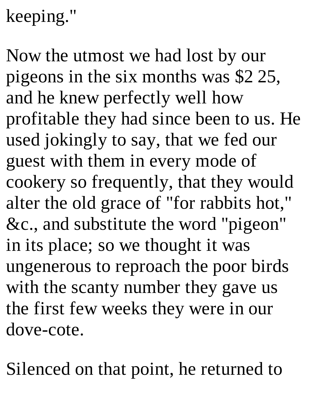# keeping."

Now the utmost we had lost by our pigeons in the six months was \$2 25, and he knew perfectly well how profitable they had since been to us. He used jokingly to say, that we fed our guest with them in every mode of cookery so frequently, that they would alter the old grace of "for rabbits hot," &c., and substitute the word "pigeon" in its place; so we thought it was ungenerous to reproach the poor birds with the scanty number they gave us the first few weeks they were in our dove-cote.

Silenced on that point, he returned to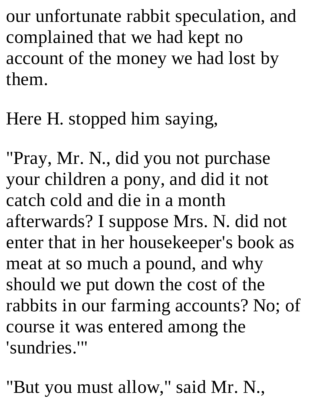our unfortunate rabbit speculation, and complained that we had kept no account of the money we had lost by them.

Here H. stopped him saying,

"Pray, Mr. N., did you not purchase your children a pony, and did it not catch cold and die in a month afterwards? I suppose Mrs. N. did not enter that in her housekeeper's book as meat at so much a pound, and why should we put down the cost of the rabbits in our farming accounts? No; of course it was entered among the 'sundries.'"

"But you must allow," said Mr. N.,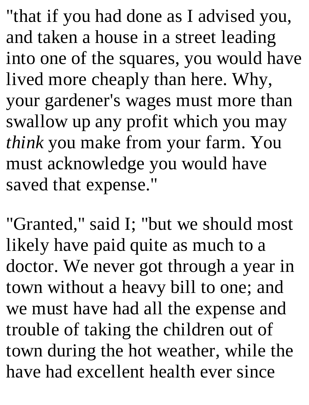"that if you had done as I advised you, and taken a house in a street leading into one of the squares, you would have lived more cheaply than here. Why, your gardener's wages must more than swallow up any profit which you may *think* you make from your farm. You must acknowledge you would have saved that expense."

"Granted," said I; "but we should most likely have paid quite as much to a doctor. We never got through a year in town without a heavy bill to one; and we must have had all the expense and trouble of taking the children out of town during the hot weather, while the have had excellent health ever since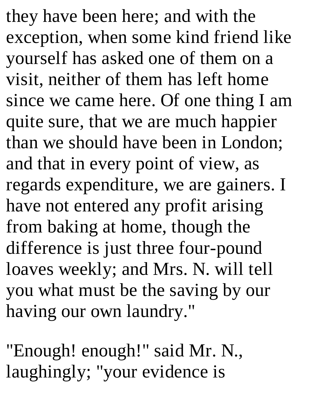they have been here; and with the exception, when some kind friend like yourself has asked one of them on a visit, neither of them has left home since we came here. Of one thing I am quite sure, that we are much happier than we should have been in London; and that in every point of view, as regards expenditure, we are gainers. I have not entered any profit arising from baking at home, though the difference is just three four-pound loaves weekly; and Mrs. N. will tell you what must be the saving by our having our own laundry."

"Enough! enough!" said Mr. N., laughingly; "your evidence is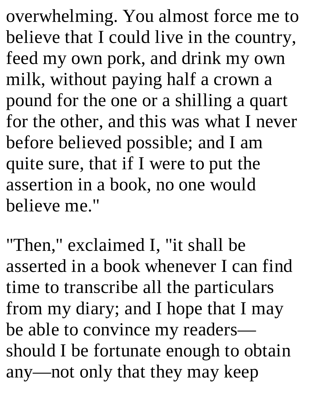overwhelming. You almost force me to believe that I could live in the country, feed my own pork, and drink my own milk, without paying half a crown a pound for the one or a shilling a quart for the other, and this was what I never before believed possible; and I am quite sure, that if I were to put the assertion in a book, no one would believe me."

"Then," exclaimed I, "it shall be asserted in a book whenever I can find time to transcribe all the particulars from my diary; and I hope that I may be able to convince my readers should I be fortunate enough to obtain any—not only that they may keep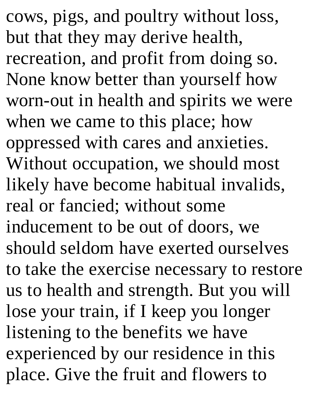cows, pigs, and poultry without loss, but that they may derive health, recreation, and profit from doing so. None know better than yourself how worn-out in health and spirits we were when we came to this place; how oppressed with cares and anxieties. Without occupation, we should most likely have become habitual invalids, real or fancied; without some inducement to be out of doors, we should seldom have exerted ourselves to take the exercise necessary to restore us to health and strength. But you will lose your train, if I keep you longer listening to the benefits we have experienced by our residence in this place. Give the fruit and flowers to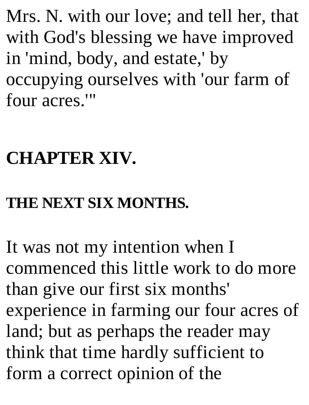Mrs. N. with our love; and tell her, that with God's blessing we have improved in 'mind, body, and estate,' by occupying ourselves with 'our farm of four acres.'"

### **CHAPTER XIV.**

### **THE NEXT SIX MONTHS.**

It was not my intention when I commenced this little work to do more than give our first six months' experience in farming our four acres of land; but as perhaps the reader may think that time hardly sufficient to form a correct opinion of the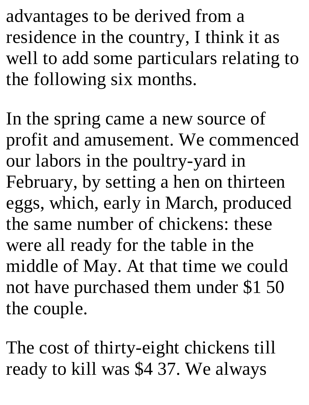advantages to be derived from a residence in the country, I think it as well to add some particulars relating to the following six months.

In the spring came a new source of profit and amusement. We commenced our labors in the poultry-yard in February, by setting a hen on thirteen eggs, which, early in March, produced the same number of chickens: these were all ready for the table in the middle of May. At that time we could not have purchased them under \$1 50 the couple.

The cost of thirty-eight chickens till ready to kill was \$4 37. We always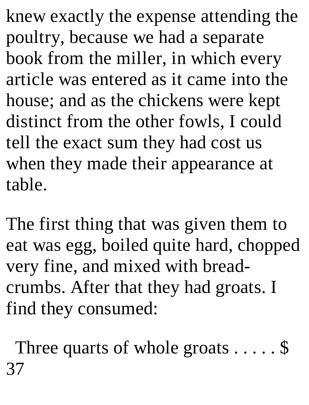knew exactly the expense attending the poultry, because we had a separate book from the miller, in which every article was entered as it came into the house; and as the chickens were kept distinct from the other fowls, I could tell the exact sum they had cost us when they made their appearance at table.

The first thing that was given them to eat was egg, boiled quite hard, chopped very fine, and mixed with breadcrumbs. After that they had groats. I find they consumed:

Three quarts of whole groats  $\dots$ . \$ 37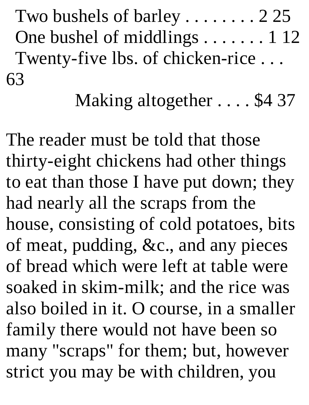Two bushels of barley . . . . . . . . 2 25 One bushel of middlings . . . . . . . 1 12 Twenty-five lbs. of chicken-rice . . . 63

Making altogether . . . . \$4 37

The reader must be told that those thirty-eight chickens had other things to eat than those I have put down; they had nearly all the scraps from the house, consisting of cold potatoes, bits of meat, pudding, &c., and any pieces of bread which were left at table were soaked in skim-milk; and the rice was also boiled in it. O course, in a smaller family there would not have been so many "scraps" for them; but, however strict you may be with children, you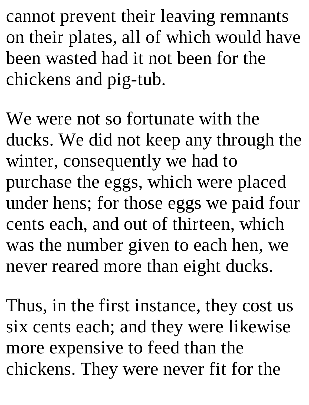cannot prevent their leaving remnants on their plates, all of which would have been wasted had it not been for the chickens and pig-tub.

We were not so fortunate with the ducks. We did not keep any through the winter, consequently we had to purchase the eggs, which were placed under hens; for those eggs we paid four cents each, and out of thirteen, which was the number given to each hen, we never reared more than eight ducks.

Thus, in the first instance, they cost us six cents each; and they were likewise more expensive to feed than the chickens. They were never fit for the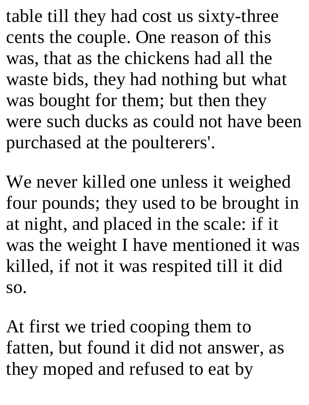table till they had cost us sixty-three cents the couple. One reason of this was, that as the chickens had all the waste bids, they had nothing but what was bought for them; but then they were such ducks as could not have been purchased at the poulterers'.

We never killed one unless it weighed four pounds; they used to be brought in at night, and placed in the scale: if it was the weight I have mentioned it was killed, if not it was respited till it did so.

At first we tried cooping them to fatten, but found it did not answer, as they moped and refused to eat by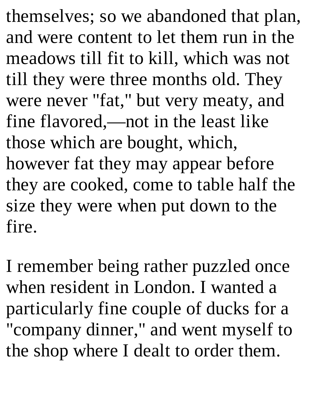themselves; so we abandoned that plan, and were content to let them run in the meadows till fit to kill, which was not till they were three months old. They were never "fat," but very meaty, and fine flavored,—not in the least like those which are bought, which, however fat they may appear before they are cooked, come to table half the size they were when put down to the fire.

I remember being rather puzzled once when resident in London. I wanted a particularly fine couple of ducks for a "company dinner," and went myself to the shop where I dealt to order them.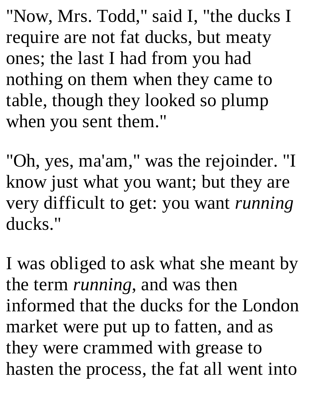"Now, Mrs. Todd," said I, "the ducks I require are not fat ducks, but meaty ones; the last I had from you had nothing on them when they came to table, though they looked so plump when you sent them."

"Oh, yes, ma'am," was the rejoinder. "I know just what you want; but they are very difficult to get: you want *running* ducks."

I was obliged to ask what she meant by the term *running*, and was then informed that the ducks for the London market were put up to fatten, and as they were crammed with grease to hasten the process, the fat all went into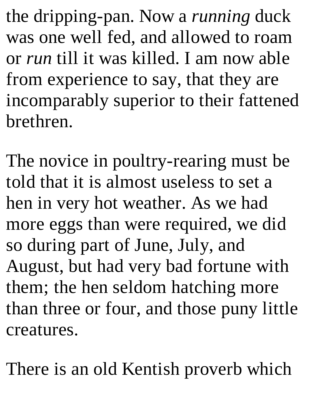the dripping-pan. Now a *running* duck was one well fed, and allowed to roam or *run* till it was killed. I am now able from experience to say, that they are incomparably superior to their fattened brethren.

The novice in poultry-rearing must be told that it is almost useless to set a hen in very hot weather. As we had more eggs than were required, we did so during part of June, July, and August, but had very bad fortune with them; the hen seldom hatching more than three or four, and those puny little creatures.

There is an old Kentish proverb which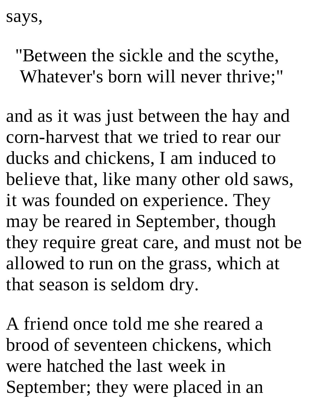says,

"Between the sickle and the scythe, Whatever's born will never thrive;"

and as it was just between the hay and corn-harvest that we tried to rear our ducks and chickens, I am induced to believe that, like many other old saws, it was founded on experience. They may be reared in September, though they require great care, and must not be allowed to run on the grass, which at that season is seldom dry.

A friend once told me she reared a brood of seventeen chickens, which were hatched the last week in September; they were placed in an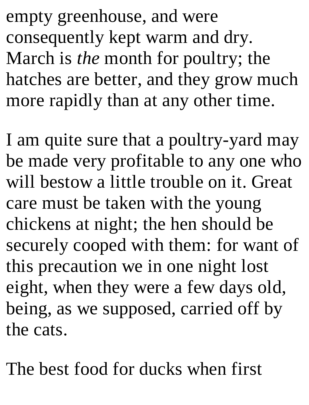empty greenhouse, and were consequently kept warm and dry. March is *the* month for poultry; the hatches are better, and they grow much more rapidly than at any other time.

I am quite sure that a poultry-yard may be made very profitable to any one who will bestow a little trouble on it. Great care must be taken with the young chickens at night; the hen should be securely cooped with them: for want of this precaution we in one night lost eight, when they were a few days old, being, as we supposed, carried off by the cats.

The best food for ducks when first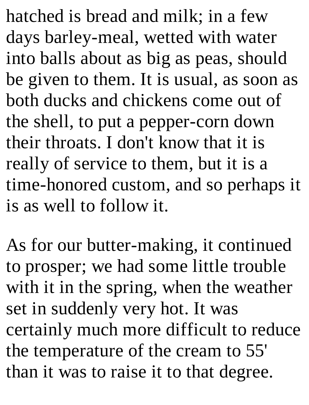hatched is bread and milk; in a few days barley-meal, wetted with water into balls about as big as peas, should be given to them. It is usual, as soon as both ducks and chickens come out of the shell, to put a pepper-corn down their throats. I don't know that it is really of service to them, but it is a time-honored custom, and so perhaps it is as well to follow it.

As for our butter-making, it continued to prosper; we had some little trouble with it in the spring, when the weather set in suddenly very hot. It was certainly much more difficult to reduce the temperature of the cream to 55' than it was to raise it to that degree.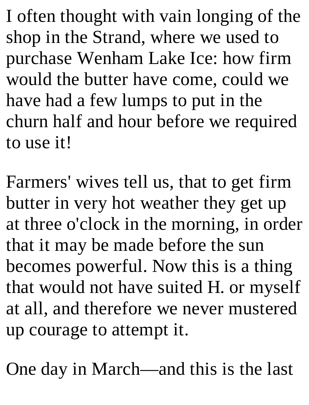I often thought with vain longing of the shop in the Strand, where we used to purchase Wenham Lake Ice: how firm would the butter have come, could we have had a few lumps to put in the churn half and hour before we required to use it!

Farmers' wives tell us, that to get firm butter in very hot weather they get up at three o'clock in the morning, in order that it may be made before the sun becomes powerful. Now this is a thing that would not have suited H. or myself at all, and therefore we never mustered up courage to attempt it.

One day in March—and this is the last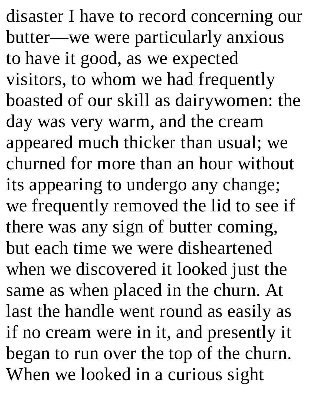disaster I have to record concerning our butter—we were particularly anxious to have it good, as we expected visitors, to whom we had frequently boasted of our skill as dairywomen: the day was very warm, and the cream appeared much thicker than usual; we churned for more than an hour without its appearing to undergo any change; we frequently removed the lid to see if there was any sign of butter coming, but each time we were disheartened when we discovered it looked just the same as when placed in the churn. At last the handle went round as easily as if no cream were in it, and presently it began to run over the top of the churn. When we looked in a curious sight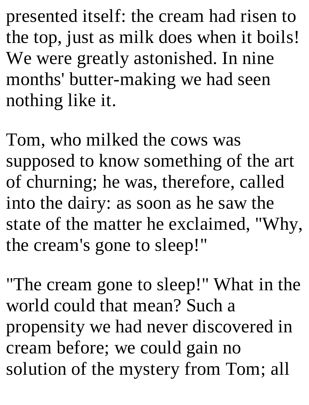presented itself: the cream had risen to the top, just as milk does when it boils! We were greatly astonished. In nine months' butter-making we had seen nothing like it.

Tom, who milked the cows was supposed to know something of the art of churning; he was, therefore, called into the dairy: as soon as he saw the state of the matter he exclaimed, "Why, the cream's gone to sleep!"

"The cream gone to sleep!" What in the world could that mean? Such a propensity we had never discovered in cream before; we could gain no solution of the mystery from Tom; all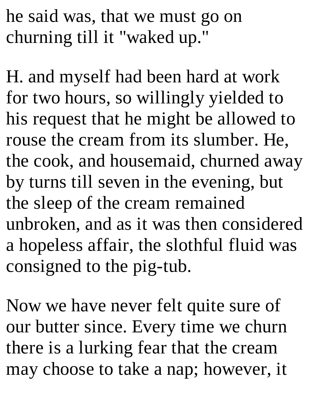he said was, that we must go on churning till it "waked up."

H. and myself had been hard at work for two hours, so willingly yielded to his request that he might be allowed to rouse the cream from its slumber. He, the cook, and housemaid, churned away by turns till seven in the evening, but the sleep of the cream remained unbroken, and as it was then considered a hopeless affair, the slothful fluid was consigned to the pig-tub.

Now we have never felt quite sure of our butter since. Every time we churn there is a lurking fear that the cream may choose to take a nap; however, it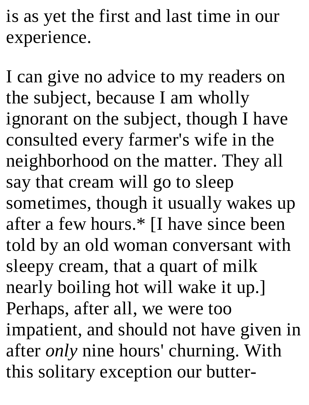is as yet the first and last time in our experience.

I can give no advice to my readers on the subject, because I am wholly ignorant on the subject, though I have consulted every farmer's wife in the neighborhood on the matter. They all say that cream will go to sleep sometimes, though it usually wakes up after a few hours.\* [I have since been told by an old woman conversant with sleepy cream, that a quart of milk nearly boiling hot will wake it up.] Perhaps, after all, we were too impatient, and should not have given in after *only* nine hours' churning. With this solitary exception our butter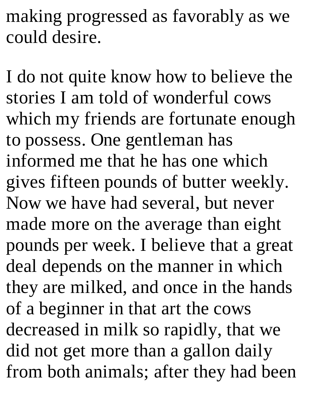making progressed as favorably as we could desire.

I do not quite know how to believe the stories I am told of wonderful cows which my friends are fortunate enough to possess. One gentleman has informed me that he has one which gives fifteen pounds of butter weekly. Now we have had several, but never made more on the average than eight pounds per week. I believe that a great deal depends on the manner in which they are milked, and once in the hands of a beginner in that art the cows decreased in milk so rapidly, that we did not get more than a gallon daily from both animals; after they had been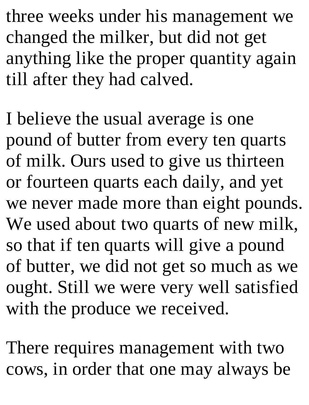three weeks under his management we changed the milker, but did not get anything like the proper quantity again till after they had calved.

I believe the usual average is one pound of butter from every ten quarts of milk. Ours used to give us thirteen or fourteen quarts each daily, and yet we never made more than eight pounds. We used about two quarts of new milk, so that if ten quarts will give a pound of butter, we did not get so much as we ought. Still we were very well satisfied with the produce we received.

There requires management with two cows, in order that one may always be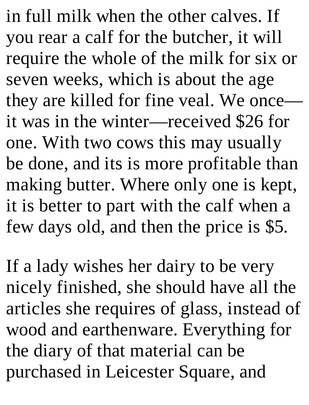in full milk when the other calves. If you rear a calf for the butcher, it will require the whole of the milk for six or seven weeks, which is about the age they are killed for fine veal. We once it was in the winter—received \$26 for one. With two cows this may usually be done, and its is more profitable than making butter. Where only one is kept, it is better to part with the calf when a few days old, and then the price is \$5.

If a lady wishes her dairy to be very nicely finished, she should have all the articles she requires of glass, instead of wood and earthenware. Everything for the diary of that material can be purchased in Leicester Square, and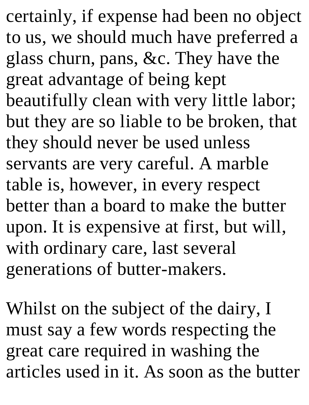certainly, if expense had been no object to us, we should much have preferred a glass churn, pans, &c. They have the great advantage of being kept beautifully clean with very little labor; but they are so liable to be broken, that they should never be used unless servants are very careful. A marble table is, however, in every respect better than a board to make the butter upon. It is expensive at first, but will, with ordinary care, last several generations of butter-makers.

Whilst on the subject of the dairy, I must say a few words respecting the great care required in washing the articles used in it. As soon as the butter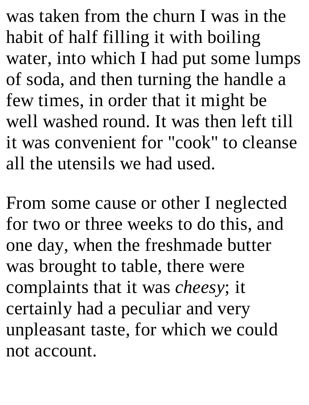was taken from the churn I was in the habit of half filling it with boiling water, into which I had put some lumps of soda, and then turning the handle a few times, in order that it might be well washed round. It was then left till it was convenient for "cook" to cleanse all the utensils we had used.

From some cause or other I neglected for two or three weeks to do this, and one day, when the freshmade butter was brought to table, there were complaints that it was *cheesy*; it certainly had a peculiar and very unpleasant taste, for which we could not account.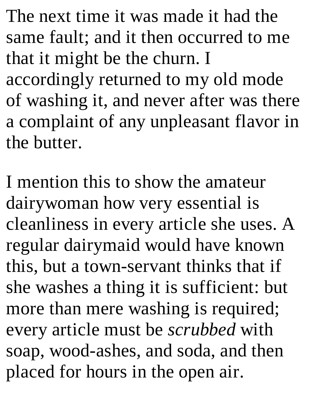The next time it was made it had the same fault; and it then occurred to me that it might be the churn. I accordingly returned to my old mode of washing it, and never after was there a complaint of any unpleasant flavor in the butter.

I mention this to show the amateur dairywoman how very essential is cleanliness in every article she uses. A regular dairymaid would have known this, but a town-servant thinks that if she washes a thing it is sufficient: but more than mere washing is required; every article must be *scrubbed* with soap, wood-ashes, and soda, and then placed for hours in the open air.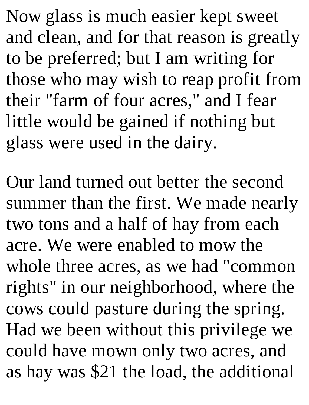Now glass is much easier kept sweet and clean, and for that reason is greatly to be preferred; but I am writing for those who may wish to reap profit from their "farm of four acres," and I fear little would be gained if nothing but glass were used in the dairy.

Our land turned out better the second summer than the first. We made nearly two tons and a half of hay from each acre. We were enabled to mow the whole three acres, as we had "common rights" in our neighborhood, where the cows could pasture during the spring. Had we been without this privilege we could have mown only two acres, and as hay was \$21 the load, the additional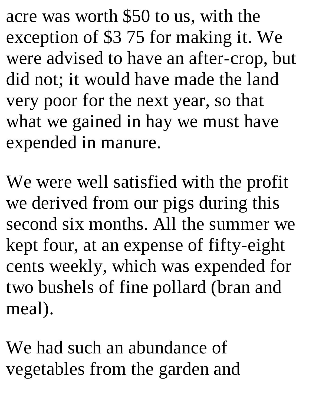acre was worth \$50 to us, with the exception of \$3 75 for making it. We were advised to have an after-crop, but did not; it would have made the land very poor for the next year, so that what we gained in hay we must have expended in manure.

We were well satisfied with the profit we derived from our pigs during this second six months. All the summer we kept four, at an expense of fifty-eight cents weekly, which was expended for two bushels of fine pollard (bran and meal).

We had such an abundance of vegetables from the garden and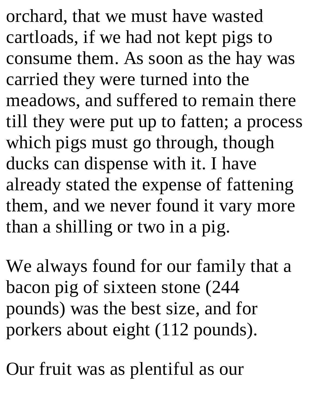orchard, that we must have wasted cartloads, if we had not kept pigs to consume them. As soon as the hay was carried they were turned into the meadows, and suffered to remain there till they were put up to fatten; a process which pigs must go through, though ducks can dispense with it. I have already stated the expense of fattening them, and we never found it vary more than a shilling or two in a pig.

We always found for our family that a bacon pig of sixteen stone (244 pounds) was the best size, and for porkers about eight (112 pounds).

Our fruit was as plentiful as our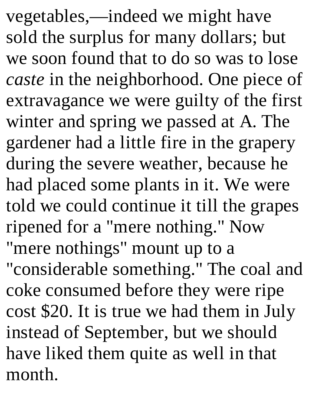vegetables,—indeed we might have sold the surplus for many dollars; but we soon found that to do so was to lose *caste* in the neighborhood. One piece of extravagance we were guilty of the first winter and spring we passed at A. The gardener had a little fire in the grapery during the severe weather, because he had placed some plants in it. We were told we could continue it till the grapes ripened for a "mere nothing." Now "mere nothings" mount up to a "considerable something." The coal and coke consumed before they were ripe cost \$20. It is true we had them in July instead of September, but we should have liked them quite as well in that month.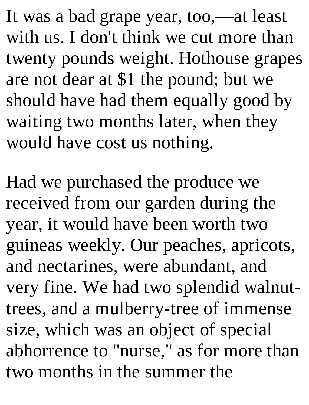It was a bad grape year, too,—at least with us. I don't think we cut more than twenty pounds weight. Hothouse grapes are not dear at \$1 the pound; but we should have had them equally good by waiting two months later, when they would have cost us nothing.

Had we purchased the produce we received from our garden during the year, it would have been worth two guineas weekly. Our peaches, apricots, and nectarines, were abundant, and very fine. We had two splendid walnuttrees, and a mulberry-tree of immense size, which was an object of special abhorrence to "nurse," as for more than two months in the summer the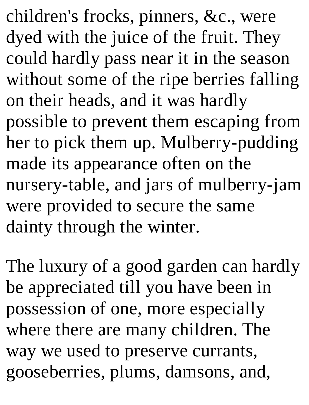children's frocks, pinners, &c., were dyed with the juice of the fruit. They could hardly pass near it in the season without some of the ripe berries falling on their heads, and it was hardly possible to prevent them escaping from her to pick them up. Mulberry-pudding made its appearance often on the nursery-table, and jars of mulberry-jam were provided to secure the same dainty through the winter.

The luxury of a good garden can hardly be appreciated till you have been in possession of one, more especially where there are many children. The way we used to preserve currants, gooseberries, plums, damsons, and,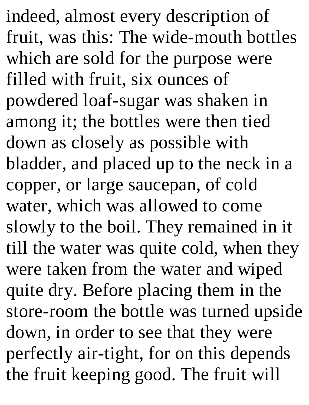indeed, almost every description of fruit, was this: The wide-mouth bottles which are sold for the purpose were filled with fruit, six ounces of powdered loaf-sugar was shaken in among it; the bottles were then tied down as closely as possible with bladder, and placed up to the neck in a copper, or large saucepan, of cold water, which was allowed to come slowly to the boil. They remained in it till the water was quite cold, when they were taken from the water and wiped quite dry. Before placing them in the store-room the bottle was turned upside down, in order to see that they were perfectly air-tight, for on this depends the fruit keeping good. The fruit will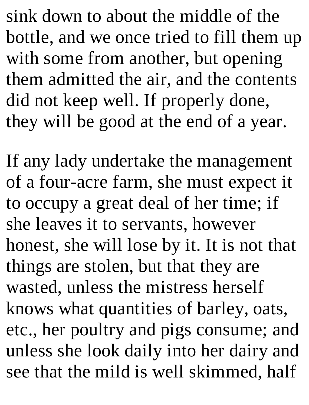sink down to about the middle of the bottle, and we once tried to fill them up with some from another, but opening them admitted the air, and the contents did not keep well. If properly done, they will be good at the end of a year.

If any lady undertake the management of a four-acre farm, she must expect it to occupy a great deal of her time; if she leaves it to servants, however honest, she will lose by it. It is not that things are stolen, but that they are wasted, unless the mistress herself knows what quantities of barley, oats, etc., her poultry and pigs consume; and unless she look daily into her dairy and see that the mild is well skimmed, half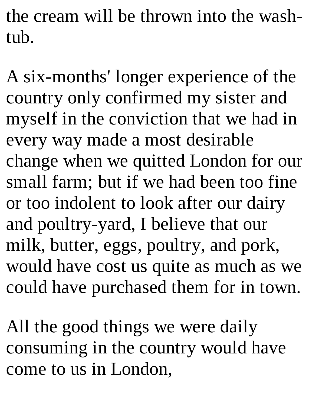the cream will be thrown into the washtub.

A six-months' longer experience of the country only confirmed my sister and myself in the conviction that we had in every way made a most desirable change when we quitted London for our small farm; but if we had been too fine or too indolent to look after our dairy and poultry-yard, I believe that our milk, butter, eggs, poultry, and pork, would have cost us quite as much as we could have purchased them for in town.

All the good things we were daily consuming in the country would have come to us in London,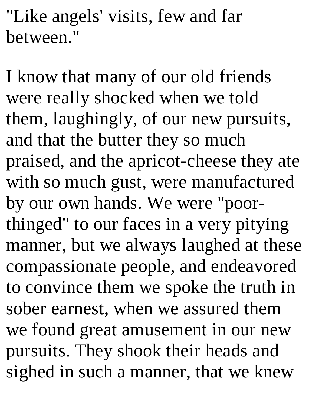"Like angels' visits, few and far between."

I know that many of our old friends were really shocked when we told them, laughingly, of our new pursuits, and that the butter they so much praised, and the apricot-cheese they ate with so much gust, were manufactured by our own hands. We were "poorthinged" to our faces in a very pitying manner, but we always laughed at these compassionate people, and endeavored to convince them we spoke the truth in sober earnest, when we assured them we found great amusement in our new pursuits. They shook their heads and sighed in such a manner, that we knew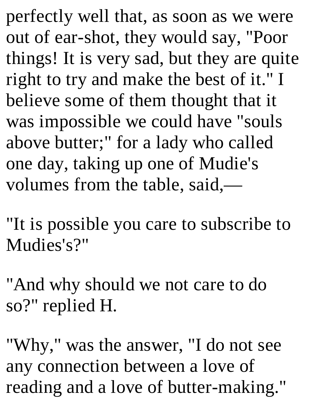perfectly well that, as soon as we were out of ear-shot, they would say, "Poor things! It is very sad, but they are quite right to try and make the best of it." I believe some of them thought that it was impossible we could have "souls above butter;" for a lady who called one day, taking up one of Mudie's volumes from the table, said,—

"It is possible you care to subscribe to Mudies's?"

"And why should we not care to do so?" replied H.

"Why," was the answer, "I do not see any connection between a love of reading and a love of butter-making."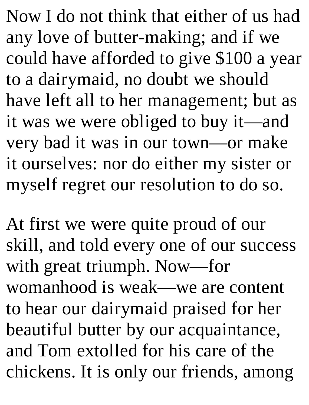Now I do not think that either of us had any love of butter-making; and if we could have afforded to give \$100 a year to a dairymaid, no doubt we should have left all to her management; but as it was we were obliged to buy it—and very bad it was in our town—or make it ourselves: nor do either my sister or myself regret our resolution to do so.

At first we were quite proud of our skill, and told every one of our success with great triumph. Now—for womanhood is weak—we are content to hear our dairymaid praised for her beautiful butter by our acquaintance, and Tom extolled for his care of the chickens. It is only our friends, among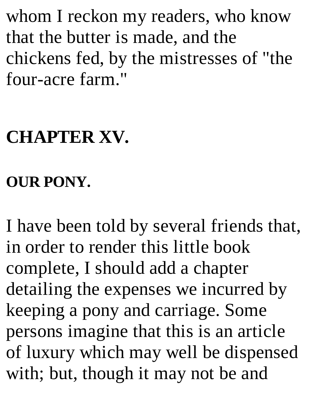whom I reckon my readers, who know that the butter is made, and the chickens fed, by the mistresses of "the four-acre farm."

# **CHAPTER XV.**

#### **OUR PONY.**

I have been told by several friends that, in order to render this little book complete, I should add a chapter detailing the expenses we incurred by keeping a pony and carriage. Some persons imagine that this is an article of luxury which may well be dispensed with; but, though it may not be and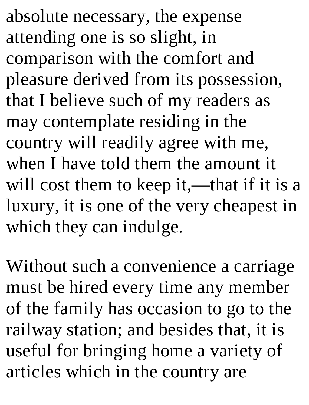absolute necessary, the expense attending one is so slight, in comparison with the comfort and pleasure derived from its possession, that I believe such of my readers as may contemplate residing in the country will readily agree with me, when I have told them the amount it will cost them to keep it,—that if it is a luxury, it is one of the very cheapest in which they can indulge.

Without such a convenience a carriage must be hired every time any member of the family has occasion to go to the railway station; and besides that, it is useful for bringing home a variety of articles which in the country are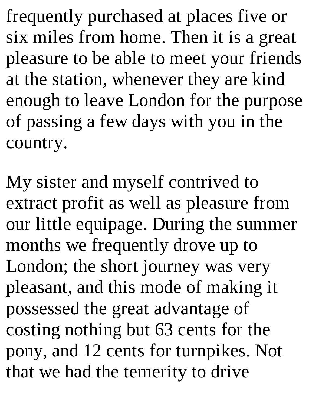frequently purchased at places five or six miles from home. Then it is a great pleasure to be able to meet your friends at the station, whenever they are kind enough to leave London for the purpose of passing a few days with you in the country.

My sister and myself contrived to extract profit as well as pleasure from our little equipage. During the summer months we frequently drove up to London; the short journey was very pleasant, and this mode of making it possessed the great advantage of costing nothing but 63 cents for the pony, and 12 cents for turnpikes. Not that we had the temerity to drive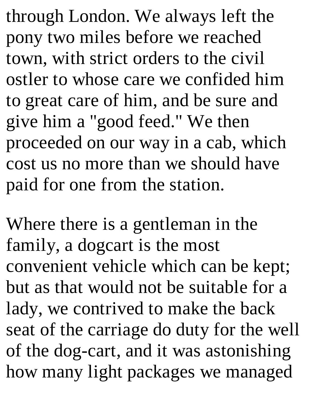through London. We always left the pony two miles before we reached town, with strict orders to the civil ostler to whose care we confided him to great care of him, and be sure and give him a "good feed." We then proceeded on our way in a cab, which cost us no more than we should have paid for one from the station.

Where there is a gentleman in the family, a dogcart is the most convenient vehicle which can be kept; but as that would not be suitable for a lady, we contrived to make the back seat of the carriage do duty for the well of the dog-cart, and it was astonishing how many light packages we managed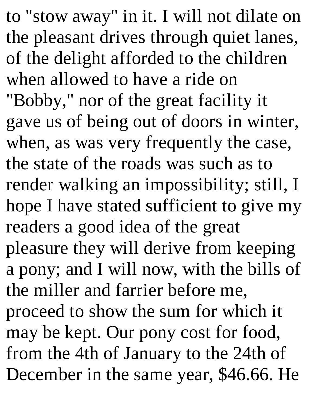to "stow away" in it. I will not dilate on the pleasant drives through quiet lanes, of the delight afforded to the children when allowed to have a ride on "Bobby," nor of the great facility it gave us of being out of doors in winter, when, as was very frequently the case, the state of the roads was such as to render walking an impossibility; still, I hope I have stated sufficient to give my readers a good idea of the great pleasure they will derive from keeping a pony; and I will now, with the bills of the miller and farrier before me, proceed to show the sum for which it may be kept. Our pony cost for food, from the 4th of January to the 24th of December in the same year, \$46.66. He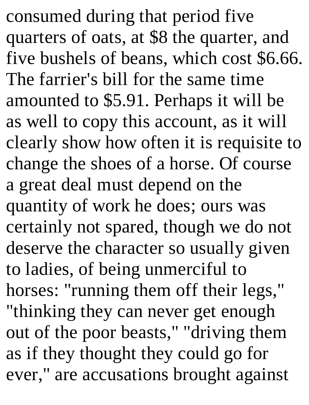consumed during that period five quarters of oats, at \$8 the quarter, and five bushels of beans, which cost \$6.66. The farrier's bill for the same time amounted to \$5.91. Perhaps it will be as well to copy this account, as it will clearly show how often it is requisite to change the shoes of a horse. Of course a great deal must depend on the quantity of work he does; ours was certainly not spared, though we do not deserve the character so usually given to ladies, of being unmerciful to horses: "running them off their legs," "thinking they can never get enough out of the poor beasts," "driving them as if they thought they could go for ever," are accusations brought against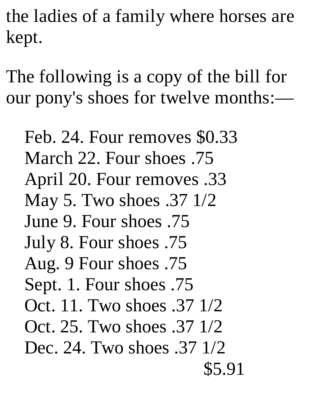the ladies of a family where horses are kept.

The following is a copy of the bill for our pony's shoes for twelve months:—

Feb. 24. Four removes \$0.33 March 22. Four shoes .75 April 20. Four removes .33 May 5. Two shoes .37 1/2 June 9. Four shoes .75 July 8. Four shoes .75 Aug. 9 Four shoes .75 Sept. 1. Four shoes .75 Oct. 11. Two shoes .37 1/2 Oct. 25. Two shoes .37 1/2 Dec. 24. Two shoes .37 1/2 \$5.91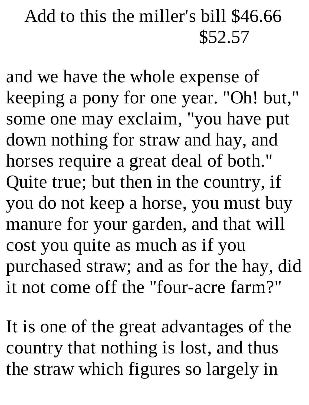## Add to this the miller's bill \$46.66 \$52.57

and we have the whole expense of keeping a pony for one year. "Oh! but," some one may exclaim, "you have put down nothing for straw and hay, and horses require a great deal of both." Quite true; but then in the country, if you do not keep a horse, you must buy manure for your garden, and that will cost you quite as much as if you purchased straw; and as for the hay, did it not come off the "four-acre farm?"

It is one of the great advantages of the country that nothing is lost, and thus the straw which figures so largely in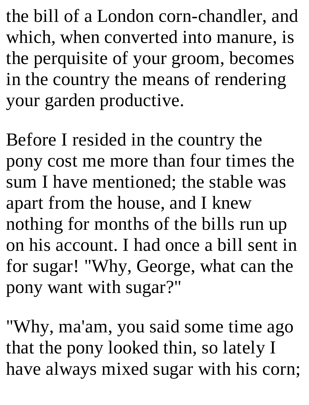the bill of a London corn-chandler, and which, when converted into manure, is the perquisite of your groom, becomes in the country the means of rendering your garden productive.

Before I resided in the country the pony cost me more than four times the sum I have mentioned; the stable was apart from the house, and I knew nothing for months of the bills run up on his account. I had once a bill sent in for sugar! "Why, George, what can the pony want with sugar?"

"Why, ma'am, you said some time ago that the pony looked thin, so lately I have always mixed sugar with his corn;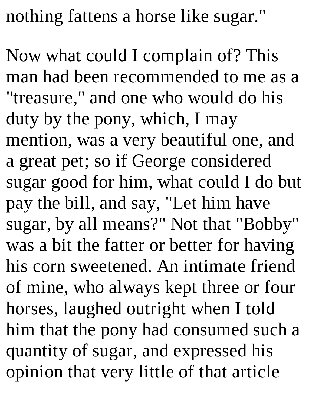nothing fattens a horse like sugar."

Now what could I complain of? This man had been recommended to me as a "treasure," and one who would do his duty by the pony, which, I may mention, was a very beautiful one, and a great pet; so if George considered sugar good for him, what could I do but pay the bill, and say, "Let him have sugar, by all means?" Not that "Bobby" was a bit the fatter or better for having his corn sweetened. An intimate friend of mine, who always kept three or four horses, laughed outright when I told him that the pony had consumed such a quantity of sugar, and expressed his opinion that very little of that article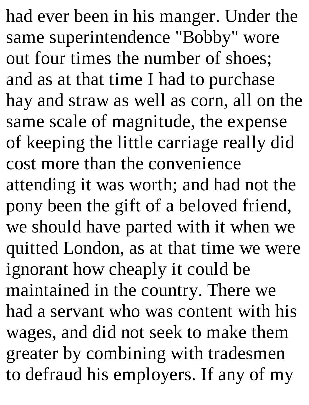had ever been in his manger. Under the same superintendence "Bobby" wore out four times the number of shoes; and as at that time I had to purchase hay and straw as well as corn, all on the same scale of magnitude, the expense of keeping the little carriage really did cost more than the convenience attending it was worth; and had not the pony been the gift of a beloved friend, we should have parted with it when we quitted London, as at that time we were ignorant how cheaply it could be maintained in the country. There we had a servant who was content with his wages, and did not seek to make them greater by combining with tradesmen to defraud his employers. If any of my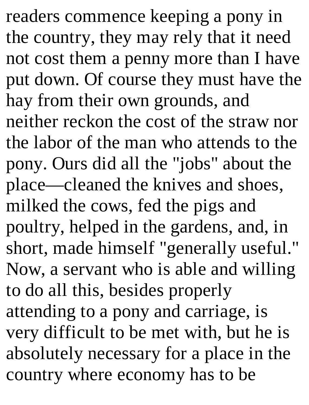readers commence keeping a pony in the country, they may rely that it need not cost them a penny more than I have put down. Of course they must have the hay from their own grounds, and neither reckon the cost of the straw nor the labor of the man who attends to the pony. Ours did all the "jobs" about the place—cleaned the knives and shoes, milked the cows, fed the pigs and poultry, helped in the gardens, and, in short, made himself "generally useful." Now, a servant who is able and willing to do all this, besides properly attending to a pony and carriage, is very difficult to be met with, but he is absolutely necessary for a place in the country where economy has to be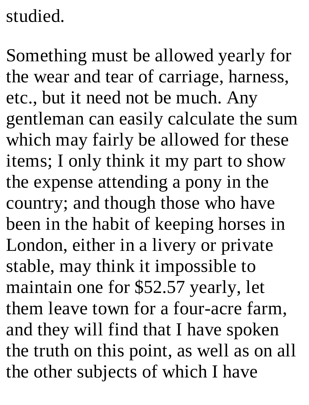# studied.

Something must be allowed yearly for the wear and tear of carriage, harness, etc., but it need not be much. Any gentleman can easily calculate the sum which may fairly be allowed for these items; I only think it my part to show the expense attending a pony in the country; and though those who have been in the habit of keeping horses in London, either in a livery or private stable, may think it impossible to maintain one for \$52.57 yearly, let them leave town for a four-acre farm, and they will find that I have spoken the truth on this point, as well as on all the other subjects of which I have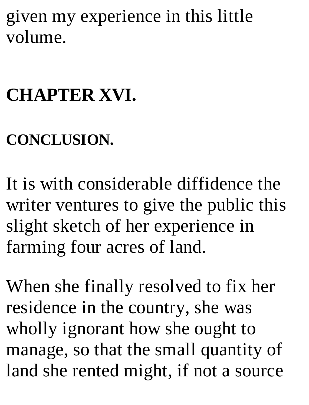given my experience in this little volume.

### **CHAPTER XVI.**

### **CONCLUSION.**

It is with considerable diffidence the writer ventures to give the public this slight sketch of her experience in farming four acres of land.

When she finally resolved to fix her residence in the country, she was wholly ignorant how she ought to manage, so that the small quantity of land she rented might, if not a source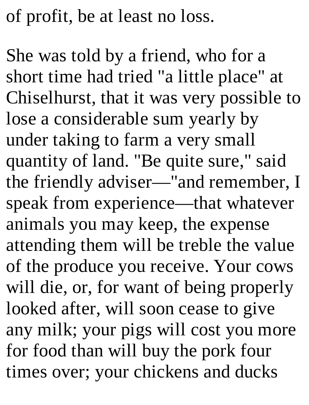of profit, be at least no loss.

She was told by a friend, who for a short time had tried "a little place" at Chiselhurst, that it was very possible to lose a considerable sum yearly by under taking to farm a very small quantity of land. "Be quite sure," said the friendly adviser—"and remember, I speak from experience—that whatever animals you may keep, the expense attending them will be treble the value of the produce you receive. Your cows will die, or, for want of being properly looked after, will soon cease to give any milk; your pigs will cost you more for food than will buy the pork four times over; your chickens and ducks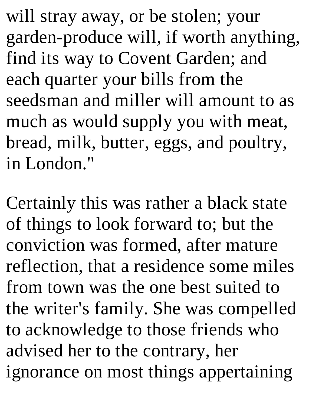will stray away, or be stolen; your garden-produce will, if worth anything, find its way to Covent Garden; and each quarter your bills from the seedsman and miller will amount to as much as would supply you with meat, bread, milk, butter, eggs, and poultry, in London."

Certainly this was rather a black state of things to look forward to; but the conviction was formed, after mature reflection, that a residence some miles from town was the one best suited to the writer's family. She was compelled to acknowledge to those friends who advised her to the contrary, her ignorance on most things appertaining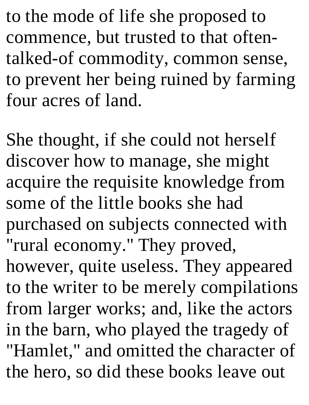to the mode of life she proposed to commence, but trusted to that oftentalked-of commodity, common sense, to prevent her being ruined by farming four acres of land.

She thought, if she could not herself discover how to manage, she might acquire the requisite knowledge from some of the little books she had purchased on subjects connected with "rural economy." They proved,

however, quite useless. They appeared to the writer to be merely compilations from larger works; and, like the actors in the barn, who played the tragedy of "Hamlet," and omitted the character of the hero, so did these books leave out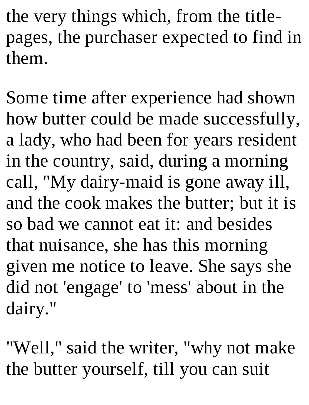the very things which, from the titlepages, the purchaser expected to find in them.

Some time after experience had shown how butter could be made successfully, a lady, who had been for years resident in the country, said, during a morning call, "My dairy-maid is gone away ill, and the cook makes the butter; but it is so bad we cannot eat it: and besides that nuisance, she has this morning given me notice to leave. She says she did not 'engage' to 'mess' about in the dairy."

"Well," said the writer, "why not make the butter yourself, till you can suit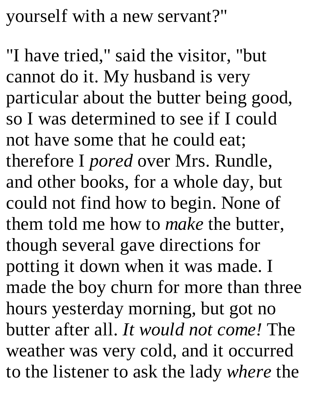yourself with a new servant?"

"I have tried," said the visitor, "but cannot do it. My husband is very particular about the butter being good, so I was determined to see if I could not have some that he could eat; therefore I *pored* over Mrs. Rundle, and other books, for a whole day, but could not find how to begin. None of them told me how to *make* the butter, though several gave directions for potting it down when it was made. I made the boy churn for more than three hours yesterday morning, but got no butter after all. *It would not come!* The weather was very cold, and it occurred to the listener to ask the lady *where* the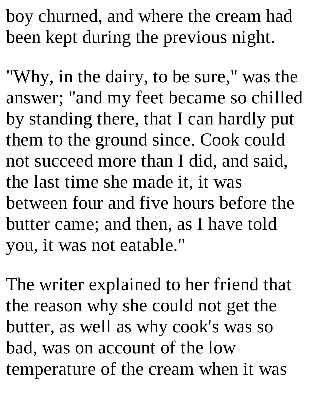boy churned, and where the cream had been kept during the previous night.

"Why, in the dairy, to be sure," was the answer; "and my feet became so chilled by standing there, that I can hardly put them to the ground since. Cook could not succeed more than I did, and said, the last time she made it, it was between four and five hours before the butter came; and then, as I have told you, it was not eatable."

The writer explained to her friend that the reason why she could not get the butter, as well as why cook's was so bad, was on account of the low temperature of the cream when it was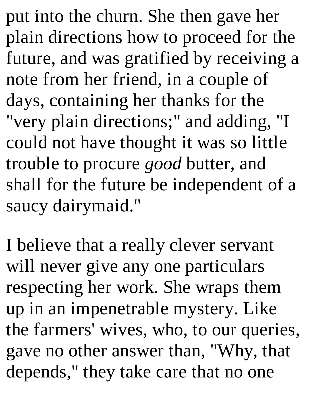put into the churn. She then gave her plain directions how to proceed for the future, and was gratified by receiving a note from her friend, in a couple of days, containing her thanks for the "very plain directions;" and adding, "I could not have thought it was so little trouble to procure *good* butter, and shall for the future be independent of a saucy dairymaid."

I believe that a really clever servant will never give any one particulars respecting her work. She wraps them up in an impenetrable mystery. Like the farmers' wives, who, to our queries, gave no other answer than, "Why, that depends," they take care that no one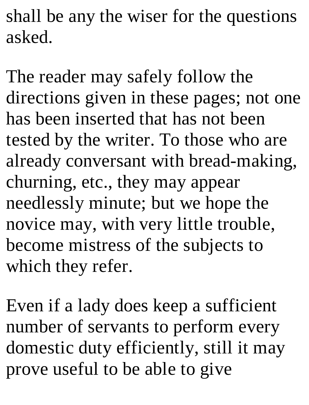shall be any the wiser for the questions asked.

The reader may safely follow the directions given in these pages; not one has been inserted that has not been tested by the writer. To those who are already conversant with bread-making, churning, etc., they may appear needlessly minute; but we hope the novice may, with very little trouble, become mistress of the subjects to which they refer.

Even if a lady does keep a sufficient number of servants to perform every domestic duty efficiently, still it may prove useful to be able to give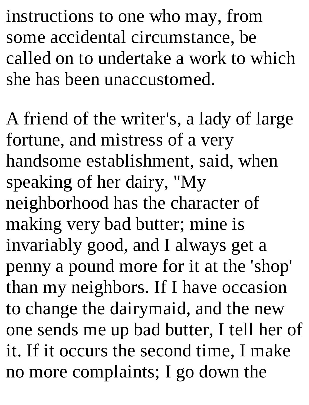instructions to one who may, from some accidental circumstance, be called on to undertake a work to which she has been unaccustomed.

A friend of the writer's, a lady of large fortune, and mistress of a very handsome establishment, said, when speaking of her dairy, "My neighborhood has the character of making very bad butter; mine is invariably good, and I always get a penny a pound more for it at the 'shop' than my neighbors. If I have occasion to change the dairymaid, and the new one sends me up bad butter, I tell her of it. If it occurs the second time, I make no more complaints; I go down the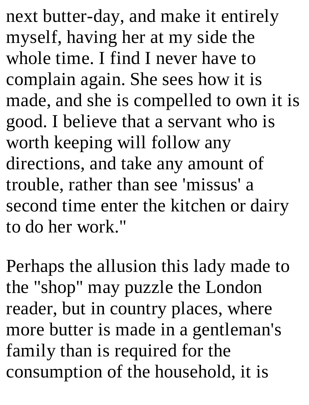next butter-day, and make it entirely myself, having her at my side the whole time. I find I never have to complain again. She sees how it is made, and she is compelled to own it is good. I believe that a servant who is worth keeping will follow any directions, and take any amount of trouble, rather than see 'missus' a second time enter the kitchen or dairy to do her work."

Perhaps the allusion this lady made to the "shop" may puzzle the London reader, but in country places, where more butter is made in a gentleman's family than is required for the consumption of the household, it is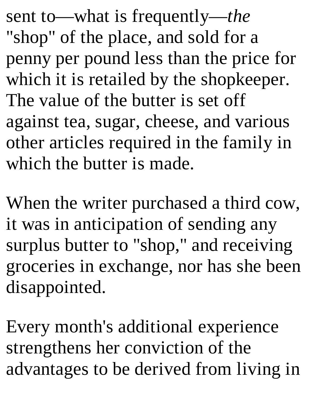sent to—what is frequently—*the* "shop" of the place, and sold for a penny per pound less than the price for which it is retailed by the shopkeeper. The value of the butter is set off against tea, sugar, cheese, and various other articles required in the family in which the butter is made.

When the writer purchased a third cow, it was in anticipation of sending any surplus butter to "shop," and receiving groceries in exchange, nor has she been disappointed.

Every month's additional experience strengthens her conviction of the advantages to be derived from living in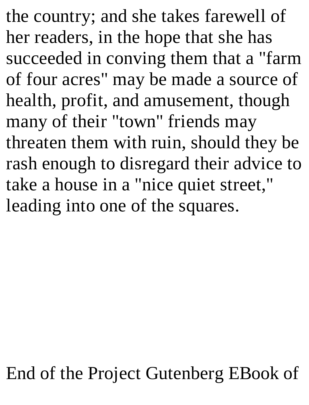the country; and she takes farewell of her readers, in the hope that she has succeeded in conving them that a "farm of four acres" may be made a source of health, profit, and amusement, though many of their "town" friends may threaten them with ruin, should they be rash enough to disregard their advice to take a house in a "nice quiet street," leading into one of the squares.

## End of the Project Gutenberg EBook of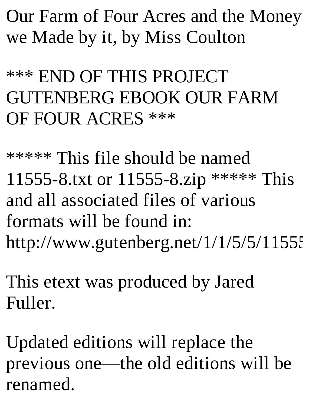Our Farm of Four Acres and the Money we Made by it, by Miss Coulton

\*\*\* END OF THIS PROJECT GUTENBERG EBOOK OUR FARM OF FOUR ACRES \*\*\*

\*\*\*\*\* This file should be named 11555-8.txt or 11555-8.zip \*\*\*\*\* This and all associated files of various formats will be found in: http://www.gutenberg.net/1/1/5/5/11555

This etext was produced by Jared Fuller.

Updated editions will replace the previous one—the old editions will be renamed.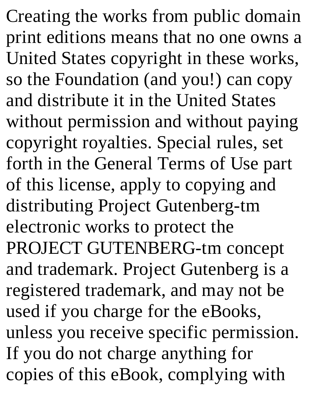Creating the works from public domain print editions means that no one owns a United States copyright in these works, so the Foundation (and you!) can copy and distribute it in the United States without permission and without paying copyright royalties. Special rules, set forth in the General Terms of Use part of this license, apply to copying and distributing Project Gutenberg-tm electronic works to protect the PROJECT GUTENBERG-tm concept and trademark. Project Gutenberg is a registered trademark, and may not be used if you charge for the eBooks, unless you receive specific permission. If you do not charge anything for copies of this eBook, complying with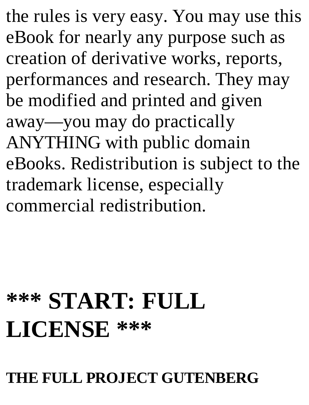the rules is very easy. You may use this eBook for nearly any purpose such as creation of derivative works, reports, performances and research. They may be modified and printed and given away—you may do practically ANYTHING with public domain eBooks. Redistribution is subject to the trademark license, especially commercial redistribution.

# **\*\*\* START: FULL LICENSE \*\*\***

#### **THE FULL PROJECT GUTENBERG**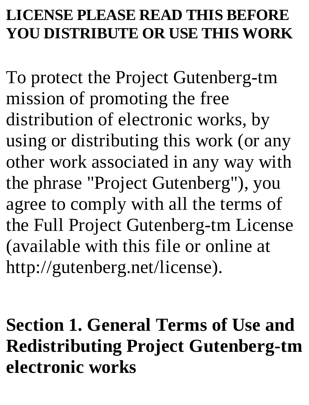### **LICENSE PLEASE READ THIS BEFORE YOU DISTRIBUTE OR USE THIS WORK**

To protect the Project Gutenberg-tm mission of promoting the free distribution of electronic works, by using or distributing this work (or any other work associated in any way with the phrase "Project Gutenberg"), you agree to comply with all the terms of the Full Project Gutenberg-tm License (available with this file or online at http://gutenberg.net/license).

**Section 1. General Terms of Use and Redistributing Project Gutenberg-tm electronic works**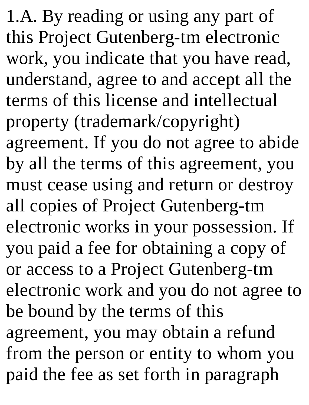1.A. By reading or using any part of this Project Gutenberg-tm electronic work, you indicate that you have read, understand, agree to and accept all the terms of this license and intellectual property (trademark/copyright) agreement. If you do not agree to abide by all the terms of this agreement, you must cease using and return or destroy all copies of Project Gutenberg-tm electronic works in your possession. If you paid a fee for obtaining a copy of or access to a Project Gutenberg-tm electronic work and you do not agree to be bound by the terms of this agreement, you may obtain a refund from the person or entity to whom you paid the fee as set forth in paragraph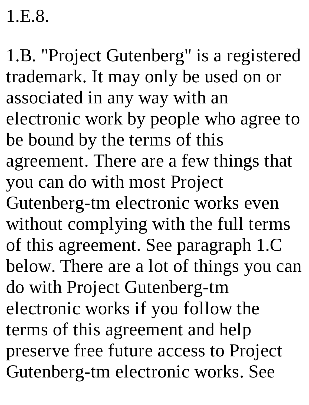1.E.8.

1.B. "Project Gutenberg" is a registered trademark. It may only be used on or associated in any way with an electronic work by people who agree to be bound by the terms of this agreement. There are a few things that you can do with most Project Gutenberg-tm electronic works even without complying with the full terms of this agreement. See paragraph 1.C below. There are a lot of things you can do with Project Gutenberg-tm electronic works if you follow the terms of this agreement and help preserve free future access to Project Gutenberg-tm electronic works. See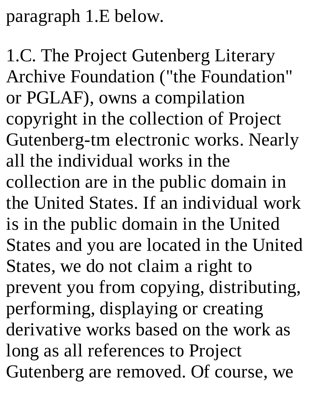paragraph 1.E below.

1.C. The Project Gutenberg Literary Archive Foundation ("the Foundation" or PGLAF), owns a compilation copyright in the collection of Project Gutenberg-tm electronic works. Nearly all the individual works in the collection are in the public domain in the United States. If an individual work is in the public domain in the United States and you are located in the United States, we do not claim a right to prevent you from copying, distributing, performing, displaying or creating derivative works based on the work as long as all references to Project Gutenberg are removed. Of course, we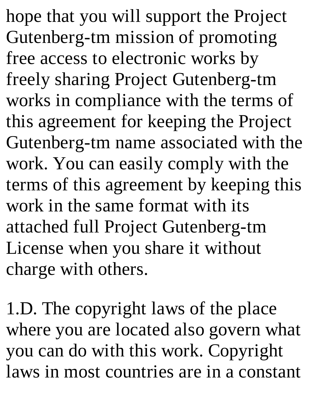hope that you will support the Project Gutenberg-tm mission of promoting free access to electronic works by freely sharing Project Gutenberg-tm works in compliance with the terms of this agreement for keeping the Project Gutenberg-tm name associated with the work. You can easily comply with the terms of this agreement by keeping this work in the same format with its attached full Project Gutenberg-tm License when you share it without charge with others.

1.D. The copyright laws of the place where you are located also govern what you can do with this work. Copyright laws in most countries are in a constant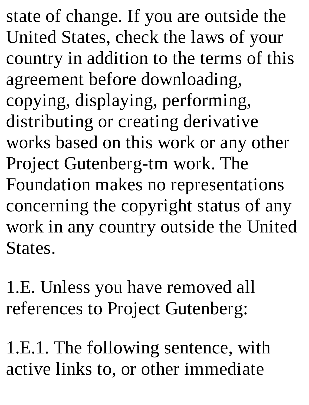state of change. If you are outside the United States, check the laws of your country in addition to the terms of this agreement before downloading, copying, displaying, performing, distributing or creating derivative works based on this work or any other Project Gutenberg-tm work. The Foundation makes no representations concerning the copyright status of any work in any country outside the United States.

1.E. Unless you have removed all references to Project Gutenberg:

1.E.1. The following sentence, with active links to, or other immediate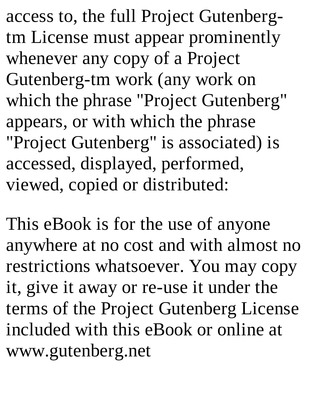access to, the full Project Gutenbergtm License must appear prominently whenever any copy of a Project Gutenberg-tm work (any work on which the phrase "Project Gutenberg" appears, or with which the phrase "Project Gutenberg" is associated) is accessed, displayed, performed, viewed, copied or distributed:

This eBook is for the use of anyone anywhere at no cost and with almost no restrictions whatsoever. You may copy it, give it away or re-use it under the terms of the Project Gutenberg License included with this eBook or online at www.gutenberg.net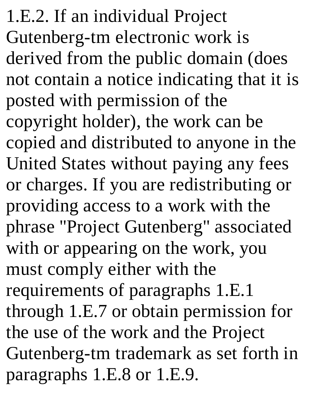1.E.2. If an individual Project Gutenberg-tm electronic work is derived from the public domain (does not contain a notice indicating that it is posted with permission of the copyright holder), the work can be copied and distributed to anyone in the United States without paying any fees or charges. If you are redistributing or providing access to a work with the phrase "Project Gutenberg" associated with or appearing on the work, you must comply either with the requirements of paragraphs 1.E.1 through 1.E.7 or obtain permission for the use of the work and the Project Gutenberg-tm trademark as set forth in paragraphs 1.E.8 or 1.E.9.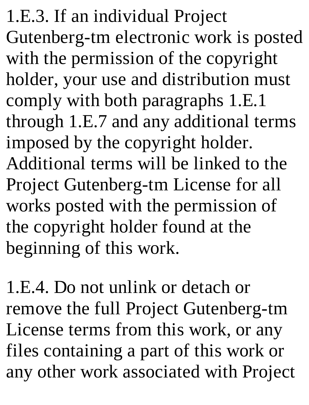1.E.3. If an individual Project Gutenberg-tm electronic work is posted with the permission of the copyright holder, your use and distribution must comply with both paragraphs 1.E.1 through 1.E.7 and any additional terms imposed by the copyright holder. Additional terms will be linked to the Project Gutenberg-tm License for all works posted with the permission of the copyright holder found at the beginning of this work.

1.E.4. Do not unlink or detach or remove the full Project Gutenberg-tm License terms from this work, or any files containing a part of this work or any other work associated with Project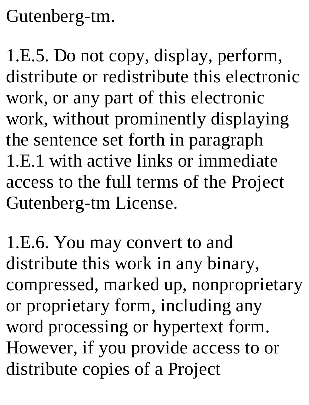Gutenberg-tm.

1.E.5. Do not copy, display, perform, distribute or redistribute this electronic work, or any part of this electronic work, without prominently displaying the sentence set forth in paragraph 1.E.1 with active links or immediate access to the full terms of the Project Gutenberg-tm License.

1.E.6. You may convert to and distribute this work in any binary, compressed, marked up, nonproprietary or proprietary form, including any word processing or hypertext form. However, if you provide access to or distribute copies of a Project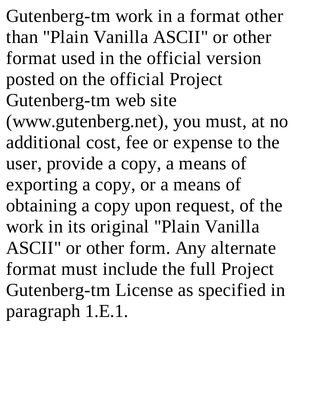Gutenberg-tm work in a format other than "Plain Vanilla ASCII" or other format used in the official version posted on the official Project Gutenberg-tm web site (www.gutenberg.net), you must, at no additional cost, fee or expense to the user, provide a copy, a means of exporting a copy, or a means of obtaining a copy upon request, of the work in its original "Plain Vanilla ASCII" or other form. Any alternate format must include the full Project Gutenberg-tm License as specified in paragraph 1.E.1.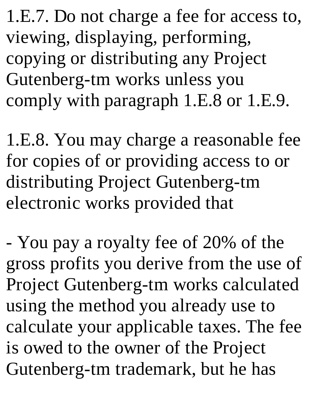1.E.7. Do not charge a fee for access to, viewing, displaying, performing, copying or distributing any Project Gutenberg-tm works unless you comply with paragraph 1.E.8 or 1.E.9.

1.E.8. You may charge a reasonable fee for copies of or providing access to or distributing Project Gutenberg-tm electronic works provided that

- You pay a royalty fee of 20% of the gross profits you derive from the use of Project Gutenberg-tm works calculated using the method you already use to calculate your applicable taxes. The fee is owed to the owner of the Project Gutenberg-tm trademark, but he has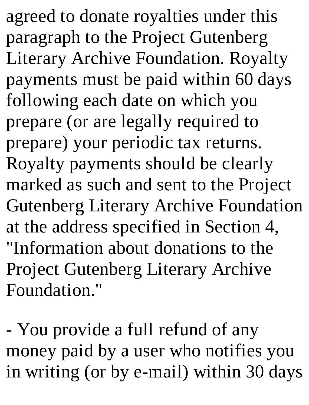agreed to donate royalties under this paragraph to the Project Gutenberg Literary Archive Foundation. Royalty payments must be paid within 60 days following each date on which you prepare (or are legally required to prepare) your periodic tax returns. Royalty payments should be clearly marked as such and sent to the Project Gutenberg Literary Archive Foundation at the address specified in Section 4, "Information about donations to the Project Gutenberg Literary Archive Foundation."

- You provide a full refund of any money paid by a user who notifies you in writing (or by e-mail) within 30 days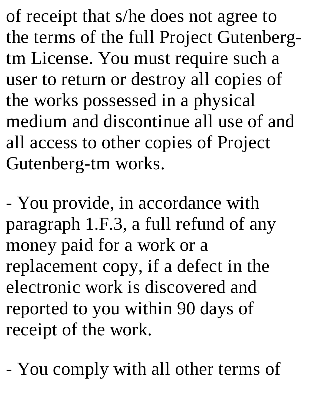of receipt that s/he does not agree to the terms of the full Project Gutenbergtm License. You must require such a user to return or destroy all copies of the works possessed in a physical medium and discontinue all use of and all access to other copies of Project Gutenberg-tm works.

- You provide, in accordance with paragraph 1.F.3, a full refund of any money paid for a work or a replacement copy, if a defect in the electronic work is discovered and reported to you within 90 days of receipt of the work.

- You comply with all other terms of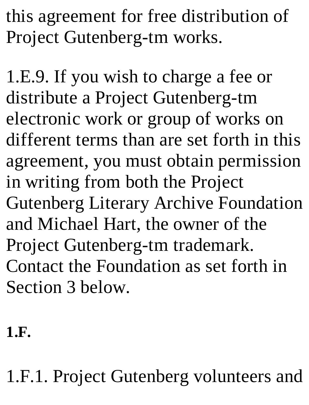this agreement for free distribution of Project Gutenberg-tm works.

1.E.9. If you wish to charge a fee or distribute a Project Gutenberg-tm electronic work or group of works on different terms than are set forth in this agreement, you must obtain permission in writing from both the Project Gutenberg Literary Archive Foundation and Michael Hart, the owner of the Project Gutenberg-tm trademark. Contact the Foundation as set forth in Section 3 below.

**1.F.**

1.F.1. Project Gutenberg volunteers and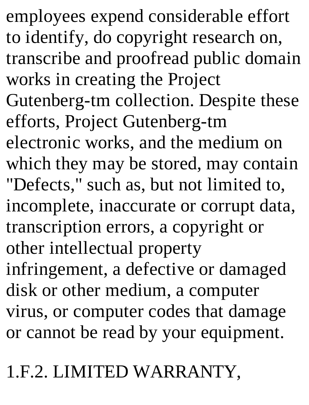employees expend considerable effort to identify, do copyright research on, transcribe and proofread public domain works in creating the Project Gutenberg-tm collection. Despite these efforts, Project Gutenberg-tm electronic works, and the medium on which they may be stored, may contain "Defects," such as, but not limited to, incomplete, inaccurate or corrupt data, transcription errors, a copyright or other intellectual property infringement, a defective or damaged disk or other medium, a computer virus, or computer codes that damage or cannot be read by your equipment.

1.F.2. LIMITED WARRANTY,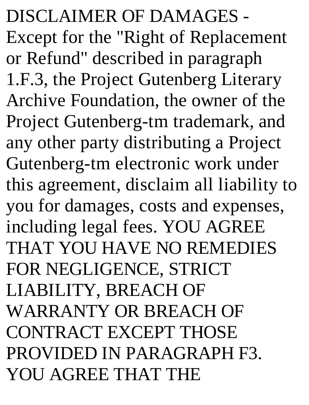DISCLAIMER OF DAMAGES - Except for the "Right of Replacement or Refund" described in paragraph 1.F.3, the Project Gutenberg Literary Archive Foundation, the owner of the Project Gutenberg-tm trademark, and any other party distributing a Project Gutenberg-tm electronic work under this agreement, disclaim all liability to you for damages, costs and expenses, including legal fees. YOU AGREE THAT YOU HAVE NO REMEDIES FOR NEGLIGENCE, STRICT LIABILITY, BREACH OF WARRANTY OR BREACH OF CONTRACT EXCEPT THOSE PROVIDED IN PARAGRAPH F3. YOU AGREE THAT THE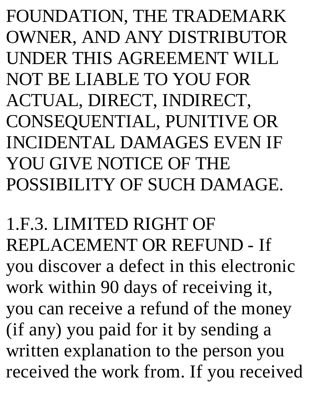FOUNDATION, THE TRADEMARK OWNER, AND ANY DISTRIBUTOR UNDER THIS AGREEMENT WILL NOT BE LIABLE TO YOU FOR ACTUAL, DIRECT, INDIRECT, CONSEQUENTIAL, PUNITIVE OR INCIDENTAL DAMAGES EVEN IF YOU GIVE NOTICE OF THE POSSIBILITY OF SUCH DAMAGE.

1.F.3. LIMITED RIGHT OF REPLACEMENT OR REFUND - If you discover a defect in this electronic work within 90 days of receiving it, you can receive a refund of the money (if any) you paid for it by sending a written explanation to the person you received the work from. If you received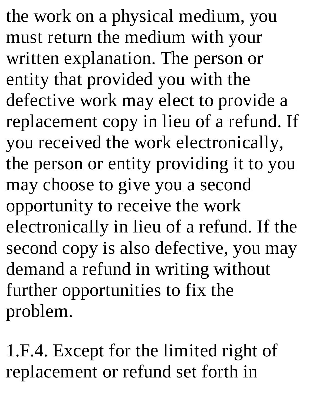the work on a physical medium, you must return the medium with your written explanation. The person or entity that provided you with the defective work may elect to provide a replacement copy in lieu of a refund. If you received the work electronically, the person or entity providing it to you may choose to give you a second opportunity to receive the work electronically in lieu of a refund. If the second copy is also defective, you may demand a refund in writing without further opportunities to fix the problem.

1.F.4. Except for the limited right of replacement or refund set forth in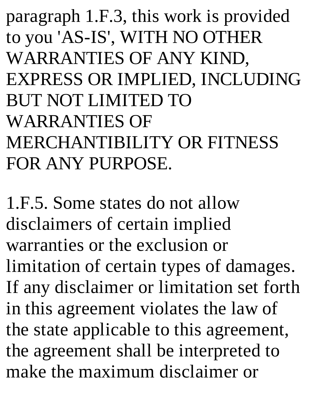paragraph 1.F.3, this work is provided to you 'AS-IS', WITH NO OTHER WARRANTIES OF ANY KIND, EXPRESS OR IMPLIED, INCLUDING BUT NOT LIMITED TO WARRANTIES OF MERCHANTIBILITY OR FITNESS FOR ANY PURPOSE.

1.F.5. Some states do not allow disclaimers of certain implied warranties or the exclusion or limitation of certain types of damages. If any disclaimer or limitation set forth in this agreement violates the law of the state applicable to this agreement, the agreement shall be interpreted to make the maximum disclaimer or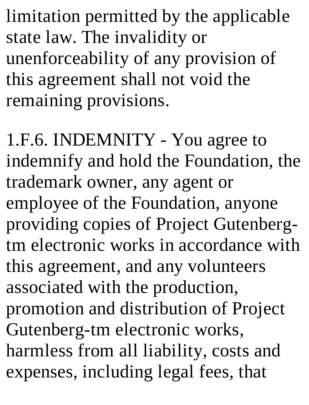limitation permitted by the applicable state law. The invalidity or unenforceability of any provision of this agreement shall not void the remaining provisions.

1.F.6. INDEMNITY - You agree to indemnify and hold the Foundation, the trademark owner, any agent or employee of the Foundation, anyone providing copies of Project Gutenbergtm electronic works in accordance with this agreement, and any volunteers associated with the production, promotion and distribution of Project Gutenberg-tm electronic works, harmless from all liability, costs and expenses, including legal fees, that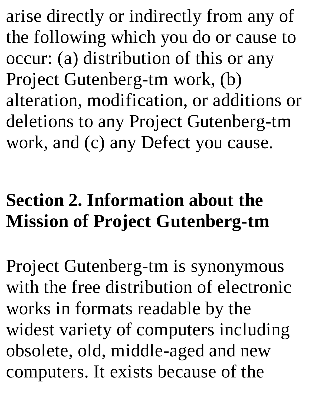arise directly or indirectly from any of the following which you do or cause to occur: (a) distribution of this or any Project Gutenberg-tm work, (b) alteration, modification, or additions or deletions to any Project Gutenberg-tm work, and (c) any Defect you cause.

## **Section 2. Information about the Mission of Project Gutenberg-tm**

Project Gutenberg-tm is synonymous with the free distribution of electronic works in formats readable by the widest variety of computers including obsolete, old, middle-aged and new computers. It exists because of the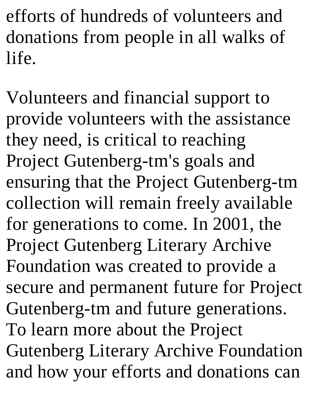efforts of hundreds of volunteers and donations from people in all walks of life.

Volunteers and financial support to provide volunteers with the assistance they need, is critical to reaching Project Gutenberg-tm's goals and ensuring that the Project Gutenberg-tm collection will remain freely available for generations to come. In 2001, the Project Gutenberg Literary Archive Foundation was created to provide a secure and permanent future for Project Gutenberg-tm and future generations. To learn more about the Project Gutenberg Literary Archive Foundation and how your efforts and donations can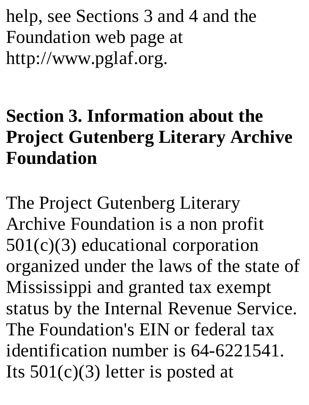help, see Sections 3 and 4 and the Foundation web page at http://www.pglaf.org.

## **Section 3. Information about the Project Gutenberg Literary Archive Foundation**

The Project Gutenberg Literary Archive Foundation is a non profit 501(c)(3) educational corporation organized under the laws of the state of Mississippi and granted tax exempt status by the Internal Revenue Service. The Foundation's EIN or federal tax identification number is 64-6221541. Its  $501(c)(3)$  letter is posted at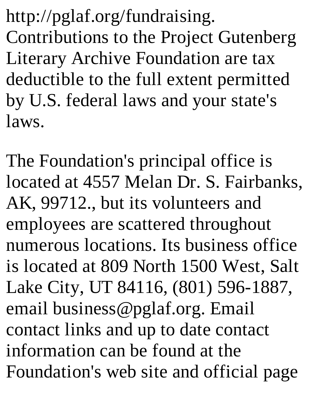http://pglaf.org/fundraising. Contributions to the Project Gutenberg Literary Archive Foundation are tax deductible to the full extent permitted by U.S. federal laws and your state's laws.

The Foundation's principal office is located at 4557 Melan Dr. S. Fairbanks, AK, 99712., but its volunteers and employees are scattered throughout numerous locations. Its business office is located at 809 North 1500 West, Salt Lake City, UT 84116, (801) 596-1887, email business@pglaf.org. Email contact links and up to date contact information can be found at the Foundation's web site and official page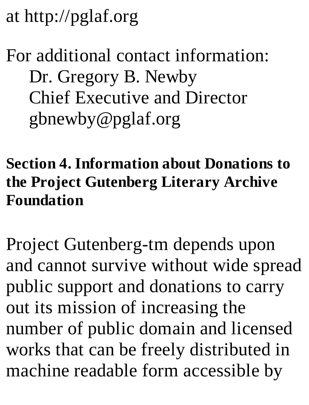at http://pglaf.org

## For additional contact information: Dr. Gregory B. Newby Chief Executive and Director gbnewby@pglaf.org

## **Section 4. Information about Donations to the Project Gutenberg Literary Archive Foundation**

Project Gutenberg-tm depends upon and cannot survive without wide spread public support and donations to carry out its mission of increasing the number of public domain and licensed works that can be freely distributed in machine readable form accessible by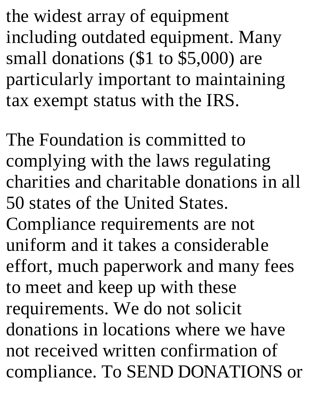the widest array of equipment including outdated equipment. Many small donations (\$1 to \$5,000) are particularly important to maintaining tax exempt status with the IRS.

The Foundation is committed to complying with the laws regulating charities and charitable donations in all 50 states of the United States. Compliance requirements are not uniform and it takes a considerable effort, much paperwork and many fees to meet and keep up with these requirements. We do not solicit donations in locations where we have not received written confirmation of compliance. To SEND DONATIONS or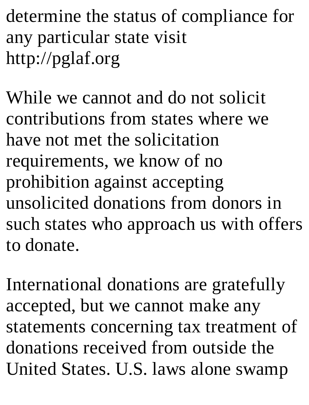determine the status of compliance for any particular state visit http://pglaf.org

While we cannot and do not solicit contributions from states where we have not met the solicitation requirements, we know of no prohibition against accepting unsolicited donations from donors in such states who approach us with offers to donate.

International donations are gratefully accepted, but we cannot make any statements concerning tax treatment of donations received from outside the United States. U.S. laws alone swamp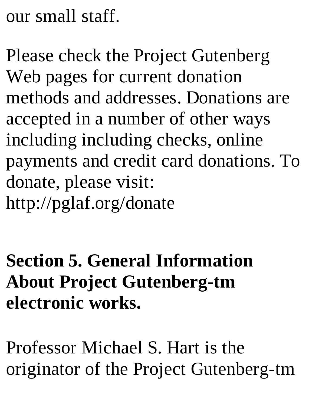our small staff.

Please check the Project Gutenberg Web pages for current donation methods and addresses. Donations are accepted in a number of other ways including including checks, online payments and credit card donations. To donate, please visit: http://pglaf.org/donate

**Section 5. General Information About Project Gutenberg-tm electronic works.**

Professor Michael S. Hart is the originator of the Project Gutenberg-tm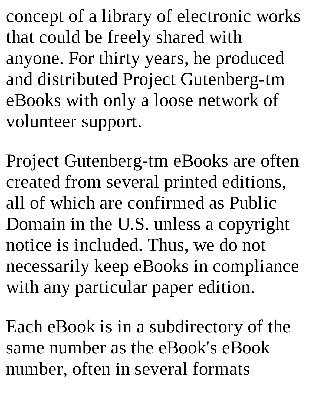concept of a library of electronic works that could be freely shared with anyone. For thirty years, he produced and distributed Project Gutenberg-tm eBooks with only a loose network of volunteer support.

Project Gutenberg-tm eBooks are often created from several printed editions, all of which are confirmed as Public Domain in the U.S. unless a copyright notice is included. Thus, we do not necessarily keep eBooks in compliance with any particular paper edition.

Each eBook is in a subdirectory of the same number as the eBook's eBook number, often in several formats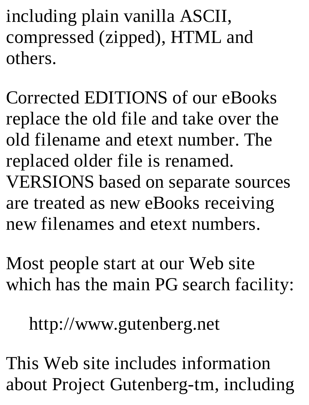including plain vanilla ASCII, compressed (zipped), HTML and others.

Corrected EDITIONS of our eBooks replace the old file and take over the old filename and etext number. The replaced older file is renamed. VERSIONS based on separate sources are treated as new eBooks receiving new filenames and etext numbers.

Most people start at our Web site which has the main PG search facility:

http://www.gutenberg.net

This Web site includes information about Project Gutenberg-tm, including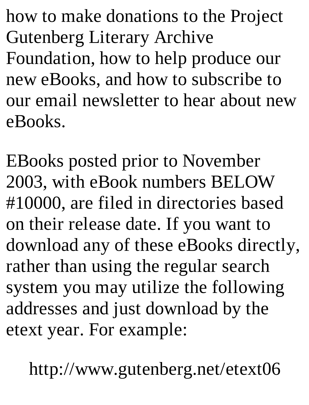how to make donations to the Project Gutenberg Literary Archive Foundation, how to help produce our new eBooks, and how to subscribe to our email newsletter to hear about new eBooks.

EBooks posted prior to November 2003, with eBook numbers BELOW #10000, are filed in directories based on their release date. If you want to download any of these eBooks directly, rather than using the regular search system you may utilize the following addresses and just download by the etext year. For example:

http://www.gutenberg.net/etext06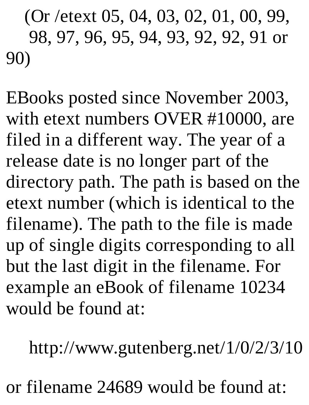(Or /etext 05, 04, 03, 02, 01, 00, 99, 98, 97, 96, 95, 94, 93, 92, 92, 91 or 90)

EBooks posted since November 2003, with etext numbers OVER #10000, are filed in a different way. The year of a release date is no longer part of the directory path. The path is based on the etext number (which is identical to the filename). The path to the file is made up of single digits corresponding to all but the last digit in the filename. For example an eBook of filename 10234 would be found at:

http://www.gutenberg.net/1/0/2/3/10

or filename 24689 would be found at: